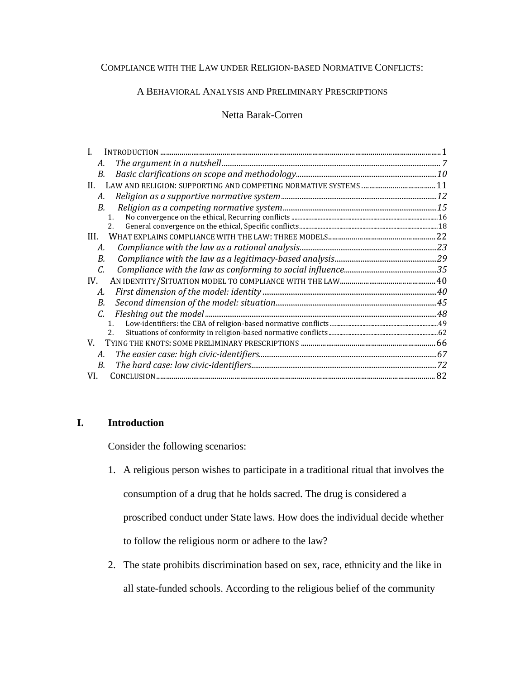# COMPLIANCE WITH THE LAW UNDER RELIGION-BASED NORMATIVE CONFLICTS:

# A BEHAVIORAL ANALYSIS AND PRELIMINARY PRESCRIPTIONS

# Netta Barak-Corren

| <b>INTRODUCTION</b> |  |
|---------------------|--|
| А.                  |  |
| B.                  |  |
| H.                  |  |
| А.                  |  |
| В.                  |  |
| $\mathbf{1}$ .      |  |
|                     |  |
| III.                |  |
| А.                  |  |
| B.                  |  |
| C.                  |  |
| IV.                 |  |
| А.                  |  |
| B.                  |  |
| C.                  |  |
| $\mathbf{1}$        |  |
|                     |  |
| V.                  |  |
| А.                  |  |
| B.                  |  |
| VI.                 |  |

# **I. Introduction**

Consider the following scenarios:

- 1. A religious person wishes to participate in a traditional ritual that involves the consumption of a drug that he holds sacred. The drug is considered a proscribed conduct under State laws. How does the individual decide whether to follow the religious norm or adhere to the law?
- 2. The state prohibits discrimination based on sex, race, ethnicity and the like in all state-funded schools. According to the religious belief of the community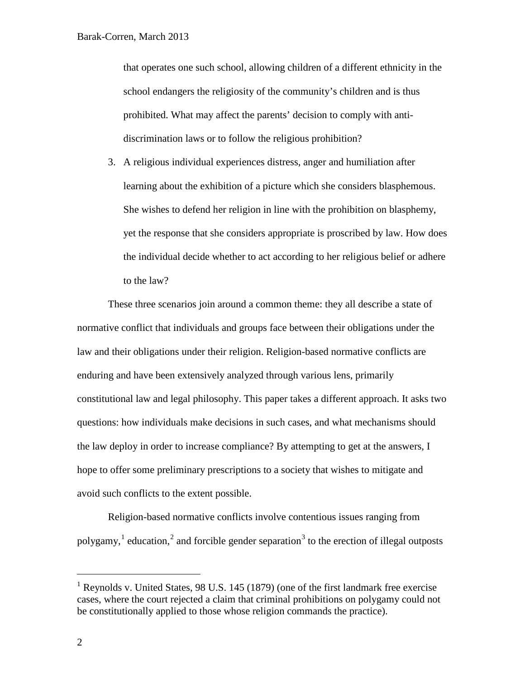that operates one such school, allowing children of a different ethnicity in the school endangers the religiosity of the community's children and is thus prohibited. What may affect the parents' decision to comply with antidiscrimination laws or to follow the religious prohibition?

3. A religious individual experiences distress, anger and humiliation after learning about the exhibition of a picture which she considers blasphemous. She wishes to defend her religion in line with the prohibition on blasphemy, yet the response that she considers appropriate is proscribed by law. How does the individual decide whether to act according to her religious belief or adhere to the law?

<span id="page-1-2"></span><span id="page-1-1"></span>These three scenarios join around a common theme: they all describe a state of normative conflict that individuals and groups face between their obligations under the law and their obligations under their religion. Religion-based normative conflicts are enduring and have been extensively analyzed through various lens, primarily constitutional law and legal philosophy. This paper takes a different approach. It asks two questions: how individuals make decisions in such cases, and what mechanisms should the law deploy in order to increase compliance? By attempting to get at the answers, I hope to offer some preliminary prescriptions to a society that wishes to mitigate and avoid such conflicts to the extent possible.

<span id="page-1-5"></span><span id="page-1-4"></span><span id="page-1-3"></span>Religion-based normative conflicts involve contentious issues ranging from polygamy,  $\frac{1}{2}$  $\frac{1}{2}$  $\frac{1}{2}$  $\frac{1}{2}$  $\frac{1}{2}$  education,  $\frac{2}{3}$  $\frac{2}{3}$  $\frac{2}{3}$  and forcible gender separation  $\frac{3}{3}$  to the erection of illegal outposts

<span id="page-1-0"></span> $1$  Reynolds v. United States, 98 U.S. 145 (1879) (one of the first landmark free exercise cases, where the court rejected a claim that criminal prohibitions on polygamy could not be constitutionally applied to those whose religion commands the practice).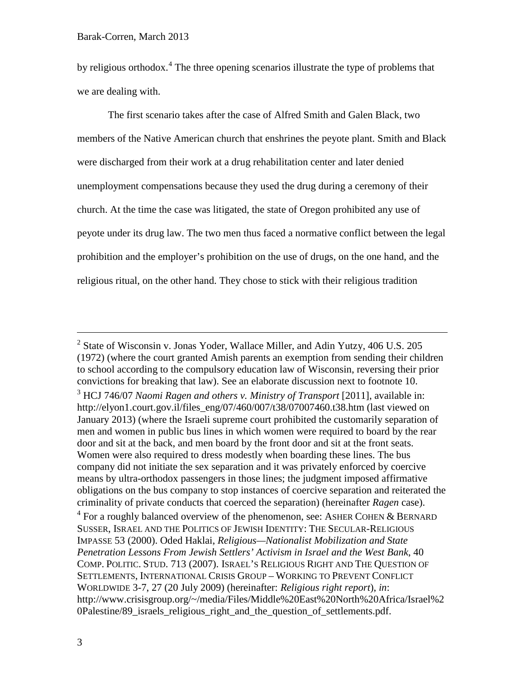<span id="page-2-1"></span>by religious orthodox.<sup>[4](#page-2-0)</sup> The three opening scenarios illustrate the type of problems that we are dealing with.

The first scenario takes after the case of Alfred Smith and Galen Black, two members of the Native American church that enshrines the peyote plant. Smith and Black were discharged from their work at a drug rehabilitation center and later denied unemployment compensations because they used the drug during a ceremony of their church. At the time the case was litigated, the state of Oregon prohibited any use of peyote under its drug law. The two men thus faced a normative conflict between the legal prohibition and the employer's prohibition on the use of drugs, on the one hand, and the religious ritual, on the other hand. They chose to stick with their religious tradition

<span id="page-2-0"></span> $4$  For a roughly balanced overview of the phenomenon, see: ASHER COHEN & BERNARD SUSSER, ISRAEL AND THE POLITICS OF JEWISH IDENTITY: THE SECULAR-RELIGIOUS IMPASSE 53 (2000). Oded Haklai, *Religious—Nationalist Mobilization and State Penetration Lessons From Jewish Settlers' Activism in Israel and the West Bank*, 40 COMP. POLITIC. STUD. 713 (2007). ISRAEL'S RELIGIOUS RIGHT AND THE QUESTION OF SETTLEMENTS, INTERNATIONAL CRISIS GROUP – WORKING TO PREVENT CONFLICT WORLDWIDE 3-7, 27 (20 July 2009) (hereinafter: *Religious right report*), *in*: http://www.crisisgroup.org/~/media/Files/Middle%20East%20North%20Africa/Israel%2 0Palestine/89 israels religious right and the question of settlements.pdf.

 <sup>2</sup> State of Wisconsin v. Jonas Yoder, Wallace Miller, and Adin Yutzy*,* 406 U.S. 205 (1972) (where the court granted Amish parents an exemption from sending their children to school according to the compulsory education law of Wisconsin, reversing their prior convictions for breaking that law). See an elaborate discussion next to footnote [10.](#page-4-0)

<sup>3</sup> HCJ 746/07 *Naomi Ragen and others v. Ministry of Transport* [2011], available in: http://elyon1.court.gov.il/files\_eng/07/460/007/t38/07007460.t38.htm (last viewed on January 2013) (where the Israeli supreme court prohibited the customarily separation of men and women in public bus lines in which women were required to board by the rear door and sit at the back, and men board by the front door and sit at the front seats. Women were also required to dress modestly when boarding these lines. The bus company did not initiate the sex separation and it was privately enforced by coercive means by ultra-orthodox passengers in those lines; the judgment imposed affirmative obligations on the bus company to stop instances of coercive separation and reiterated the criminality of private conducts that coerced the separation) (hereinafter *Ragen* case).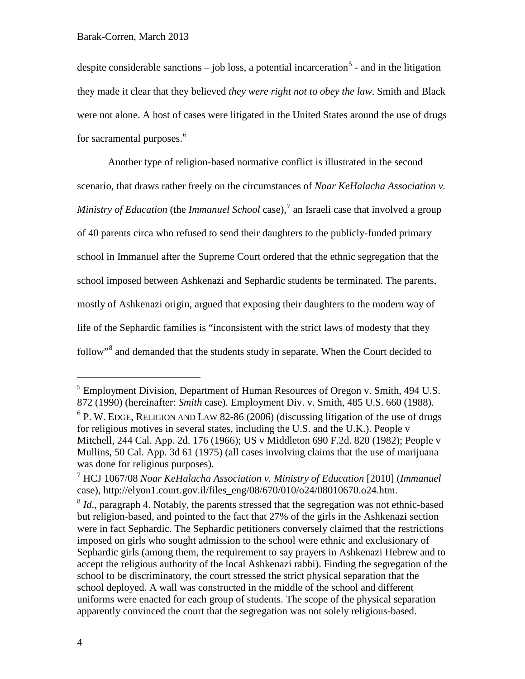despite considerable sanctions – job loss, a potential incarceration<sup>[5](#page-3-0)</sup> - and in the litigation they made it clear that they believed *they were right not to obey the law*. Smith and Black were not alone. A host of cases were litigated in the United States around the use of drugs for sacramental purposes.<sup>[6](#page-3-1)</sup>

<span id="page-3-4"></span>Another type of religion-based normative conflict is illustrated in the second scenario, that draws rather freely on the circumstances of *Noar KeHalacha Association v. Ministry of Education* (the *Immanuel School* case),<sup>[7](#page-3-2)</sup> an Israeli case that involved a group of 40 parents circa who refused to send their daughters to the publicly-funded primary school in Immanuel after the Supreme Court ordered that the ethnic segregation that the school imposed between Ashkenazi and Sephardic students be terminated. The parents, mostly of Ashkenazi origin, argued that exposing their daughters to the modern way of life of the Sephardic families is "inconsistent with the strict laws of modesty that they follow"<sup>[8](#page-3-3)</sup> and demanded that the students study in separate. When the Court decided to

<span id="page-3-0"></span><sup>&</sup>lt;sup>5</sup> Employment Division, Department of Human Resources of Oregon v. Smith, 494 U.S. 872 (1990) (hereinafter: *Smith* case). Employment Div. v. Smith, 485 U.S. 660 (1988).

<span id="page-3-1"></span> $6$  P. W. EDGE, RELIGION AND LAW 82-86 (2006) (discussing litigation of the use of drugs for religious motives in several states, including the U.S. and the U.K.). People v Mitchell, 244 Cal. App. 2d. 176 (1966); US v Middleton 690 F.2d. 820 (1982); People v Mullins, 50 Cal. App. 3d 61 (1975) (all cases involving claims that the use of marijuana was done for religious purposes).

<span id="page-3-2"></span><sup>7</sup> HCJ 1067/08 *Noar KeHalacha Association v. Ministry of Education* [2010] (*Immanuel*  case), http://elyon1.court.gov.il/files\_eng/08/670/010/o24/08010670.o24.htm.

<span id="page-3-3"></span><sup>&</sup>lt;sup>8</sup> *Id.*, paragraph 4. Notably, the parents stressed that the segregation was not ethnic-based but religion-based, and pointed to the fact that 27% of the girls in the Ashkenazi section were in fact Sephardic. The Sephardic petitioners conversely claimed that the restrictions imposed on girls who sought admission to the school were ethnic and exclusionary of Sephardic girls (among them, the requirement to say prayers in Ashkenazi Hebrew and to accept the religious authority of the local Ashkenazi rabbi). Finding the segregation of the school to be discriminatory, the court stressed the strict physical separation that the school deployed. A wall was constructed in the middle of the school and different uniforms were enacted for each group of students. The scope of the physical separation apparently convinced the court that the segregation was not solely religious-based.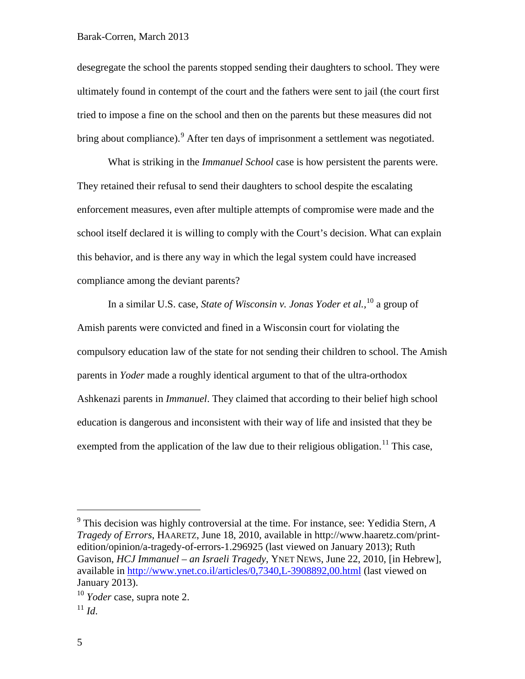desegregate the school the parents stopped sending their daughters to school. They were ultimately found in contempt of the court and the fathers were sent to jail (the court first tried to impose a fine on the school and then on the parents but these measures did not bring about compliance). <sup>[9](#page-4-1)</sup> After ten days of imprisonment a settlement was negotiated.

What is striking in the *Immanuel School* case is how persistent the parents were. They retained their refusal to send their daughters to school despite the escalating enforcement measures, even after multiple attempts of compromise were made and the school itself declared it is willing to comply with the Court's decision. What can explain this behavior, and is there any way in which the legal system could have increased compliance among the deviant parents?

<span id="page-4-0"></span>In a similar U.S. case, *State of Wisconsin v. Jonas Yoder et al.,* [10](#page-4-2) a group of Amish parents were convicted and fined in a Wisconsin court for violating the compulsory education law of the state for not sending their children to school. The Amish parents in *Yoder* made a roughly identical argument to that of the ultra-orthodox Ashkenazi parents in *Immanuel*. They claimed that according to their belief high school education is dangerous and inconsistent with their way of life and insisted that they be exempted from the application of the law due to their religious obligation.<sup>[11](#page-4-3)</sup> This case,

<span id="page-4-1"></span> <sup>9</sup> This decision was highly controversial at the time. For instance, see: Yedidia Stern, *<sup>A</sup> Tragedy of Errors*, HAARETZ, June 18, 2010, available in http://www.haaretz.com/printedition/opinion/a-tragedy-of-errors-1.296925 (last viewed on January 2013); Ruth Gavison, *HCJ Immanuel – an Israeli Tragedy*, YNET NEWS, June 22, 2010, [in Hebrew], available in<http://www.ynet.co.il/articles/0,7340,L-3908892,00.html> (last viewed on January 2013).

<span id="page-4-2"></span><sup>10</sup> *Yoder* case, supra note [2.](#page-1-3)

<span id="page-4-3"></span> $11$  *Id.*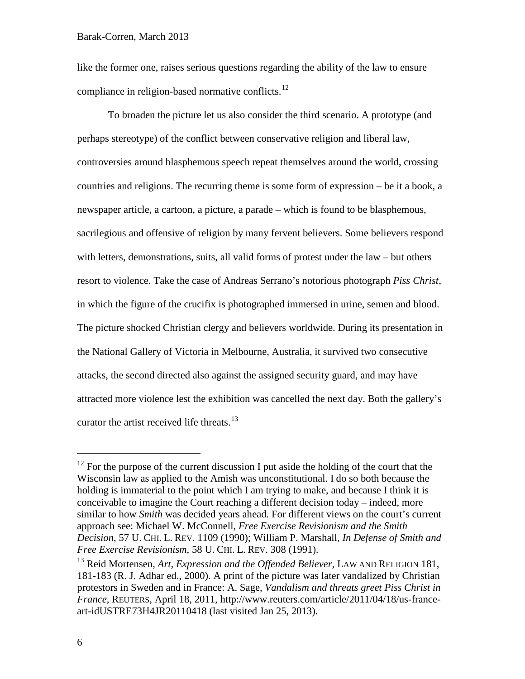like the former one, raises serious questions regarding the ability of the law to ensure compliance in religion-based normative conflicts.<sup>[12](#page-5-0)</sup>

To broaden the picture let us also consider the third scenario. A prototype (and perhaps stereotype) of the conflict between conservative religion and liberal law, controversies around blasphemous speech repeat themselves around the world, crossing countries and religions. The recurring theme is some form of expression – be it a book, a newspaper article, a cartoon, a picture, a parade – which is found to be blasphemous, sacrilegious and offensive of religion by many fervent believers. Some believers respond with letters, demonstrations, suits, all valid forms of protest under the law – but others resort to violence. Take the case of Andreas Serrano's notorious photograph *Piss Christ*, in which the figure of the crucifix is photographed immersed in urine, semen and blood. The picture shocked Christian clergy and believers worldwide. During its presentation in the National Gallery of Victoria in Melbourne, Australia, it survived two consecutive attacks, the second directed also against the assigned security guard, and may have attracted more violence lest the exhibition was cancelled the next day. Both the gallery's curator the artist received life threats.<sup>[13](#page-5-1)</sup>

<span id="page-5-0"></span> $12$  For the purpose of the current discussion I put aside the holding of the court that the Wisconsin law as applied to the Amish was unconstitutional. I do so both because the holding is immaterial to the point which I am trying to make, and because I think it is conceivable to imagine the Court reaching a different decision today – indeed, more similar to how *Smith* was decided years ahead. For different views on the court's current approach see: Michael W. McConnell, *Free Exercise Revisionism and the Smith Decision*, 57 U. CHI. L. REV. 1109 (1990); William P. Marshall, *In Defense of Smith and Free Exercise Revisionism*, 58 U. CHI. L. REV. 308 (1991).

<span id="page-5-1"></span><sup>&</sup>lt;sup>13</sup> Reid Mortensen, *Art, Expression and the Offended Believer*, LAW AND RELIGION 181, 181-183 (R. J. Adhar ed., 2000). A print of the picture was later vandalized by Christian protestors in Sweden and in France: A. Sage, *Vandalism and threats greet Piss Christ in France*, REUTERS, April 18, 2011, http://www.reuters.com/article/2011/04/18/us-franceart-idUSTRE73H4JR20110418 (last visited Jan 25, 2013).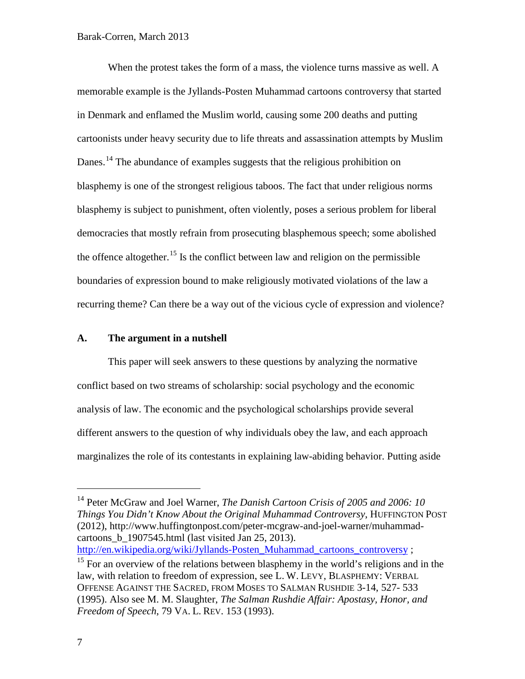When the protest takes the form of a mass, the violence turns massive as well. A memorable example is the Jyllands-Posten Muhammad cartoons controversy that started in Denmark and enflamed the Muslim world, causing some 200 deaths and putting cartoonists under heavy security due to life threats and assassination attempts by Muslim Danes.<sup>[14](#page-6-0)</sup> The abundance of examples suggests that the religious prohibition on blasphemy is one of the strongest religious taboos. The fact that under religious norms blasphemy is subject to punishment, often violently, poses a serious problem for liberal democracies that mostly refrain from prosecuting blasphemous speech; some abolished the offence altogether.<sup>[15](#page-6-1)</sup> Is the conflict between law and religion on the permissible boundaries of expression bound to make religiously motivated violations of the law a recurring theme? Can there be a way out of the vicious cycle of expression and violence?

## <span id="page-6-2"></span>**A. The argument in a nutshell**

This paper will seek answers to these questions by analyzing the normative conflict based on two streams of scholarship: social psychology and the economic analysis of law. The economic and the psychological scholarships provide several different answers to the question of why individuals obey the law, and each approach marginalizes the role of its contestants in explaining law-abiding behavior. Putting aside

[http://en.wikipedia.org/wiki/Jyllands-Posten\\_Muhammad\\_cartoons\\_controversy](http://en.wikipedia.org/wiki/Jyllands-Posten_Muhammad_cartoons_controversy) ;

<span id="page-6-0"></span><sup>&</sup>lt;sup>14</sup> Peter McGraw and Joel Warner, *The Danish Cartoon Crisis of 2005 and 2006: 10 Things You Didn't Know About the Original Muhammad Controversy*, HUFFINGTON POST (2012), http://www.huffingtonpost.com/peter-mcgraw-and-joel-warner/muhammadcartoons\_b\_1907545.html (last visited Jan 25, 2013).

<span id="page-6-1"></span><sup>&</sup>lt;sup>15</sup> For an overview of the relations between blasphemy in the world's religions and in the law, with relation to freedom of expression, see L. W. LEVY, BLASPHEMY: VERBAL OFFENSE AGAINST THE SACRED, FROM MOSES TO SALMAN RUSHDIE 3-14, 527- 533 (1995). Also see M. M. Slaughter, *The Salman Rushdie Affair: Apostasy, Honor, and Freedom of Speech*, 79 VA. L. REV. 153 (1993).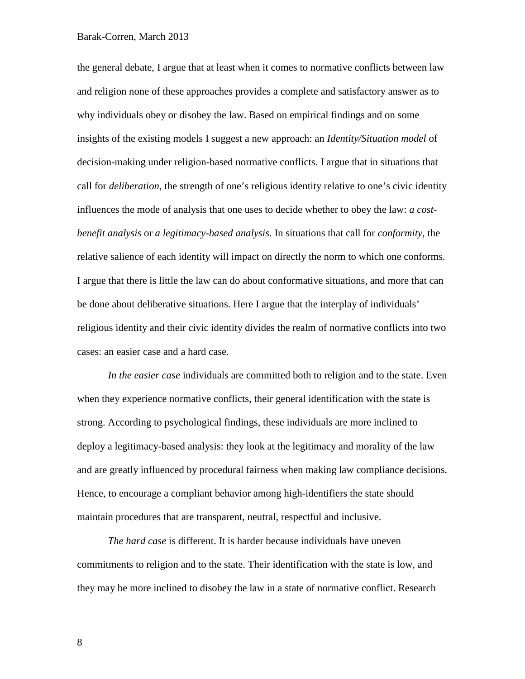the general debate, I argue that at least when it comes to normative conflicts between law and religion none of these approaches provides a complete and satisfactory answer as to why individuals obey or disobey the law. Based on empirical findings and on some insights of the existing models I suggest a new approach: an *Identity/Situation model* of decision-making under religion-based normative conflicts. I argue that in situations that call for *deliberation*, the strength of one's religious identity relative to one's civic identity influences the mode of analysis that one uses to decide whether to obey the law: *a costbenefit analysis* or *a legitimacy-based analysis*. In situations that call for *conformity*, the relative salience of each identity will impact on directly the norm to which one conforms. I argue that there is little the law can do about conformative situations, and more that can be done about deliberative situations. Here I argue that the interplay of individuals' religious identity and their civic identity divides the realm of normative conflicts into two cases: an easier case and a hard case.

*In the easier case* individuals are committed both to religion and to the state. Even when they experience normative conflicts, their general identification with the state is strong. According to psychological findings, these individuals are more inclined to deploy a legitimacy-based analysis: they look at the legitimacy and morality of the law and are greatly influenced by procedural fairness when making law compliance decisions. Hence, to encourage a compliant behavior among high-identifiers the state should maintain procedures that are transparent, neutral, respectful and inclusive.

*The hard case* is different. It is harder because individuals have uneven commitments to religion and to the state. Their identification with the state is low, and they may be more inclined to disobey the law in a state of normative conflict. Research

8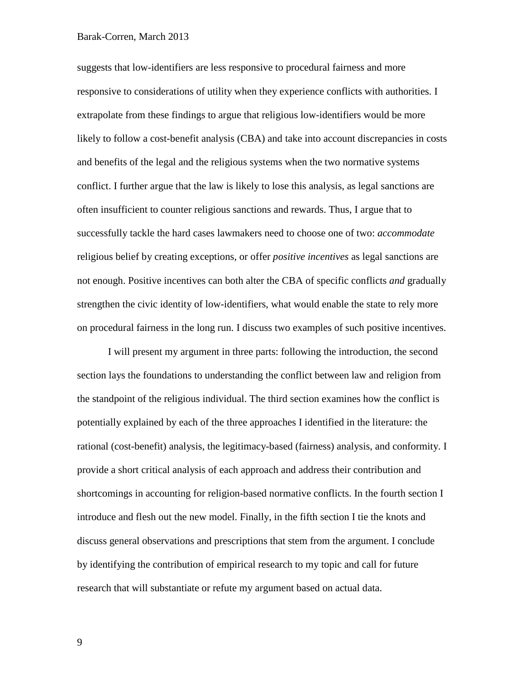suggests that low-identifiers are less responsive to procedural fairness and more responsive to considerations of utility when they experience conflicts with authorities. I extrapolate from these findings to argue that religious low-identifiers would be more likely to follow a cost-benefit analysis (CBA) and take into account discrepancies in costs and benefits of the legal and the religious systems when the two normative systems conflict. I further argue that the law is likely to lose this analysis, as legal sanctions are often insufficient to counter religious sanctions and rewards. Thus, I argue that to successfully tackle the hard cases lawmakers need to choose one of two: *accommodate* religious belief by creating exceptions, or offer *positive incentives* as legal sanctions are not enough. Positive incentives can both alter the CBA of specific conflicts *and* gradually strengthen the civic identity of low-identifiers, what would enable the state to rely more on procedural fairness in the long run. I discuss two examples of such positive incentives.

I will present my argument in three parts: following the introduction, the second section lays the foundations to understanding the conflict between law and religion from the standpoint of the religious individual. The third section examines how the conflict is potentially explained by each of the three approaches I identified in the literature: the rational (cost-benefit) analysis, the legitimacy-based (fairness) analysis, and conformity. I provide a short critical analysis of each approach and address their contribution and shortcomings in accounting for religion-based normative conflicts. In the fourth section I introduce and flesh out the new model. Finally, in the fifth section I tie the knots and discuss general observations and prescriptions that stem from the argument. I conclude by identifying the contribution of empirical research to my topic and call for future research that will substantiate or refute my argument based on actual data.

9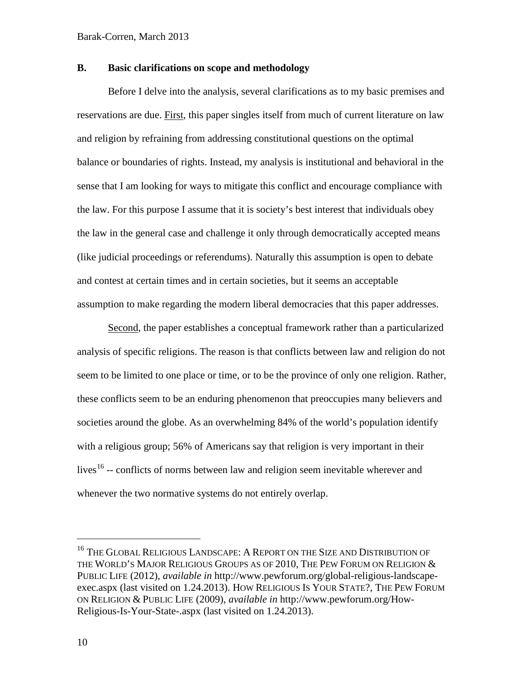# **B. Basic clarifications on scope and methodology**

Before I delve into the analysis, several clarifications as to my basic premises and reservations are due. First, this paper singles itself from much of current literature on law and religion by refraining from addressing constitutional questions on the optimal balance or boundaries of rights. Instead, my analysis is institutional and behavioral in the sense that I am looking for ways to mitigate this conflict and encourage compliance with the law. For this purpose I assume that it is society's best interest that individuals obey the law in the general case and challenge it only through democratically accepted means (like judicial proceedings or referendums). Naturally this assumption is open to debate and contest at certain times and in certain societies, but it seems an acceptable assumption to make regarding the modern liberal democracies that this paper addresses.

Second, the paper establishes a conceptual framework rather than a particularized analysis of specific religions. The reason is that conflicts between law and religion do not seem to be limited to one place or time, or to be the province of only one religion. Rather, these conflicts seem to be an enduring phenomenon that preoccupies many believers and societies around the globe. As an overwhelming 84% of the world's population identify with a religious group; 56% of Americans say that religion is very important in their lives<sup>[16](#page-9-0)</sup> -- conflicts of norms between law and religion seem inevitable wherever and whenever the two normative systems do not entirely overlap.

<span id="page-9-0"></span><sup>&</sup>lt;sup>16</sup> THE GLOBAL RELIGIOUS LANDSCAPE: A REPORT ON THE SIZE AND DISTRIBUTION OF THE WORLD'S MAJOR RELIGIOUS GROUPS AS OF 2010, THE PEW FORUM ON RELIGION  $\&$ PUBLIC LIFE (2012), *available in* http://www.pewforum.org/global-religious-landscapeexec.aspx (last visited on 1.24.2013). HOW RELIGIOUS IS YOUR STATE?, THE PEW FORUM ON RELIGION & PUBLIC LIFE (2009), *available in* http://www.pewforum.org/How-Religious-Is-Your-State-.aspx (last visited on 1.24.2013).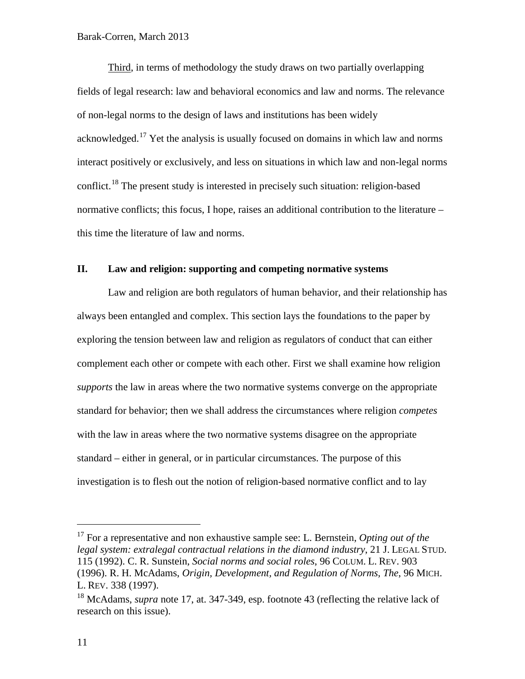<span id="page-10-0"></span>Third, in terms of methodology the study draws on two partially overlapping fields of legal research: law and behavioral economics and law and norms. The relevance of non-legal norms to the design of laws and institutions has been widely acknowledged.[17](#page-10-1) Yet the analysis is usually focused on domains in which law and norms interact positively or exclusively, and less on situations in which law and non-legal norms conflict.<sup>[18](#page-10-2)</sup> The present study is interested in precisely such situation: religion-based normative conflicts; this focus, I hope, raises an additional contribution to the literature – this time the literature of law and norms.

# **II. Law and religion: supporting and competing normative systems**

Law and religion are both regulators of human behavior, and their relationship has always been entangled and complex. This section lays the foundations to the paper by exploring the tension between law and religion as regulators of conduct that can either complement each other or compete with each other. First we shall examine how religion *supports* the law in areas where the two normative systems converge on the appropriate standard for behavior; then we shall address the circumstances where religion *competes* with the law in areas where the two normative systems disagree on the appropriate standard – either in general, or in particular circumstances. The purpose of this investigation is to flesh out the notion of religion-based normative conflict and to lay

<span id="page-10-1"></span> <sup>17</sup> For a representative and non exhaustive sample see: L. Bernstein, *Opting out of the legal system: extralegal contractual relations in the diamond industry*, 21 J. LEGAL STUD. 115 (1992). C. R. Sunstein, *Social norms and social roles*, 96 COLUM. L. REV. 903 (1996). R. H. McAdams, *Origin, Development, and Regulation of Norms, The*, 96 MICH. L. REV. 338 (1997).

<span id="page-10-2"></span><sup>&</sup>lt;sup>18</sup> McAdams, *supra* note [17,](#page-10-0) at. 347-349, esp. footnote 43 (reflecting the relative lack of research on this issue).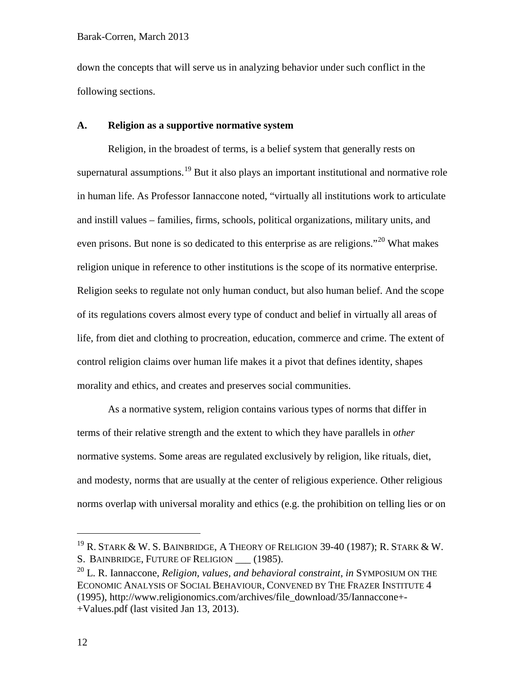down the concepts that will serve us in analyzing behavior under such conflict in the following sections.

## **A. Religion as a supportive normative system**

Religion, in the broadest of terms, is a belief system that generally rests on supernatural assumptions.<sup>[19](#page-11-0)</sup> But it also plays an important institutional and normative role in human life. As Professor Iannaccone noted, "virtually all institutions work to articulate and instill values – families, firms, schools, political organizations, military units, and even prisons. But none is so dedicated to this enterprise as are religions.<sup> $20$ </sup> What makes religion unique in reference to other institutions is the scope of its normative enterprise. Religion seeks to regulate not only human conduct, but also human belief. And the scope of its regulations covers almost every type of conduct and belief in virtually all areas of life, from diet and clothing to procreation, education, commerce and crime. The extent of control religion claims over human life makes it a pivot that defines identity, shapes morality and ethics, and creates and preserves social communities.

As a normative system, religion contains various types of norms that differ in terms of their relative strength and the extent to which they have parallels in *other* normative systems. Some areas are regulated exclusively by religion, like rituals, diet, and modesty, norms that are usually at the center of religious experience. Other religious norms overlap with universal morality and ethics (e.g. the prohibition on telling lies or on

<span id="page-11-0"></span> $^{19}$  R. Stark & W. S. Bainbridge, A Theory of Religion 39-40 (1987); R. Stark & W. S. BAINBRIDGE, FUTURE OF RELIGION (1985).

<span id="page-11-1"></span><sup>20</sup> L. R. Iannaccone, *Religion, values, and behavioral constraint*, *in* SYMPOSIUM ON THE ECONOMIC ANALYSIS OF SOCIAL BEHAVIOUR, CONVENED BY THE FRAZER INSTITUTE 4 (1995), http://www.religionomics.com/archives/file\_download/35/Iannaccone+- +Values.pdf (last visited Jan 13, 2013).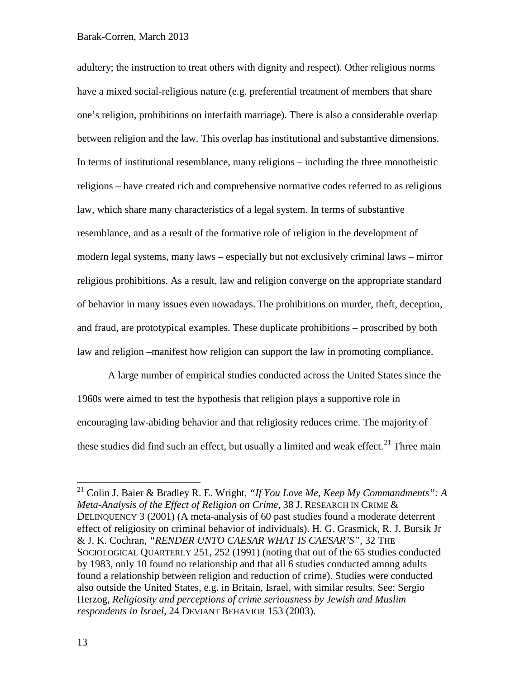adultery; the instruction to treat others with dignity and respect). Other religious norms have a mixed social-religious nature (e.g. preferential treatment of members that share one's religion, prohibitions on interfaith marriage). There is also a considerable overlap between religion and the law. This overlap has institutional and substantive dimensions. In terms of institutional resemblance, many religions – including the three monotheistic religions – have created rich and comprehensive normative codes referred to as religious law, which share many characteristics of a legal system. In terms of substantive resemblance, and as a result of the formative role of religion in the development of modern legal systems, many laws – especially but not exclusively criminal laws – mirror religious prohibitions. As a result, law and religion converge on the appropriate standard of behavior in many issues even nowadays. The prohibitions on murder, theft, deception, and fraud, are prototypical examples. These duplicate prohibitions – proscribed by both law and religion –manifest how religion can support the law in promoting compliance.

A large number of empirical studies conducted across the United States since the 1960s were aimed to test the hypothesis that religion plays a supportive role in encouraging law-abiding behavior and that religiosity reduces crime. The majority of these studies did find such an effect, but usually a limited and weak effect.<sup>[21](#page-12-0)</sup> Three main

<span id="page-12-0"></span> <sup>21</sup> Colin J. Baier & Bradley R. E. Wright, *"If You Love Me, Keep My Commandments": A Meta-Analysis of the Effect of Religion on Crime*, 38 J. RESEARCH IN CRIME & DELINQUENCY 3 (2001) (A meta-analysis of 60 past studies found a moderate deterrent effect of religiosity on criminal behavior of individuals). H. G. Grasmick, R. J. Bursik Jr & J. K. Cochran, *"RENDER UNTO CAESAR WHAT IS CAESAR'S"*, 32 THE SOCIOLOGICAL QUARTERLY 251, 252 (1991) (noting that out of the 65 studies conducted by 1983, only 10 found no relationship and that all 6 studies conducted among adults found a relationship between religion and reduction of crime). Studies were conducted also outside the United States, e.g. in Britain, Israel, with similar results. See: Sergio Herzog, *Religiosity and perceptions of crime seriousness by Jewish and Muslim respondents in Israel*, 24 DEVIANT BEHAVIOR 153 (2003).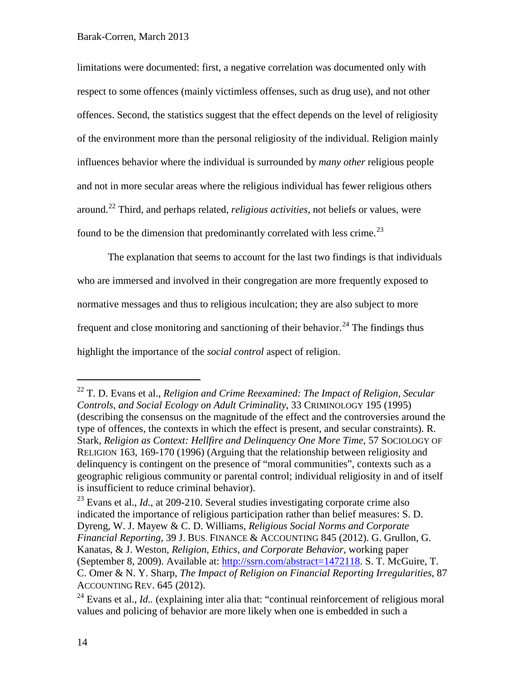limitations were documented: first, a negative correlation was documented only with respect to some offences (mainly victimless offenses, such as drug use), and not other offences. Second, the statistics suggest that the effect depends on the level of religiosity of the environment more than the personal religiosity of the individual. Religion mainly influences behavior where the individual is surrounded by *many other* religious people and not in more secular areas where the religious individual has fewer religious others around. [22](#page-13-0) Third, and perhaps related, *religious activities*, not beliefs or values, were found to be the dimension that predominantly correlated with less crime.<sup>[23](#page-13-1)</sup>

The explanation that seems to account for the last two findings is that individuals who are immersed and involved in their congregation are more frequently exposed to normative messages and thus to religious inculcation; they are also subject to more frequent and close monitoring and sanctioning of their behavior.<sup>[24](#page-13-2)</sup> The findings thus highlight the importance of the *social control* aspect of religion.

<span id="page-13-0"></span> <sup>22</sup> T. D. Evans et al., *Religion and Crime Reexamined: The Impact of Religion, Secular Controls, and Social Ecology on Adult Criminality*, 33 CRIMINOLOGY 195 (1995) (describing the consensus on the magnitude of the effect and the controversies around the type of offences, the contexts in which the effect is present, and secular constraints). R. Stark, *Religion as Context: Hellfire and Delinquency One More Time*, 57 SOCIOLOGY OF RELIGION 163, 169-170 (1996) (Arguing that the relationship between religiosity and delinquency is contingent on the presence of "moral communities", contexts such as a geographic religious community or parental control; individual religiosity in and of itself is insufficient to reduce criminal behavior).

<span id="page-13-1"></span><sup>&</sup>lt;sup>23</sup> Evans et al., *Id.*, at 209-210. Several studies investigating corporate crime also indicated the importance of religious participation rather than belief measures: S. D. Dyreng, W. J. Mayew & C. D. Williams, *Religious Social Norms and Corporate Financial Reporting*, 39 J. BUS. FINANCE & ACCOUNTING 845 (2012). G. Grullon, G. Kanatas, & J. Weston, *Religion, Ethics, and Corporate Behavior*, working paper (September 8, 2009). Available at: [http://ssrn.com/abstract=1472118.](http://ssrn.com/abstract=1472118) S. T. McGuire, T. C. Omer & N. Y. Sharp, *The Impact of Religion on Financial Reporting Irregularities*, 87 ACCOUNTING REV. 645 (2012).

<span id="page-13-2"></span><sup>&</sup>lt;sup>24</sup> Evans et al., *Id.*. (explaining inter alia that: "continual reinforcement of religious moral values and policing of behavior are more likely when one is embedded in such a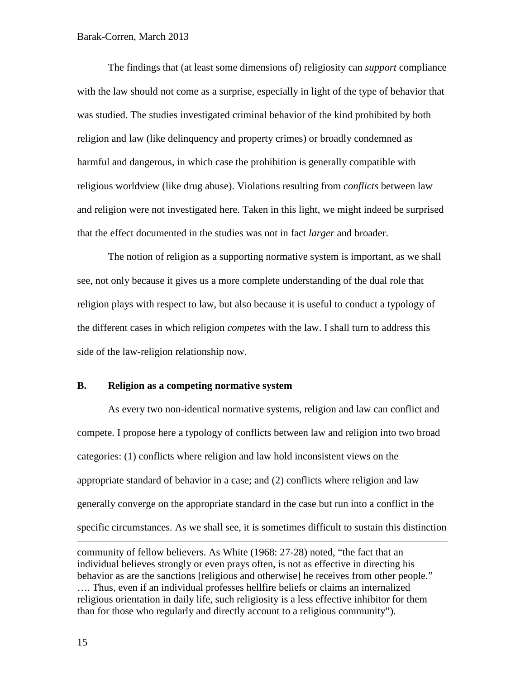The findings that (at least some dimensions of) religiosity can *support* compliance with the law should not come as a surprise, especially in light of the type of behavior that was studied. The studies investigated criminal behavior of the kind prohibited by both religion and law (like delinquency and property crimes) or broadly condemned as harmful and dangerous, in which case the prohibition is generally compatible with religious worldview (like drug abuse). Violations resulting from *conflicts* between law and religion were not investigated here. Taken in this light, we might indeed be surprised that the effect documented in the studies was not in fact *larger* and broader.

The notion of religion as a supporting normative system is important, as we shall see, not only because it gives us a more complete understanding of the dual role that religion plays with respect to law, but also because it is useful to conduct a typology of the different cases in which religion *competes* with the law. I shall turn to address this side of the law-religion relationship now.

## **B. Religion as a competing normative system**

As every two non-identical normative systems, religion and law can conflict and compete. I propose here a typology of conflicts between law and religion into two broad categories: (1) conflicts where religion and law hold inconsistent views on the appropriate standard of behavior in a case; and (2) conflicts where religion and law generally converge on the appropriate standard in the case but run into a conflict in the specific circumstances. As we shall see, it is sometimes difficult to sustain this distinction  $\overline{a}$ 

community of fellow believers. As White (1968: 27-28) noted, "the fact that an individual believes strongly or even prays often, is not as effective in directing his behavior as are the sanctions [religious and otherwise] he receives from other people." …. Thus, even if an individual professes hellfire beliefs or claims an internalized religious orientation in daily life, such religiosity is a less effective inhibitor for them than for those who regularly and directly account to a religious community").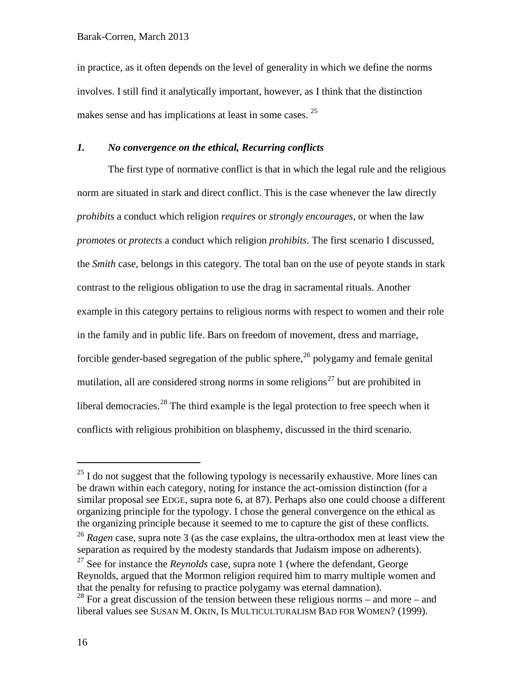in practice, as it often depends on the level of generality in which we define the norms involves. I still find it analytically important, however, as I think that the distinction makes sense and has implications at least in some cases. <sup>[25](#page-15-0)</sup>

# *1. No convergence on the ethical, Recurring conflicts*

The first type of normative conflict is that in which the legal rule and the religious norm are situated in stark and direct conflict. This is the case whenever the law directly *prohibits* a conduct which religion *requires* or *strongly encourages*, or when the law *promotes* or *protects* a conduct which religion *prohibits*. The first scenario I discussed, the *Smith* case, belongs in this category. The total ban on the use of peyote stands in stark contrast to the religious obligation to use the drag in sacramental rituals. Another example in this category pertains to religious norms with respect to women and their role in the family and in public life. Bars on freedom of movement, dress and marriage, forcible gender-based segregation of the public sphere,<sup>[26](#page-15-1)</sup> polygamy and female genital mutilation, all are considered strong norms in some religions<sup>[27](#page-15-2)</sup> but are prohibited in liberal democracies.<sup>[28](#page-15-3)</sup> The third example is the legal protection to free speech when it conflicts with religious prohibition on blasphemy, discussed in the third scenario.

<span id="page-15-0"></span> $25$  I do not suggest that the following typology is necessarily exhaustive. More lines can be drawn within each category, noting for instance the act-omission distinction (for a similar proposal see EDGE, supra note [6,](#page-3-4) at 87). Perhaps also one could choose a different organizing principle for the typology. I chose the general convergence on the ethical as the organizing principle because it seemed to me to capture the gist of these conflicts.

<span id="page-15-1"></span><sup>&</sup>lt;sup>26</sup> *Ragen* case, supra note [3](#page-1-4) (as the case explains, the ultra-orthodox men at least view the separation as required by the modesty standards that Judaism impose on adherents).

<span id="page-15-2"></span><sup>27</sup> See for instance the *Reynolds* case, supra note [1](#page-1-5) (where the defendant, George Reynolds, argued that the Mormon religion required him to marry multiple women and that the penalty for refusing to practice polygamy was eternal damnation).

<span id="page-15-3"></span> $28$  For a great discussion of the tension between these religious norms – and more – and liberal values see SUSAN M. OKIN, IS MULTICULTURALISM BAD FOR WOMEN? (1999).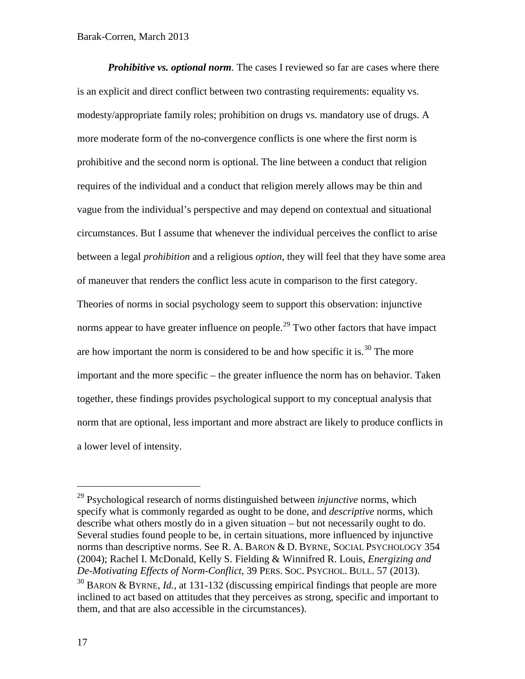*Prohibitive vs. optional norm.* The cases I reviewed so far are cases where there is an explicit and direct conflict between two contrasting requirements: equality vs. modesty/appropriate family roles; prohibition on drugs vs. mandatory use of drugs. A more moderate form of the no-convergence conflicts is one where the first norm is prohibitive and the second norm is optional. The line between a conduct that religion requires of the individual and a conduct that religion merely allows may be thin and vague from the individual's perspective and may depend on contextual and situational circumstances. But I assume that whenever the individual perceives the conflict to arise between a legal *prohibition* and a religious *option*, they will feel that they have some area of maneuver that renders the conflict less acute in comparison to the first category. Theories of norms in social psychology seem to support this observation: injunctive norms appear to have greater influence on people.<sup>[29](#page-16-0)</sup> Two other factors that have impact are how important the norm is considered to be and how specific it is.<sup>[30](#page-16-1)</sup> The more important and the more specific – the greater influence the norm has on behavior. Taken together, these findings provides psychological support to my conceptual analysis that norm that are optional, less important and more abstract are likely to produce conflicts in a lower level of intensity.

<span id="page-16-2"></span><span id="page-16-0"></span> <sup>29</sup> Psychological research of norms distinguished between *injunctive* norms, which specify what is commonly regarded as ought to be done, and *descriptive* norms, which describe what others mostly do in a given situation – but not necessarily ought to do. Several studies found people to be, in certain situations, more influenced by injunctive norms than descriptive norms. See R. A. BARON & D. BYRNE, SOCIAL PSYCHOLOGY 354 (2004); Rachel I. McDonald, Kelly S. Fielding & Winnifred R. Louis, *Energizing and De-Motivating Effects of Norm-Conflict*, 39 PERS. SOC. PSYCHOL. BULL. 57 (2013). <sup>30</sup> BARON & BYRNE, *Id.,* at 131-132 (discussing empirical findings that people are more

<span id="page-16-1"></span>inclined to act based on attitudes that they perceives as strong, specific and important to them, and that are also accessible in the circumstances).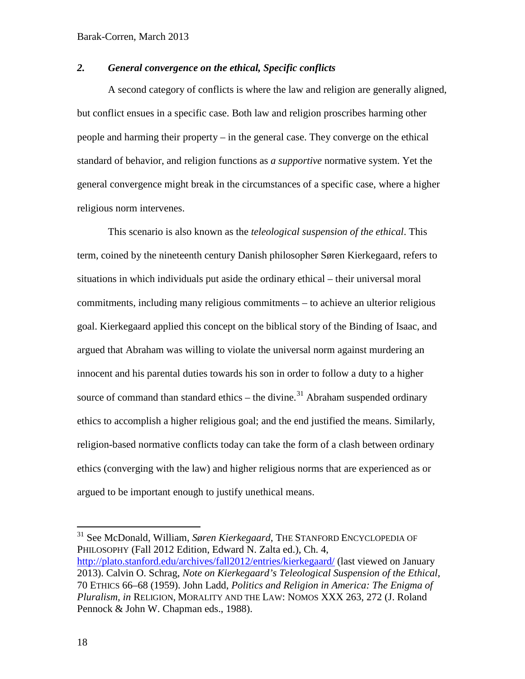# *2. General convergence on the ethical, Specific conflicts*

A second category of conflicts is where the law and religion are generally aligned, but conflict ensues in a specific case. Both law and religion proscribes harming other people and harming their property – in the general case. They converge on the ethical standard of behavior, and religion functions as *a supportive* normative system. Yet the general convergence might break in the circumstances of a specific case, where a higher religious norm intervenes.

This scenario is also known as the *teleological suspension of the ethical*. This term, coined by the nineteenth century Danish philosopher Søren Kierkegaard, refers to situations in which individuals put aside the ordinary ethical – their universal moral commitments, including many religious commitments – to achieve an ulterior religious goal. Kierkegaard applied this concept on the biblical story of the Binding of Isaac, and argued that Abraham was willing to violate the universal norm against murdering an innocent and his parental duties towards his son in order to follow a duty to a higher source of command than standard ethics – the divine.<sup>[31](#page-17-0)</sup> Abraham suspended ordinary ethics to accomplish a higher religious goal; and the end justified the means. Similarly, religion-based normative conflicts today can take the form of a clash between ordinary ethics (converging with the law) and higher religious norms that are experienced as or argued to be important enough to justify unethical means.

<span id="page-17-0"></span> 31 See McDonald, William, *Søren Kierkegaard*, THE STANFORD ENCYCLOPEDIA OF PHILOSOPHY (Fall 2012 Edition, Edward N. Zalta ed.), Ch. 4, <http://plato.stanford.edu/archives/fall2012/entries/kierkegaard/> (last viewed on January 2013). Calvin O. Schrag, *Note on Kierkegaard's Teleological Suspension of the Ethical*, 70 ETHICS 66–68 (1959). John Ladd, *Politics and Religion in America: The Enigma of Pluralism, in* RELIGION, MORALITY AND THE LAW: NOMOS XXX 263, 272 (J. Roland Pennock & John W. Chapman eds., 1988).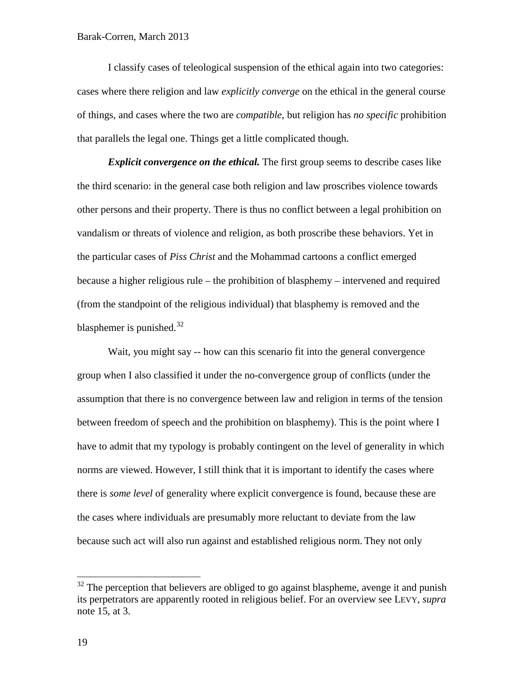I classify cases of teleological suspension of the ethical again into two categories: cases where there religion and law *explicitly converge* on the ethical in the general course of things, and cases where the two are *compatible*, but religion has *no specific* prohibition that parallels the legal one. Things get a little complicated though.

*Explicit convergence on the ethical.* The first group seems to describe cases like the third scenario: in the general case both religion and law proscribes violence towards other persons and their property. There is thus no conflict between a legal prohibition on vandalism or threats of violence and religion, as both proscribe these behaviors. Yet in the particular cases of *Piss Christ* and the Mohammad cartoons a conflict emerged because a higher religious rule – the prohibition of blasphemy – intervened and required (from the standpoint of the religious individual) that blasphemy is removed and the blasphemer is punished.<sup>[32](#page-18-0)</sup>

Wait, you might say -- how can this scenario fit into the general convergence group when I also classified it under the no-convergence group of conflicts (under the assumption that there is no convergence between law and religion in terms of the tension between freedom of speech and the prohibition on blasphemy). This is the point where I have to admit that my typology is probably contingent on the level of generality in which norms are viewed. However, I still think that it is important to identify the cases where there is *some level* of generality where explicit convergence is found, because these are the cases where individuals are presumably more reluctant to deviate from the law because such act will also run against and established religious norm. They not only

<span id="page-18-0"></span> $32$  The perception that believers are obliged to go against blaspheme, avenge it and punish its perpetrators are apparently rooted in religious belief. For an overview see LEVY, *supra* note [15,](#page-6-2) at 3.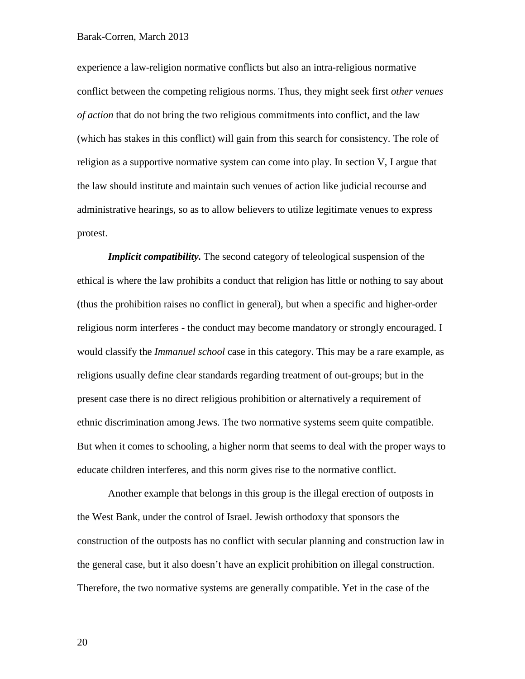experience a law-religion normative conflicts but also an intra-religious normative conflict between the competing religious norms. Thus, they might seek first *other venues of action* that do not bring the two religious commitments into conflict, and the law (which has stakes in this conflict) will gain from this search for consistency. The role of religion as a supportive normative system can come into play. In section V, I argue that the law should institute and maintain such venues of action like judicial recourse and administrative hearings, so as to allow believers to utilize legitimate venues to express protest.

*Implicit compatibility.* The second category of teleological suspension of the ethical is where the law prohibits a conduct that religion has little or nothing to say about (thus the prohibition raises no conflict in general), but when a specific and higher-order religious norm interferes - the conduct may become mandatory or strongly encouraged. I would classify the *Immanuel school* case in this category. This may be a rare example, as religions usually define clear standards regarding treatment of out-groups; but in the present case there is no direct religious prohibition or alternatively a requirement of ethnic discrimination among Jews. The two normative systems seem quite compatible. But when it comes to schooling, a higher norm that seems to deal with the proper ways to educate children interferes, and this norm gives rise to the normative conflict.

Another example that belongs in this group is the illegal erection of outposts in the West Bank, under the control of Israel. Jewish orthodoxy that sponsors the construction of the outposts has no conflict with secular planning and construction law in the general case, but it also doesn't have an explicit prohibition on illegal construction. Therefore, the two normative systems are generally compatible. Yet in the case of the

20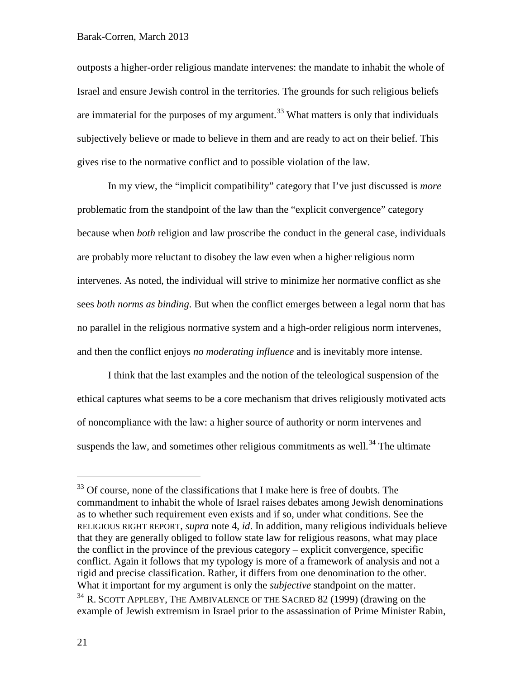outposts a higher-order religious mandate intervenes: the mandate to inhabit the whole of Israel and ensure Jewish control in the territories. The grounds for such religious beliefs are immaterial for the purposes of my argument.<sup>[33](#page-20-0)</sup> What matters is only that individuals subjectively believe or made to believe in them and are ready to act on their belief. This gives rise to the normative conflict and to possible violation of the law.

In my view, the "implicit compatibility" category that I've just discussed is *more* problematic from the standpoint of the law than the "explicit convergence" category because when *both* religion and law proscribe the conduct in the general case, individuals are probably more reluctant to disobey the law even when a higher religious norm intervenes. As noted, the individual will strive to minimize her normative conflict as she sees *both norms as binding*. But when the conflict emerges between a legal norm that has no parallel in the religious normative system and a high-order religious norm intervenes, and then the conflict enjoys *no moderating influence* and is inevitably more intense.

I think that the last examples and the notion of the teleological suspension of the ethical captures what seems to be a core mechanism that drives religiously motivated acts of noncompliance with the law: a higher source of authority or norm intervenes and suspends the law, and sometimes other religious commitments as well.<sup>[34](#page-20-1)</sup> The ultimate

<span id="page-20-0"></span><sup>&</sup>lt;sup>33</sup> Of course, none of the classifications that I make here is free of doubts. The commandment to inhabit the whole of Israel raises debates among Jewish denominations as to whether such requirement even exists and if so, under what conditions. See the RELIGIOUS RIGHT REPORT, *supra* note [4,](#page-2-1) *id*. In addition, many religious individuals believe that they are generally obliged to follow state law for religious reasons, what may place the conflict in the province of the previous category – explicit convergence, specific conflict. Again it follows that my typology is more of a framework of analysis and not a rigid and precise classification. Rather, it differs from one denomination to the other. What it important for my argument is only the *subjective* standpoint on the matter.<br><sup>34</sup> R. SCOTT APPLEBY, THE AMBIVALENCE OF THE SACRED 82 (1999) (drawing on the

<span id="page-20-1"></span>example of Jewish extremism in Israel prior to the assassination of Prime Minister Rabin,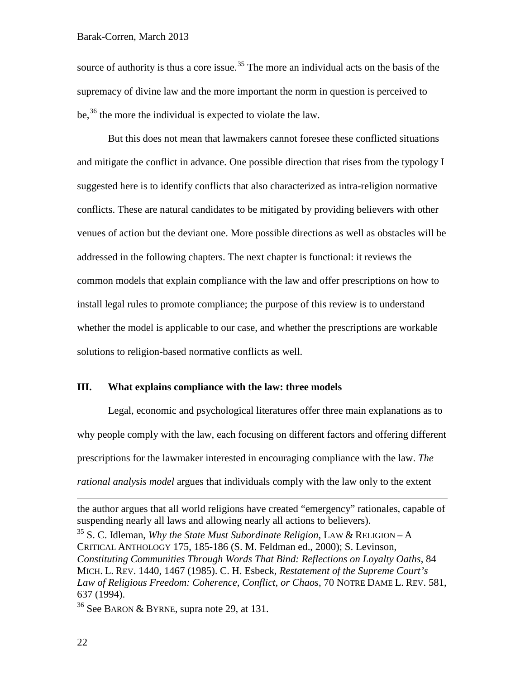source of authority is thus a core issue.<sup>[35](#page-21-0)</sup> The more an individual acts on the basis of the supremacy of divine law and the more important the norm in question is perceived to be,  $36$  the more the individual is expected to violate the law.

But this does not mean that lawmakers cannot foresee these conflicted situations and mitigate the conflict in advance. One possible direction that rises from the typology I suggested here is to identify conflicts that also characterized as intra-religion normative conflicts. These are natural candidates to be mitigated by providing believers with other venues of action but the deviant one. More possible directions as well as obstacles will be addressed in the following chapters. The next chapter is functional: it reviews the common models that explain compliance with the law and offer prescriptions on how to install legal rules to promote compliance; the purpose of this review is to understand whether the model is applicable to our case, and whether the prescriptions are workable solutions to religion-based normative conflicts as well.

# **III. What explains compliance with the law: three models**

Legal, economic and psychological literatures offer three main explanations as to why people comply with the law, each focusing on different factors and offering different prescriptions for the lawmaker interested in encouraging compliance with the law. *The rational analysis model* argues that individuals comply with the law only to the extent

 $\overline{a}$ 

the author argues that all world religions have created "emergency" rationales, capable of suspending nearly all laws and allowing nearly all actions to believers).

<span id="page-21-0"></span><sup>35</sup> S. C. Idleman, *Why the State Must Subordinate Religion*, LAW & RELIGION – A CRITICAL ANTHOLOGY 175, 185-186 (S. M. Feldman ed., 2000); S. Levinson, *Constituting Communities Through Words That Bind: Reflections on Loyalty Oaths*, 84 MICH. L. REV. 1440, 1467 (1985). C. H. Esbeck, *Restatement of the Supreme Court's Law of Religious Freedom: Coherence, Conflict, or Chaos*, 70 NOTRE DAME L. REV. 581, 637 (1994).

<span id="page-21-1"></span><sup>&</sup>lt;sup>36</sup> See BARON & BYRNE, supra note [29,](#page-16-2) at 131.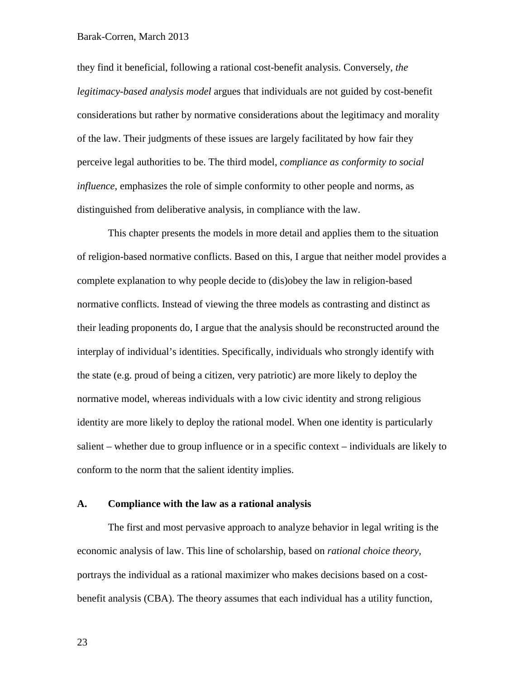they find it beneficial, following a rational cost-benefit analysis. Conversely, *the legitimacy-based analysis model* argues that individuals are not guided by cost-benefit considerations but rather by normative considerations about the legitimacy and morality of the law. Their judgments of these issues are largely facilitated by how fair they perceive legal authorities to be. The third model, *compliance as conformity to social influence*, emphasizes the role of simple conformity to other people and norms, as distinguished from deliberative analysis, in compliance with the law.

This chapter presents the models in more detail and applies them to the situation of religion-based normative conflicts. Based on this, I argue that neither model provides a complete explanation to why people decide to (dis)obey the law in religion-based normative conflicts. Instead of viewing the three models as contrasting and distinct as their leading proponents do, I argue that the analysis should be reconstructed around the interplay of individual's identities. Specifically, individuals who strongly identify with the state (e.g. proud of being a citizen, very patriotic) are more likely to deploy the normative model, whereas individuals with a low civic identity and strong religious identity are more likely to deploy the rational model. When one identity is particularly salient – whether due to group influence or in a specific context – individuals are likely to conform to the norm that the salient identity implies.

## **A. Compliance with the law as a rational analysis**

The first and most pervasive approach to analyze behavior in legal writing is the economic analysis of law. This line of scholarship, based on *rational choice theory*, portrays the individual as a rational maximizer who makes decisions based on a costbenefit analysis (CBA). The theory assumes that each individual has a utility function,

23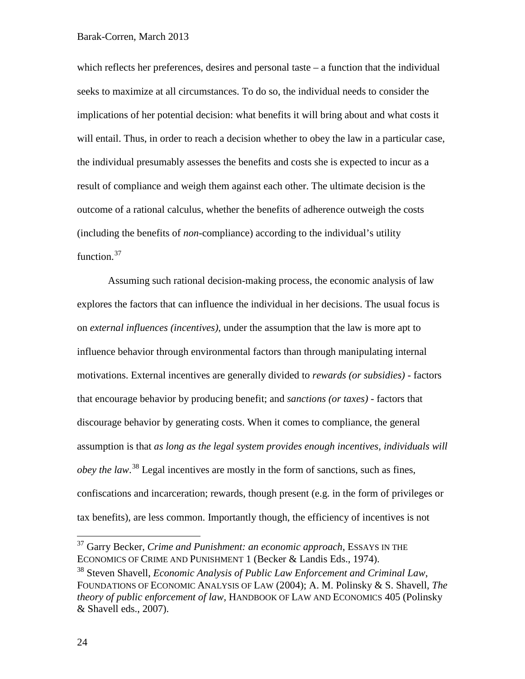which reflects her preferences, desires and personal taste – a function that the individual seeks to maximize at all circumstances. To do so, the individual needs to consider the implications of her potential decision: what benefits it will bring about and what costs it will entail. Thus, in order to reach a decision whether to obey the law in a particular case, the individual presumably assesses the benefits and costs she is expected to incur as a result of compliance and weigh them against each other. The ultimate decision is the outcome of a rational calculus, whether the benefits of adherence outweigh the costs (including the benefits of *non*-compliance) according to the individual's utility function.<sup>[37](#page-23-0)</sup>

Assuming such rational decision-making process, the economic analysis of law explores the factors that can influence the individual in her decisions. The usual focus is on *external influences (incentives)*, under the assumption that the law is more apt to influence behavior through environmental factors than through manipulating internal motivations. External incentives are generally divided to *rewards (or subsidies)* - factors that encourage behavior by producing benefit; and *sanctions (or taxes)* - factors that discourage behavior by generating costs. When it comes to compliance, the general assumption is that *as long as the legal system provides enough incentives, individuals will obey the law*. [38](#page-23-1) Legal incentives are mostly in the form of sanctions, such as fines, confiscations and incarceration; rewards, though present (e.g. in the form of privileges or tax benefits), are less common. Importantly though, the efficiency of incentives is not

<span id="page-23-2"></span><span id="page-23-0"></span> <sup>37</sup> Garry Becker, *Crime and Punishment: an economic approach*, ESSAYS IN THE ECONOMICS OF CRIME AND PUNISHMENT 1 (Becker & Landis Eds., 1974).

<span id="page-23-1"></span><sup>38</sup> Steven Shavell, *Economic Analysis of Public Law Enforcement and Criminal Law*, FOUNDATIONS OF ECONOMIC ANALYSIS OF LAW (2004); A. M. Polinsky & S. Shavell, *The theory of public enforcement of law,* HANDBOOK OF LAW AND ECONOMICS 405 (Polinsky & Shavell eds., 2007).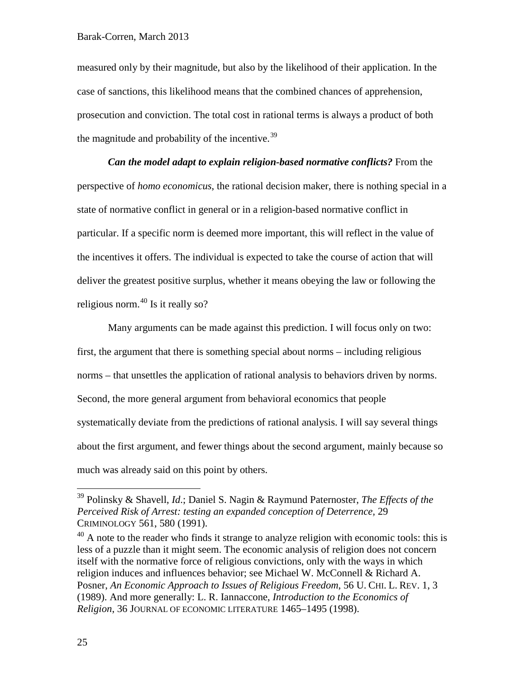measured only by their magnitude, but also by the likelihood of their application. In the case of sanctions, this likelihood means that the combined chances of apprehension, prosecution and conviction. The total cost in rational terms is always a product of both the magnitude and probability of the incentive.<sup>[39](#page-24-0)</sup>

*Can the model adapt to explain religion-based normative conflicts?* From the perspective of *homo economicus*, the rational decision maker, there is nothing special in a state of normative conflict in general or in a religion-based normative conflict in particular. If a specific norm is deemed more important, this will reflect in the value of the incentives it offers. The individual is expected to take the course of action that will deliver the greatest positive surplus, whether it means obeying the law or following the religious norm. $40$  Is it really so?

Many arguments can be made against this prediction. I will focus only on two: first, the argument that there is something special about norms – including religious norms – that unsettles the application of rational analysis to behaviors driven by norms. Second, the more general argument from behavioral economics that people systematically deviate from the predictions of rational analysis. I will say several things about the first argument, and fewer things about the second argument, mainly because so much was already said on this point by others.

<span id="page-24-0"></span> <sup>39</sup> Polinsky & Shavell, *Id*.; Daniel S. Nagin & Raymund Paternoster, *The Effects of the Perceived Risk of Arrest: testing an expanded conception of Deterrence,* 29 CRIMINOLOGY 561, 580 (1991).

<span id="page-24-1"></span> $40$  A note to the reader who finds it strange to analyze religion with economic tools: this is less of a puzzle than it might seem. The economic analysis of religion does not concern itself with the normative force of religious convictions, only with the ways in which religion induces and influences behavior; see Michael W. McConnell & Richard A. Posner, *An Economic Approach to Issues of Religious Freedom*, 56 U. CHI. L. REV. 1, 3 (1989). And more generally: L. R. Iannaccone, *Introduction to the Economics of Religion*, 36 JOURNAL OF ECONOMIC LITERATURE 1465–1495 (1998).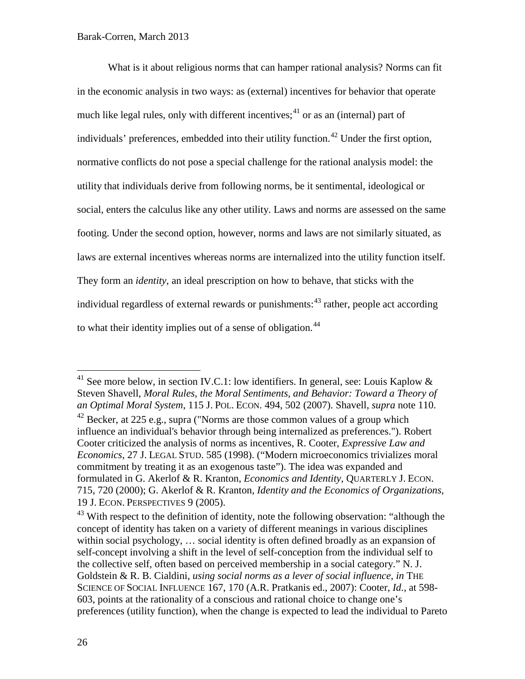<span id="page-25-4"></span>What is it about religious norms that can hamper rational analysis? Norms can fit in the economic analysis in two ways: as (external) incentives for behavior that operate much like legal rules, only with different incentives;<sup>[41](#page-25-0)</sup> or as an (internal) part of individuals' preferences, embedded into their utility function.<sup>[42](#page-25-1)</sup> Under the first option, normative conflicts do not pose a special challenge for the rational analysis model: the utility that individuals derive from following norms, be it sentimental, ideological or social, enters the calculus like any other utility. Laws and norms are assessed on the same footing. Under the second option, however, norms and laws are not similarly situated, as laws are external incentives whereas norms are internalized into the utility function itself. They form an *identity*, an ideal prescription on how to behave, that sticks with the individual regardless of external rewards or punishments:<sup>[43](#page-25-2)</sup> rather, people act according to what their identity implies out of a sense of obligation.<sup>[44](#page-25-3)</sup>

<span id="page-25-0"></span><sup>&</sup>lt;sup>41</sup> See more below, in section IV.C.1: low identifiers. In general, see: Louis Kaplow  $\&$ Steven Shavell, *Moral Rules, the Moral Sentiments, and Behavior: Toward a Theory of an Optimal Moral System*, 115 J. POL. ECON. 494, 502 (2007). Shavell, *supra* note [110.](#page-53-0)

<span id="page-25-3"></span><span id="page-25-1"></span> $42$  Becker, at 225 e.g., supra ("Norms are those common values of a group which influence an individual's behavior through being internalized as preferences."). Robert Cooter criticized the analysis of norms as incentives, R. Cooter, *Expressive Law and Economics*, 27 J. LEGAL STUD. 585 (1998). ("Modern microeconomics trivializes moral commitment by treating it as an exogenous taste"). The idea was expanded and formulated in G. Akerlof & R. Kranton, *Economics and Identity*, QUARTERLY J. ECON. 715, 720 (2000); G. Akerlof & R. Kranton, *Identity and the Economics of Organizations*, 19 J. ECON. PERSPECTIVES 9 (2005).

<span id="page-25-2"></span><sup>&</sup>lt;sup>43</sup> With respect to the definition of identity, note the following observation: "although the concept of identity has taken on a variety of different meanings in various disciplines within social psychology, … social identity is often defined broadly as an expansion of self-concept involving a shift in the level of self-conception from the individual self to the collective self, often based on perceived membership in a social category." N. J. Goldstein & R. B. Cialdini, *using social norms as a lever of social influence, in* THE SCIENCE OF SOCIAL INFLUENCE 167, 170 (A.R. Pratkanis ed., 2007): Cooter, *Id.*, at 598- 603, points at the rationality of a conscious and rational choice to change one's preferences (utility function), when the change is expected to lead the individual to Pareto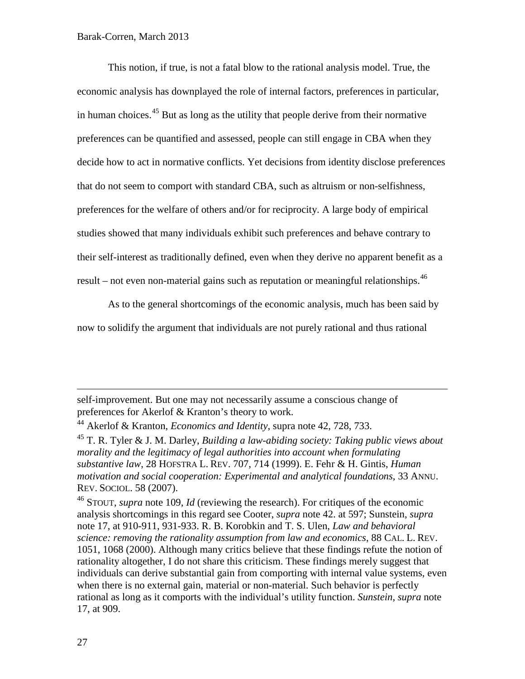<span id="page-26-2"></span>This notion, if true, is not a fatal blow to the rational analysis model. True, the economic analysis has downplayed the role of internal factors, preferences in particular, in human choices.<sup>[45](#page-26-0)</sup> But as long as the utility that people derive from their normative preferences can be quantified and assessed, people can still engage in CBA when they decide how to act in normative conflicts. Yet decisions from identity disclose preferences that do not seem to comport with standard CBA, such as altruism or non-selfishness, preferences for the welfare of others and/or for reciprocity. A large body of empirical studies showed that many individuals exhibit such preferences and behave contrary to their self-interest as traditionally defined, even when they derive no apparent benefit as a result – not even non-material gains such as reputation or meaningful relationships.<sup>[46](#page-26-1)</sup>

<span id="page-26-3"></span>As to the general shortcomings of the economic analysis, much has been said by

now to solidify the argument that individuals are not purely rational and thus rational

self-improvement. But one may not necessarily assume a conscious change of preferences for Akerlof & Kranton's theory to work.

<span id="page-26-1"></span><sup>46</sup> STOUT, *supra* note [109,](#page-52-0) *Id* (reviewing the research). For critiques of the economic analysis shortcomings in this regard see Cooter, *supra* note [42.](#page-25-4) at 597; Sunstein, *supra*  note [17,](#page-10-0) at 910-911, 931-933. R. B. Korobkin and T. S. Ulen, *Law and behavioral science: removing the rationality assumption from law and economics*, 88 CAL. L. REV. 1051, 1068 (2000). Although many critics believe that these findings refute the notion of rationality altogether, I do not share this criticism. These findings merely suggest that individuals can derive substantial gain from comporting with internal value systems, even when there is no external gain, material or non-material. Such behavior is perfectly rational as long as it comports with the individual's utility function. *Sunstein*, *supra* note [17,](#page-10-0) at 909.

 $\overline{a}$ 

<sup>44</sup> Akerlof & Kranton, *Economics and Identity*, supra note [42,](#page-25-4) 728, 733.

<span id="page-26-0"></span><sup>45</sup> T. R. Tyler & J. M. Darley, *Building a law-abiding society: Taking public views about morality and the legitimacy of legal authorities into account when formulating substantive law*, 28 HOFSTRA L. REV. 707, 714 (1999). E. Fehr & H. Gintis, *Human motivation and social cooperation: Experimental and analytical foundations*, 33 ANNU. REV. SOCIOL. 58 (2007).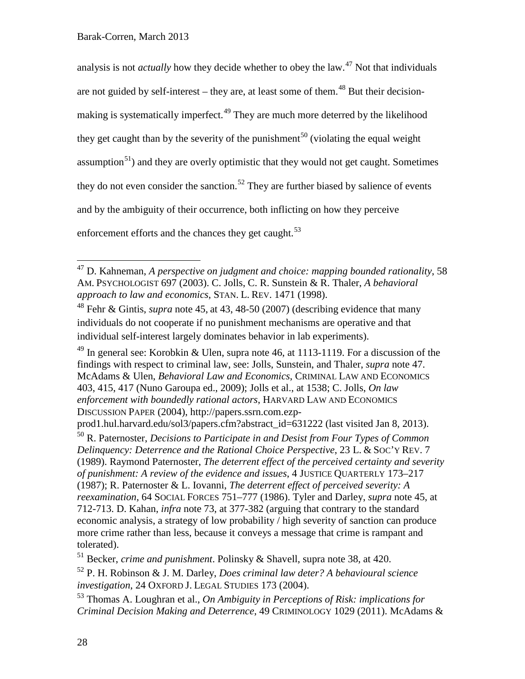<span id="page-27-8"></span><span id="page-27-0"></span>analysis is not *actually* how they decide whether to obey the law.[47](#page-27-1) Not that individuals are not guided by self-interest – they are, at least some of them.<sup>[48](#page-27-2)</sup> But their decision-making is systematically imperfect.<sup>[49](#page-27-3)</sup> They are much more deterred by the likelihood they get caught than by the severity of the punishment<sup>[50](#page-27-4)</sup> (violating the equal weight assumption<sup>[51](#page-27-5)</sup>) and they are overly optimistic that they would not get caught. Sometimes they do not even consider the sanction.<sup>[52](#page-27-6)</sup> They are further biased by salience of events and by the ambiguity of their occurrence, both inflicting on how they perceive enforcement efforts and the chances they get caught.<sup>[53](#page-27-7)</sup>

<span id="page-27-2"></span><sup>48</sup> Fehr & Gintis, *supra* note [45,](#page-26-2) at 43, 48-50 (2007) (describing evidence that many individuals do not cooperate if no punishment mechanisms are operative and that individual self-interest largely dominates behavior in lab experiments).

<span id="page-27-3"></span> $49$  In general see: Korobkin & Ulen, supra note [46,](#page-26-3) at 1113-1119. For a discussion of the findings with respect to criminal law, see: Jolls, Sunstein, and Thaler, *supra* note [47.](#page-27-0) McAdams & Ulen, *Behavioral Law and Economics*, CRIMINAL LAW AND ECONOMICS 403, 415, 417 (Nuno Garoupa ed., 2009); Jolls et al., at 1538; C. Jolls, *On law enforcement with boundedly rational actors*, HARVARD LAW AND ECONOMICS DISCUSSION PAPER (2004), http://papers.ssrn.com.ezp-

<span id="page-27-9"></span><span id="page-27-1"></span> <sup>47</sup> D. Kahneman, *A perspective on judgment and choice: mapping bounded rationality*, 58 AM. PSYCHOLOGIST 697 (2003). C. Jolls, C. R. Sunstein & R. Thaler, *A behavioral approach to law and economics*, STAN. L. REV. 1471 (1998).

prod1.hul.harvard.edu/sol3/papers.cfm?abstract\_id=631222 (last visited Jan 8, 2013).

<span id="page-27-4"></span><sup>50</sup> R. Paternoster, *Decisions to Participate in and Desist from Four Types of Common Delinquency: Deterrence and the Rational Choice Perspective*, 23 L. & SOC'Y REV. 7 (1989). Raymond Paternoster, *The deterrent effect of the perceived certainty and severity of punishment: A review of the evidence and issues*, 4 JUSTICE QUARTERLY 173–217 (1987); R. Paternoster & L. Iovanni, *The deterrent effect of perceived severity: A reexamination*, 64 SOCIAL FORCES 751–777 (1986). Tyler and Darley, *supra* note [45,](#page-26-2) at 712-713. D. Kahan, *infra* note [73,](#page-34-0) at 377-382 (arguing that contrary to the standard economic analysis, a strategy of low probability / high severity of sanction can produce more crime rather than less, because it conveys a message that crime is rampant and tolerated).

<span id="page-27-5"></span><sup>51</sup> Becker, *crime and punishment*. Polinsky & Shavell, supra note [38,](#page-23-2) at 420.

<span id="page-27-6"></span><sup>52</sup> P. H. Robinson & J. M. Darley, *Does criminal law deter? A behavioural science investigation*, 24 OXFORD J. LEGAL STUDIES 173 (2004).

<span id="page-27-7"></span><sup>53</sup> Thomas A. Loughran et al., *On Ambiguity in Perceptions of Risk: implications for Criminal Decision Making and Deterrence*, 49 CRIMINOLOGY 1029 (2011). McAdams &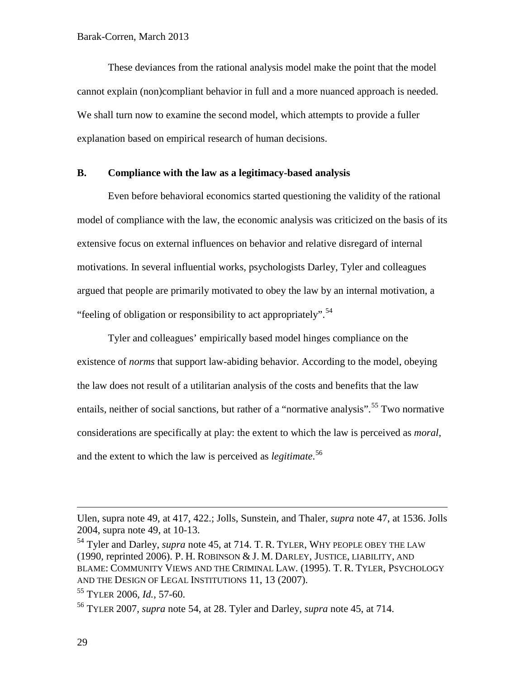These deviances from the rational analysis model make the point that the model cannot explain (non)compliant behavior in full and a more nuanced approach is needed. We shall turn now to examine the second model, which attempts to provide a fuller explanation based on empirical research of human decisions.

# **B. Compliance with the law as a legitimacy-based analysis**

Even before behavioral economics started questioning the validity of the rational model of compliance with the law, the economic analysis was criticized on the basis of its extensive focus on external influences on behavior and relative disregard of internal motivations. In several influential works, psychologists Darley, Tyler and colleagues argued that people are primarily motivated to obey the law by an internal motivation, a "feeling of obligation or responsibility to act appropriately".<sup>[54](#page-28-1)</sup>

<span id="page-28-0"></span>Tyler and colleagues' empirically based model hinges compliance on the existence of *norms* that support law-abiding behavior. According to the model, obeying the law does not result of a utilitarian analysis of the costs and benefits that the law entails, neither of social sanctions, but rather of a "normative analysis".<sup>[55](#page-28-2)</sup> Two normative considerations are specifically at play: the extent to which the law is perceived as *moral*, and the extent to which the law is perceived as *legitimate*. [56](#page-28-3)

 $\overline{a}$ 

Ulen, supra note [49,](#page-27-8) at 417, 422.; Jolls, Sunstein, and Thaler, *supra* note [47,](#page-27-0) at 1536. Jolls 2004, supra note [49,](#page-27-8) at 10-13.

<span id="page-28-1"></span><sup>54</sup> Tyler and Darley, *supra* note [45,](#page-26-2) at 714. T. R. TYLER, WHY PEOPLE OBEY THE LAW (1990, reprinted 2006). P. H. ROBINSON & J. M. DARLEY, JUSTICE, LIABILITY, AND BLAME: COMMUNITY VIEWS AND THE CRIMINAL LAW. (1995). T. R. TYLER, PSYCHOLOGY AND THE DESIGN OF LEGAL INSTITUTIONS 11, 13 (2007).

<span id="page-28-2"></span><sup>55</sup> TYLER 2006, *Id.*, 57-60.

<span id="page-28-3"></span><sup>56</sup> TYLER 2007, *supra* note [54,](#page-28-0) at 28. Tyler and Darley, *supra* note [45,](#page-26-2) at 714.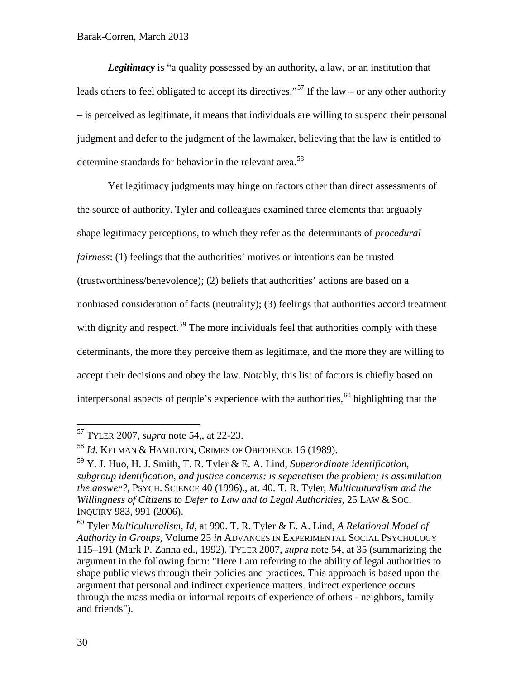*Legitimacy* is "a quality possessed by an authority, a law, or an institution that leads others to feel obligated to accept its directives."<sup>[57](#page-29-0)</sup> If the law – or any other authority – is perceived as legitimate, it means that individuals are willing to suspend their personal judgment and defer to the judgment of the lawmaker, believing that the law is entitled to determine standards for behavior in the relevant area.<sup>[58](#page-29-1)</sup>

Yet legitimacy judgments may hinge on factors other than direct assessments of the source of authority. Tyler and colleagues examined three elements that arguably shape legitimacy perceptions, to which they refer as the determinants of *procedural fairness*: (1) feelings that the authorities' motives or intentions can be trusted (trustworthiness/benevolence); (2) beliefs that authorities' actions are based on a nonbiased consideration of facts (neutrality); (3) feelings that authorities accord treatment with dignity and respect.<sup>[59](#page-29-2)</sup> The more individuals feel that authorities comply with these determinants, the more they perceive them as legitimate, and the more they are willing to accept their decisions and obey the law. Notably, this list of factors is chiefly based on interpersonal aspects of people's experience with the authorities,  $60$  highlighting that the

<span id="page-29-4"></span><span id="page-29-0"></span> <sup>57</sup> TYLER 2007, *supra* note [54,](#page-28-0), at 22-23.

<span id="page-29-1"></span><sup>58</sup> *Id*. KELMAN & HAMILTON, CRIMES OF OBEDIENCE 16 (1989).

<span id="page-29-2"></span><sup>59</sup> Y. J. Huo, H. J. Smith, T. R. Tyler & E. A. Lind, *Superordinate identification, subgroup identification, and justice concerns: is separatism the problem; is assimilation the answer?*, PSYCH. SCIENCE 40 (1996)., at. 40. T. R. Tyler, *Multiculturalism and the Willingness of Citizens to Defer to Law and to Legal Authorities*, 25 LAW & SOC. INQUIRY 983, 991 (2006).

<span id="page-29-3"></span><sup>60</sup> Tyler *Multiculturalism*, *Id*, at 990. T. R. Tyler & E. A. Lind, *A Relational Model of Authority in Groups*, Volume 25 *in* ADVANCES IN EXPERIMENTAL SOCIAL PSYCHOLOGY 115–191 (Mark P. Zanna ed., 1992). TYLER 2007, *supra* note [54,](#page-28-0) at 35 (summarizing the argument in the following form: "Here I am referring to the ability of legal authorities to shape public views through their policies and practices. This approach is based upon the argument that personal and indirect experience matters. indirect experience occurs through the mass media or informal reports of experience of others - neighbors, family and friends").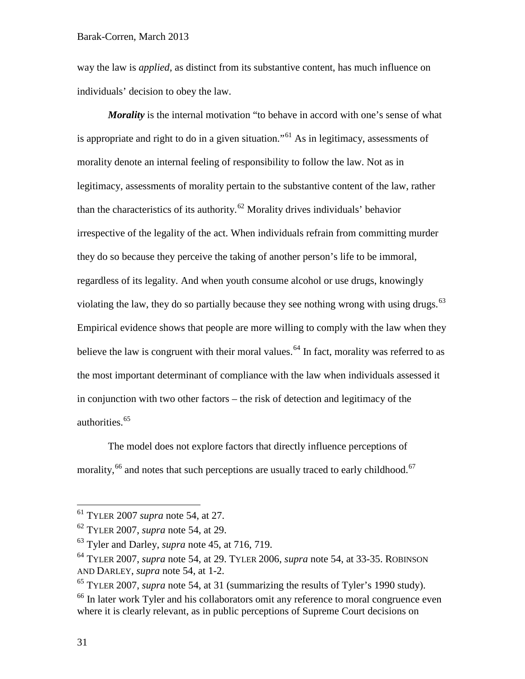way the law is *applied,* as distinct from its substantive content, has much influence on individuals' decision to obey the law.

*Morality* is the internal motivation "to behave in accord with one's sense of what is appropriate and right to do in a given situation."<sup>[61](#page-30-0)</sup> As in legitimacy, assessments of morality denote an internal feeling of responsibility to follow the law. Not as in legitimacy, assessments of morality pertain to the substantive content of the law, rather than the characteristics of its authority.<sup>[62](#page-30-1)</sup> Morality drives individuals' behavior irrespective of the legality of the act. When individuals refrain from committing murder they do so because they perceive the taking of another person's life to be immoral, regardless of its legality. And when youth consume alcohol or use drugs, knowingly violating the law, they do so partially because they see nothing wrong with using drugs.<sup>[63](#page-30-2)</sup> Empirical evidence shows that people are more willing to comply with the law when they believe the law is congruent with their moral values.<sup>[64](#page-30-3)</sup> In fact, morality was referred to as the most important determinant of compliance with the law when individuals assessed it in conjunction with two other factors – the risk of detection and legitimacy of the authorities. [65](#page-30-4)

<span id="page-30-6"></span>The model does not explore factors that directly influence perceptions of morality, <sup>[66](#page-30-5)</sup> and notes that such perceptions are usually traced to early childhood. <sup>[67](#page-30-1)</sup>

<span id="page-30-0"></span> <sup>61</sup> TYLER <sup>2007</sup> *supra* note [54,](#page-28-0) at 27.

<span id="page-30-1"></span><sup>62</sup> TYLER 2007, *supra* note [54,](#page-28-0) at 29.

<span id="page-30-2"></span><sup>63</sup> Tyler and Darley, *supra* note [45,](#page-26-2) at 716, 719.

<span id="page-30-3"></span><sup>64</sup> TYLER 2007, *supra* note [54,](#page-28-0) at 29. TYLER 2006, *supra* note [54,](#page-28-0) at 33-35. ROBINSON AND DARLEY, *supra* note [54,](#page-28-0) at 1-2.

<span id="page-30-4"></span><sup>65</sup> TYLER 2007, *supra* note [54,](#page-28-0) at 31 (summarizing the results of Tyler's 1990 study).

<span id="page-30-5"></span><sup>&</sup>lt;sup>66</sup> In later work Tyler and his collaborators omit any reference to moral congruence even where it is clearly relevant, as in public perceptions of Supreme Court decisions on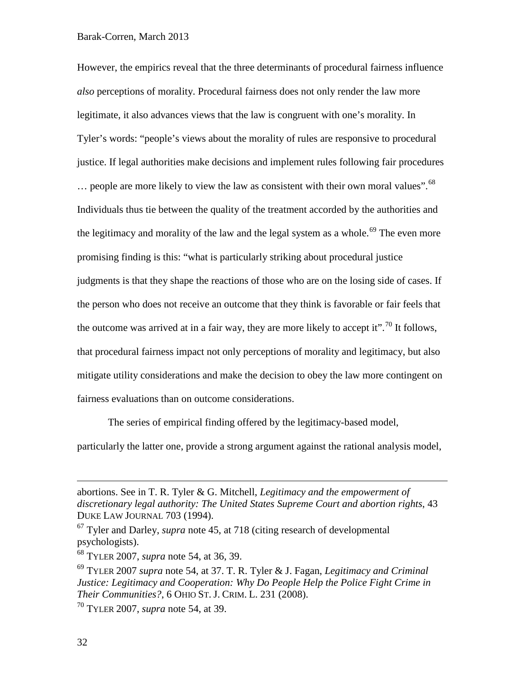However, the empirics reveal that the three determinants of procedural fairness influence *also* perceptions of morality. Procedural fairness does not only render the law more legitimate, it also advances views that the law is congruent with one's morality. In Tyler's words: "people's views about the morality of rules are responsive to procedural justice. If legal authorities make decisions and implement rules following fair procedures  $\ldots$  people are more likely to view the law as consistent with their own moral values".  $^{68}$  $^{68}$  $^{68}$ Individuals thus tie between the quality of the treatment accorded by the authorities and the legitimacy and morality of the law and the legal system as a whole.<sup>[69](#page-31-1)</sup> The even more promising finding is this: "what is particularly striking about procedural justice judgments is that they shape the reactions of those who are on the losing side of cases. If the person who does not receive an outcome that they think is favorable or fair feels that the outcome was arrived at in a fair way, they are more likely to accept it".<sup>[70](#page-31-2)</sup> It follows, that procedural fairness impact not only perceptions of morality and legitimacy, but also mitigate utility considerations and make the decision to obey the law more contingent on fairness evaluations than on outcome considerations.

The series of empirical finding offered by the legitimacy-based model,

particularly the latter one, provide a strong argument against the rational analysis model,

<sup>67</sup> Tyler and Darley, *supra* note [45,](#page-26-2) at 718 (citing research of developmental psychologists).

 $\overline{a}$ 

abortions. See in T. R. Tyler & G. Mitchell, *Legitimacy and the empowerment of discretionary legal authority: The United States Supreme Court and abortion rights*, 43 DUKE LAW JOURNAL 703 (1994).

<span id="page-31-0"></span><sup>68</sup> TYLER 2007, *supra* note [54,](#page-28-0) at 36, 39.

<span id="page-31-1"></span><sup>69</sup> TYLER 2007 *supra* note [54,](#page-28-0) at 37. T. R. Tyler & J. Fagan, *Legitimacy and Criminal Justice: Legitimacy and Cooperation: Why Do People Help the Police Fight Crime in Their Communities?*, 6 OHIO ST. J. CRIM. L. 231 (2008).

<span id="page-31-2"></span><sup>70</sup> TYLER 2007, *supra* note [54,](#page-28-0) at 39.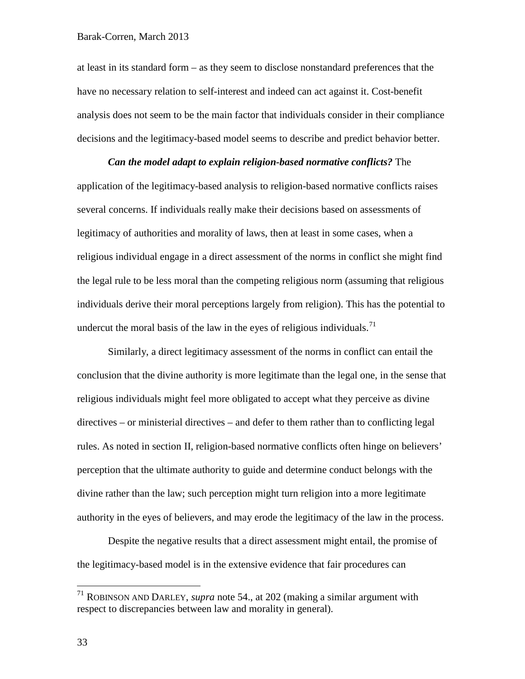at least in its standard form – as they seem to disclose nonstandard preferences that the have no necessary relation to self-interest and indeed can act against it. Cost-benefit analysis does not seem to be the main factor that individuals consider in their compliance decisions and the legitimacy-based model seems to describe and predict behavior better.

*Can the model adapt to explain religion-based normative conflicts?* The application of the legitimacy-based analysis to religion-based normative conflicts raises several concerns. If individuals really make their decisions based on assessments of legitimacy of authorities and morality of laws, then at least in some cases, when a religious individual engage in a direct assessment of the norms in conflict she might find the legal rule to be less moral than the competing religious norm (assuming that religious individuals derive their moral perceptions largely from religion). This has the potential to undercut the moral basis of the law in the eyes of religious individuals.<sup>[71](#page-32-0)</sup>

Similarly, a direct legitimacy assessment of the norms in conflict can entail the conclusion that the divine authority is more legitimate than the legal one, in the sense that religious individuals might feel more obligated to accept what they perceive as divine directives – or ministerial directives – and defer to them rather than to conflicting legal rules. As noted in section II, religion-based normative conflicts often hinge on believers' perception that the ultimate authority to guide and determine conduct belongs with the divine rather than the law; such perception might turn religion into a more legitimate authority in the eyes of believers, and may erode the legitimacy of the law in the process.

Despite the negative results that a direct assessment might entail, the promise of the legitimacy-based model is in the extensive evidence that fair procedures can

<span id="page-32-0"></span> <sup>71</sup> ROBINSON AND DARLEY, *supra* note [54.](#page-28-0), at 202 (making a similar argument with respect to discrepancies between law and morality in general).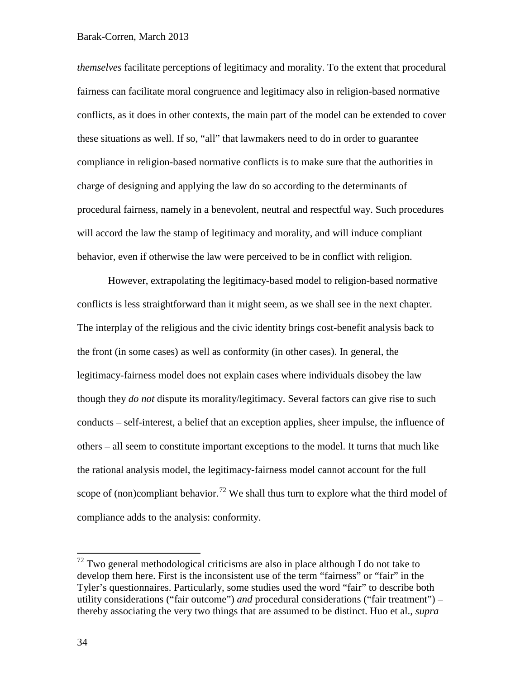*themselves* facilitate perceptions of legitimacy and morality. To the extent that procedural fairness can facilitate moral congruence and legitimacy also in religion-based normative conflicts, as it does in other contexts, the main part of the model can be extended to cover these situations as well. If so, "all" that lawmakers need to do in order to guarantee compliance in religion-based normative conflicts is to make sure that the authorities in charge of designing and applying the law do so according to the determinants of procedural fairness, namely in a benevolent, neutral and respectful way. Such procedures will accord the law the stamp of legitimacy and morality, and will induce compliant behavior, even if otherwise the law were perceived to be in conflict with religion.

However, extrapolating the legitimacy-based model to religion-based normative conflicts is less straightforward than it might seem, as we shall see in the next chapter. The interplay of the religious and the civic identity brings cost-benefit analysis back to the front (in some cases) as well as conformity (in other cases). In general, the legitimacy-fairness model does not explain cases where individuals disobey the law though they *do not* dispute its morality/legitimacy. Several factors can give rise to such conducts – self-interest, a belief that an exception applies, sheer impulse, the influence of others – all seem to constitute important exceptions to the model. It turns that much like the rational analysis model, the legitimacy-fairness model cannot account for the full scope of (non)compliant behavior.<sup>[72](#page-33-0)</sup> We shall thus turn to explore what the third model of compliance adds to the analysis: conformity.

<span id="page-33-0"></span> $72$  Two general methodological criticisms are also in place although I do not take to develop them here. First is the inconsistent use of the term "fairness" or "fair" in the Tyler's questionnaires. Particularly, some studies used the word "fair" to describe both utility considerations ("fair outcome") *and* procedural considerations ("fair treatment") – thereby associating the very two things that are assumed to be distinct. Huo et al., *supra*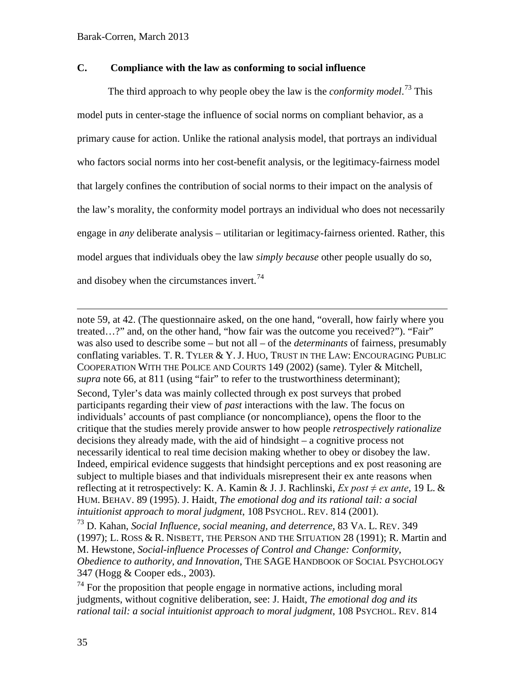# **C. Compliance with the law as conforming to social influence**

<span id="page-34-0"></span>The third approach to why people obey the law is the *conformity model*. [73](#page-34-1) This model puts in center-stage the influence of social norms on compliant behavior, as a primary cause for action. Unlike the rational analysis model, that portrays an individual who factors social norms into her cost-benefit analysis, or the legitimacy-fairness model that largely confines the contribution of social norms to their impact on the analysis of the law's morality, the conformity model portrays an individual who does not necessarily engage in *any* deliberate analysis – utilitarian or legitimacy-fairness oriented. Rather, this model argues that individuals obey the law *simply because* other people usually do so, and disobey when the circumstances invert. $74$ 

note [59,](#page-29-4) at 42. (The questionnaire asked, on the one hand, "overall, how fairly where you treated…?" and, on the other hand, "how fair was the outcome you received?"). "Fair" was also used to describe some – but not all – of the *determinants* of fairness, presumably conflating variables. T. R. TYLER  $& Y.$  J. HUO, TRUST IN THE LAW: ENCOURAGING PUBLIC COOPERATION WITH THE POLICE AND COURTS 149 (2002) (same). Tyler & Mitchell, *supra* note [66,](#page-30-6) at 811 (using "fair" to refer to the trustworthiness determinant); Second, Tyler's data was mainly collected through ex post surveys that probed participants regarding their view of *past* interactions with the law. The focus on individuals' accounts of past compliance (or noncompliance), opens the floor to the critique that the studies merely provide answer to how people *retrospectively rationalize* decisions they already made, with the aid of hindsight – a cognitive process not necessarily identical to real time decision making whether to obey or disobey the law. Indeed, empirical evidence suggests that hindsight perceptions and ex post reasoning are subject to multiple biases and that individuals misrepresent their ex ante reasons when reflecting at it retrospectively: K. A. Kamin & J. J. Rachlinski, *Ex post ≠ ex ante*, 19 L. & HUM. BEHAV. 89 (1995). J. Haidt, *The emotional dog and its rational tail: a social intuitionist approach to moral judgment*, 108 PSYCHOL. REV. 814 (2001).

<span id="page-34-1"></span><sup>73</sup> D. Kahan, *Social Influence, social meaning, and deterrence*, 83 VA. L. REV. 349 (1997); L. ROSS & R. NISBETT, THE PERSON AND THE SITUATION 28 (1991); R. Martin and M. Hewstone, *Social-influence Processes of Control and Change: Conformity, Obedience to authority, and Innovation*, THE SAGE HANDBOOK OF SOCIAL PSYCHOLOGY 347 (Hogg & Cooper eds., 2003).

<span id="page-34-2"></span> $74$  For the proposition that people engage in normative actions, including moral judgments, without cognitive deliberation, see: J. Haidt, *The emotional dog and its rational tail: a social intuitionist approach to moral judgment*, 108 PSYCHOL. REV. 814

 $\overline{a}$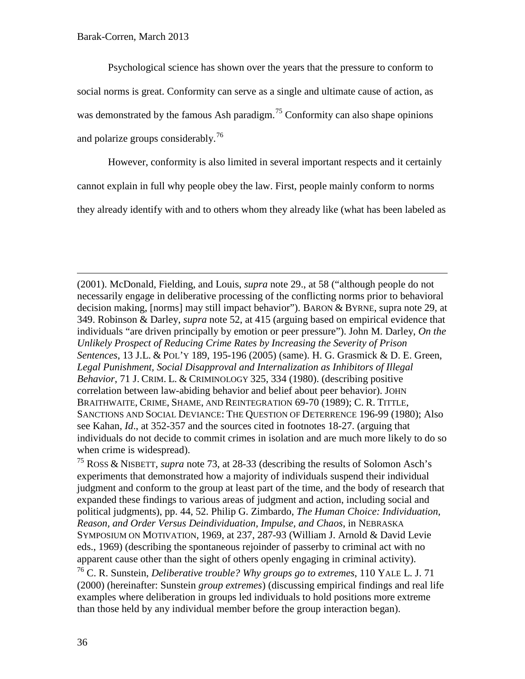Psychological science has shown over the years that the pressure to conform to social norms is great. Conformity can serve as a single and ultimate cause of action, as was demonstrated by the famous Ash paradigm.<sup>[75](#page-35-0)</sup> Conformity can also shape opinions and polarize groups considerably.<sup>[76](#page-35-1)</sup>

However, conformity is also limited in several important respects and it certainly cannot explain in full why people obey the law. First, people mainly conform to norms they already identify with and to others whom they already like (what has been labeled as

(2001). McDonald, Fielding, and Louis, *supra* note [29.](#page-16-2), at 58 ("although people do not necessarily engage in deliberative processing of the conflicting norms prior to behavioral decision making, [norms] may still impact behavior"). BARON & BYRNE, supra note [29,](#page-16-2) at 349. Robinson & Darley, *supra* note [52,](#page-27-9) at 415 (arguing based on empirical evidence that individuals "are driven principally by emotion or peer pressure"). John M. Darley, *On the Unlikely Prospect of Reducing Crime Rates by Increasing the Severity of Prison Sentences*, 13 J.L. & POL'Y 189, 195-196 (2005) (same). H. G. Grasmick & D. E. Green, *Legal Punishment, Social Disapproval and Internalization as Inhibitors of Illegal Behavior*, 71 J. CRIM. L. & CRIMINOLOGY 325, 334 (1980). (describing positive correlation between law-abiding behavior and belief about peer behavior). JOHN BRAITHWAITE, CRIME, SHAME, AND REINTEGRATION 69-70 (1989); C. R. TITTLE, SANCTIONS AND SOCIAL DEVIANCE: THE QUESTION OF DETERRENCE 196-99 (1980); Also see Kahan, *Id*., at 352-357 and the sources cited in footnotes 18-27. (arguing that individuals do not decide to commit crimes in isolation and are much more likely to do so when crime is widespread).

<span id="page-35-0"></span><sup>75</sup> ROSS & NISBETT, *supra* note [73,](#page-34-0) at 28-33 (describing the results of Solomon Asch's experiments that demonstrated how a majority of individuals suspend their individual judgment and conform to the group at least part of the time, and the body of research that expanded these findings to various areas of judgment and action, including social and political judgments), pp. 44, 52. Philip G. Zimbardo, *The Human Choice: Individuation, Reason, and Order Versus Deindividuation, Impulse, and Chaos*, in NEBRASKA SYMPOSIUM ON MOTIVATION, 1969, at 237, 287-93 (William J. Arnold & David Levie eds., 1969) (describing the spontaneous rejoinder of passerby to criminal act with no apparent cause other than the sight of others openly engaging in criminal activity).

<span id="page-35-1"></span><sup>76</sup> C. R. Sunstein, *Deliberative trouble? Why groups go to extremes*, 110 YALE L. J. 71 (2000) (hereinafter: Sunstein *group extremes*) (discussing empirical findings and real life examples where deliberation in groups led individuals to hold positions more extreme than those held by any individual member before the group interaction began).

 $\overline{a}$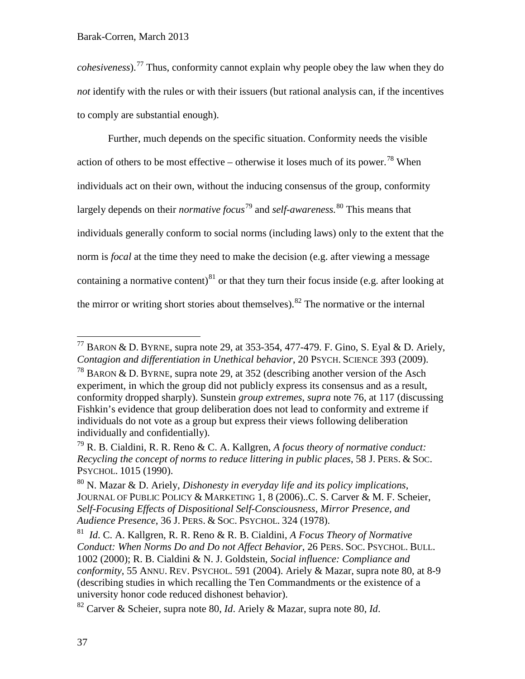*cohesiveness*).[77](#page-36-1) Thus, conformity cannot explain why people obey the law when they do *not* identify with the rules or with their issuers (but rational analysis can, if the incentives to comply are substantial enough).

<span id="page-36-0"></span>Further, much depends on the specific situation. Conformity needs the visible action of others to be most effective – otherwise it loses much of its power.<sup>[78](#page-36-2)</sup> When individuals act on their own, without the inducing consensus of the group, conformity largely depends on their *normative focus*[79](#page-36-3) and *self-awareness.* [80](#page-36-4) This means that individuals generally conform to social norms (including laws) only to the extent that the norm is *focal* at the time they need to make the decision (e.g. after viewing a message containing a normative content)<sup>[81](#page-36-5)</sup> or that they turn their focus inside (e.g. after looking at the mirror or writing short stories about themselves).<sup>[82](#page-36-6)</sup> The normative or the internal

<span id="page-36-1"></span> $^{77}$  BARON & D. BYRNE, supra note [29,](#page-16-0) at 353-354, 477-479. F. Gino, S. Eyal & D. Ariely, *Contagion and differentiation in Unethical behavior*, 20 PSYCH. SCIENCE 393 (2009).

<span id="page-36-2"></span><sup>&</sup>lt;sup>78</sup> BARON & D. BYRNE, supra note [29,](#page-16-0) at 352 (describing another version of the Asch experiment, in which the group did not publicly express its consensus and as a result, conformity dropped sharply). Sunstein *group extremes*, *supra* note [76,](#page-35-0) at 117 (discussing Fishkin's evidence that group deliberation does not lead to conformity and extreme if individuals do not vote as a group but express their views following deliberation individually and confidentially).

<span id="page-36-3"></span><sup>79</sup> R. B. Cialdini, R. R. Reno & C. A. Kallgren, *A focus theory of normative conduct: Recycling the concept of norms to reduce littering in public places*, 58 J. PERS. & SOC. PSYCHOL. 1015 (1990).

<span id="page-36-4"></span><sup>80</sup> N. Mazar & D. Ariely, *Dishonesty in everyday life and its policy implications*, JOURNAL OF PUBLIC POLICY & MARKETING 1, 8 (2006)..C. S. Carver & M. F. Scheier, *Self-Focusing Effects of Dispositional Self-Consciousness, Mirror Presence, and Audience Presence*, 36 J. PERS. & SOC. PSYCHOL. 324 (1978).

<span id="page-36-5"></span><sup>81</sup> *Id*. C. A. Kallgren, R. R. Reno & R. B. Cialdini, *A Focus Theory of Normative Conduct: When Norms Do and Do not Affect Behavior*, 26 PERS. SOC. PSYCHOL. BULL. 1002 (2000); R. B. Cialdini & N. J. Goldstein, *Social influence: Compliance and conformity*, 55 ANNU. REV. PSYCHOL. 591 (2004). Ariely & Mazar, supra note [80,](#page-36-0) at 8-9 (describing studies in which recalling the Ten Commandments or the existence of a university honor code reduced dishonest behavior).

<span id="page-36-6"></span><sup>82</sup> Carver & Scheier, supra note [80,](#page-36-0) *Id*. Ariely & Mazar, supra note [80,](#page-36-0) *Id*.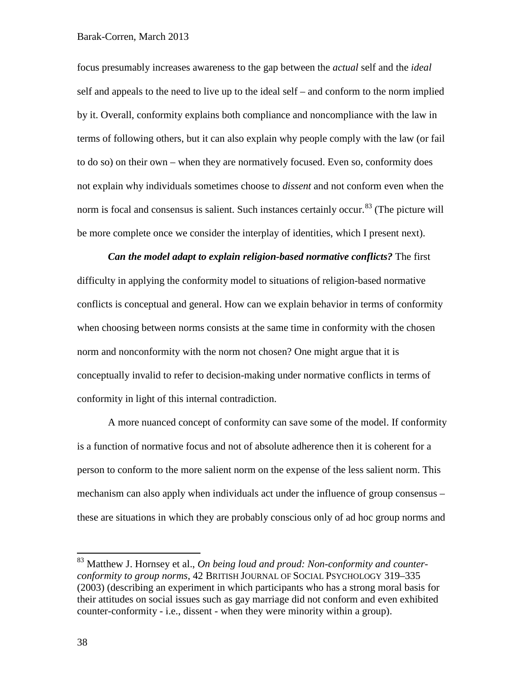### Barak-Corren, March 2013

focus presumably increases awareness to the gap between the *actual* self and the *ideal* self and appeals to the need to live up to the ideal self – and conform to the norm implied by it. Overall, conformity explains both compliance and noncompliance with the law in terms of following others, but it can also explain why people comply with the law (or fail to do so) on their own – when they are normatively focused. Even so, conformity does not explain why individuals sometimes choose to *dissent* and not conform even when the norm is focal and consensus is salient. Such instances certainly occur.<sup>[83](#page-37-0)</sup> (The picture will be more complete once we consider the interplay of identities, which I present next).

*Can the model adapt to explain religion-based normative conflicts?* The first difficulty in applying the conformity model to situations of religion-based normative conflicts is conceptual and general. How can we explain behavior in terms of conformity when choosing between norms consists at the same time in conformity with the chosen norm and nonconformity with the norm not chosen? One might argue that it is conceptually invalid to refer to decision-making under normative conflicts in terms of conformity in light of this internal contradiction.

A more nuanced concept of conformity can save some of the model. If conformity is a function of normative focus and not of absolute adherence then it is coherent for a person to conform to the more salient norm on the expense of the less salient norm. This mechanism can also apply when individuals act under the influence of group consensus – these are situations in which they are probably conscious only of ad hoc group norms and

<span id="page-37-0"></span> <sup>83</sup> Matthew J. Hornsey et al., *On being loud and proud: Non-conformity and counterconformity to group norms*, 42 BRITISH JOURNAL OF SOCIAL PSYCHOLOGY 319–335 (2003) (describing an experiment in which participants who has a strong moral basis for their attitudes on social issues such as gay marriage did not conform and even exhibited counter-conformity - i.e., dissent - when they were minority within a group).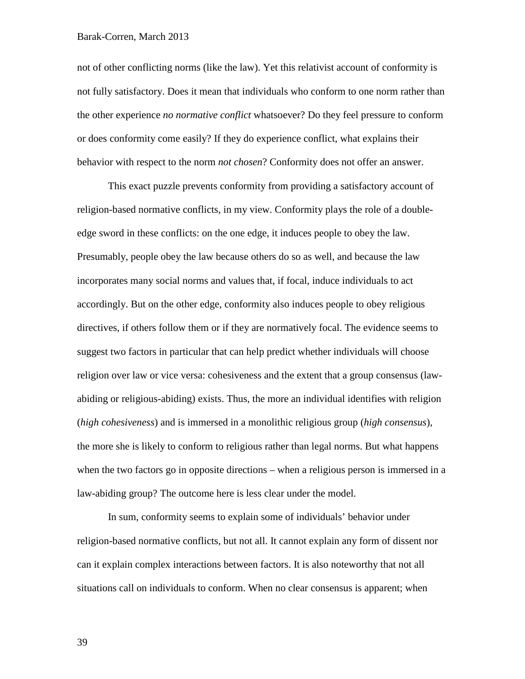#### Barak-Corren, March 2013

not of other conflicting norms (like the law). Yet this relativist account of conformity is not fully satisfactory. Does it mean that individuals who conform to one norm rather than the other experience *no normative conflict* whatsoever? Do they feel pressure to conform or does conformity come easily? If they do experience conflict, what explains their behavior with respect to the norm *not chosen*? Conformity does not offer an answer.

This exact puzzle prevents conformity from providing a satisfactory account of religion-based normative conflicts, in my view. Conformity plays the role of a doubleedge sword in these conflicts: on the one edge, it induces people to obey the law. Presumably, people obey the law because others do so as well, and because the law incorporates many social norms and values that, if focal, induce individuals to act accordingly. But on the other edge, conformity also induces people to obey religious directives, if others follow them or if they are normatively focal. The evidence seems to suggest two factors in particular that can help predict whether individuals will choose religion over law or vice versa: cohesiveness and the extent that a group consensus (lawabiding or religious-abiding) exists. Thus, the more an individual identifies with religion (*high cohesiveness*) and is immersed in a monolithic religious group (*high consensus*), the more she is likely to conform to religious rather than legal norms. But what happens when the two factors go in opposite directions – when a religious person is immersed in a law-abiding group? The outcome here is less clear under the model.

In sum, conformity seems to explain some of individuals' behavior under religion-based normative conflicts, but not all. It cannot explain any form of dissent nor can it explain complex interactions between factors. It is also noteworthy that not all situations call on individuals to conform. When no clear consensus is apparent; when

39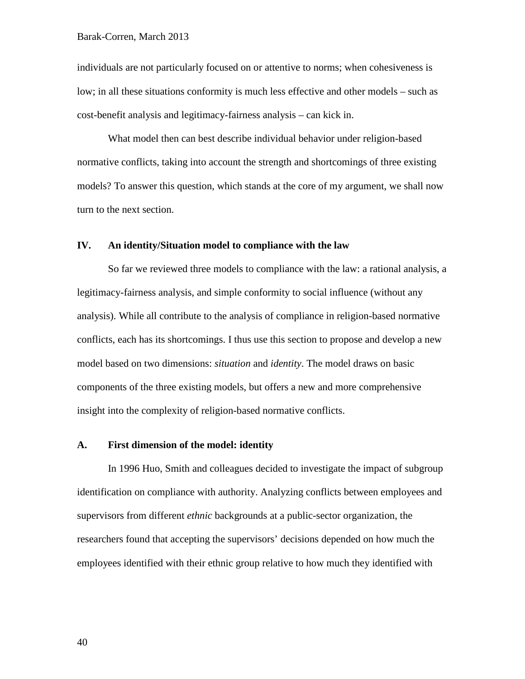individuals are not particularly focused on or attentive to norms; when cohesiveness is low; in all these situations conformity is much less effective and other models – such as cost-benefit analysis and legitimacy-fairness analysis – can kick in.

What model then can best describe individual behavior under religion-based normative conflicts, taking into account the strength and shortcomings of three existing models? To answer this question, which stands at the core of my argument, we shall now turn to the next section.

### **IV. An identity/Situation model to compliance with the law**

So far we reviewed three models to compliance with the law: a rational analysis, a legitimacy-fairness analysis, and simple conformity to social influence (without any analysis). While all contribute to the analysis of compliance in religion-based normative conflicts, each has its shortcomings. I thus use this section to propose and develop a new model based on two dimensions: *situation* and *identity*. The model draws on basic components of the three existing models, but offers a new and more comprehensive insight into the complexity of religion-based normative conflicts.

# **A. First dimension of the model: identity**

In 1996 Huo, Smith and colleagues decided to investigate the impact of subgroup identification on compliance with authority. Analyzing conflicts between employees and supervisors from different *ethnic* backgrounds at a public-sector organization, the researchers found that accepting the supervisors' decisions depended on how much the employees identified with their ethnic group relative to how much they identified with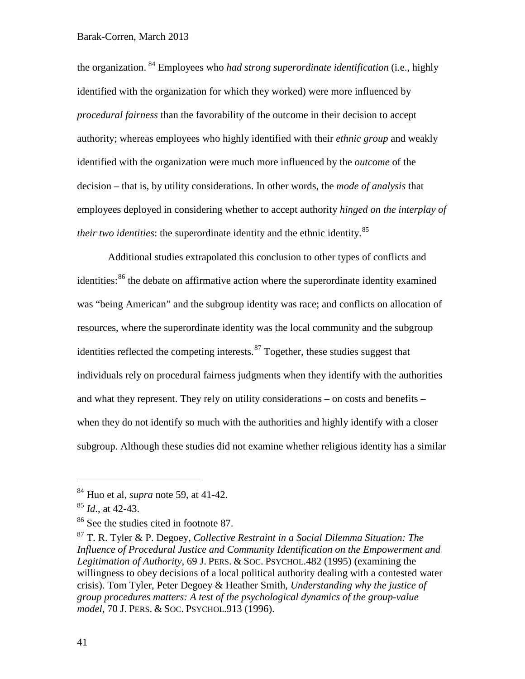### Barak-Corren, March 2013

the organization. [84](#page-40-1) Employees who *had strong superordinate identification* (i.e., highly identified with the organization for which they worked) were more influenced by *procedural fairness* than the favorability of the outcome in their decision to accept authority; whereas employees who highly identified with their *ethnic group* and weakly identified with the organization were much more influenced by the *outcome* of the decision – that is, by utility considerations. In other words, the *mode of analysis* that employees deployed in considering whether to accept authority *hinged on the interplay of their two identities*: the superordinate identity and the ethnic identity. [85](#page-40-2)

<span id="page-40-0"></span>Additional studies extrapolated this conclusion to other types of conflicts and identities:<sup>[86](#page-40-3)</sup> the debate on affirmative action where the superordinate identity examined was "being American" and the subgroup identity was race; and conflicts on allocation of resources, where the superordinate identity was the local community and the subgroup identities reflected the competing interests.<sup>[87](#page-40-4)</sup> Together, these studies suggest that individuals rely on procedural fairness judgments when they identify with the authorities and what they represent. They rely on utility considerations – on costs and benefits – when they do not identify so much with the authorities and highly identify with a closer subgroup. Although these studies did not examine whether religious identity has a similar

<span id="page-40-1"></span> <sup>84</sup> Huo et al, *supra* note [59,](#page-29-0) at 41-42.

<span id="page-40-2"></span><sup>85</sup> *Id*., at 42-43.

<span id="page-40-3"></span><sup>86</sup> See the studies cited in footnote [87.](#page-40-0)

<span id="page-40-4"></span><sup>87</sup> T. R. Tyler & P. Degoey, *Collective Restraint in a Social Dilemma Situation: The Influence of Procedural Justice and Community Identification on the Empowerment and Legitimation of Authority*, 69 J. PERS. & SOC. PSYCHOL.482 (1995) (examining the willingness to obey decisions of a local political authority dealing with a contested water crisis). Tom Tyler, Peter Degoey & Heather Smith, *Understanding why the justice of group procedures matters: A test of the psychological dynamics of the group-value model*, 70 J. PERS. & SOC. PSYCHOL.913 (1996).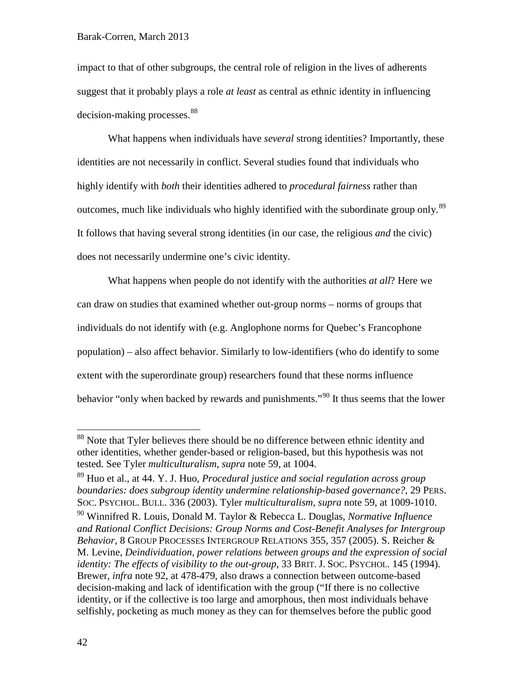impact to that of other subgroups, the central role of religion in the lives of adherents suggest that it probably plays a role *at least* as central as ethnic identity in influencing decision-making processes.<sup>[88](#page-41-0)</sup>

What happens when individuals have *several* strong identities? Importantly, these identities are not necessarily in conflict. Several studies found that individuals who highly identify with *both* their identities adhered to *procedural fairness* rather than outcomes, much like individuals who highly identified with the subordinate group only.[89](#page-41-1) It follows that having several strong identities (in our case, the religious *and* the civic) does not necessarily undermine one's civic identity.

What happens when people do not identify with the authorities *at all*? Here we can draw on studies that examined whether out-group norms – norms of groups that individuals do not identify with (e.g. Anglophone norms for Quebec's Francophone population) – also affect behavior. Similarly to low-identifiers (who do identify to some extent with the superordinate group) researchers found that these norms influence behavior "only when backed by rewards and punishments."<sup>[90](#page-41-2)</sup> It thus seems that the lower

<span id="page-41-0"></span><sup>&</sup>lt;sup>88</sup> Note that Tyler believes there should be no difference between ethnic identity and other identities, whether gender-based or religion-based, but this hypothesis was not tested. See Tyler *multiculturalism*, *supra* note [59,](#page-29-0) at 1004.

<span id="page-41-1"></span><sup>89</sup> Huo et al., at 44. Y. J. Huo, *Procedural justice and social regulation across group boundaries: does subgroup identity undermine relationship-based governance?*, 29 PERS. SOC. PSYCHOL. BULL. 336 (2003). Tyler *multiculturalism*, *supra* note [59,](#page-29-0) at 1009-1010.

<span id="page-41-2"></span><sup>90</sup> Winnifred R. Louis, Donald M. Taylor & Rebecca L. Douglas, *Normative Influence and Rational Conflict Decisions: Group Norms and Cost-Benefit Analyses for Intergroup Behavior*, 8 GROUP PROCESSES INTERGROUP RELATIONS 355, 357 (2005). S. Reicher & M. Levine, *Deindividuation, power relations between groups and the expression of social identity: The effects of visibility to the out-group*, 33 BRIT. J. Soc. PSYCHOL. 145 (1994). Brewer, *infra* note [92,](#page-43-0) at 478-479, also draws a connection between outcome-based decision-making and lack of identification with the group ("If there is no collective identity, or if the collective is too large and amorphous, then most individuals behave selfishly, pocketing as much money as they can for themselves before the public good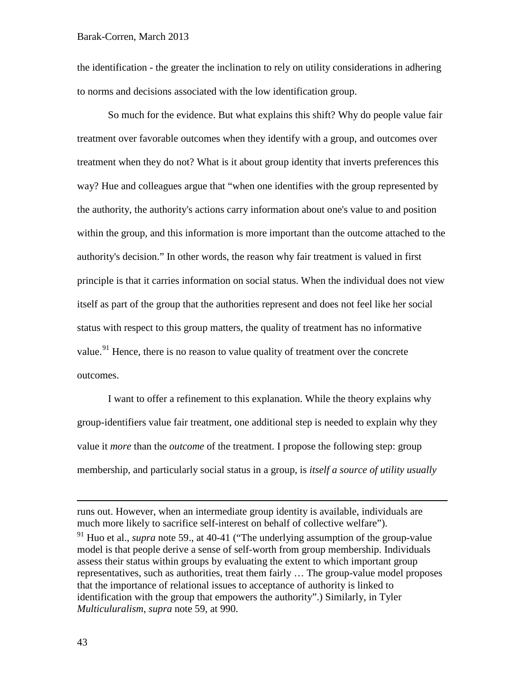the identification - the greater the inclination to rely on utility considerations in adhering to norms and decisions associated with the low identification group.

So much for the evidence. But what explains this shift? Why do people value fair treatment over favorable outcomes when they identify with a group, and outcomes over treatment when they do not? What is it about group identity that inverts preferences this way? Hue and colleagues argue that "when one identifies with the group represented by the authority, the authority's actions carry information about one's value to and position within the group, and this information is more important than the outcome attached to the authority's decision." In other words, the reason why fair treatment is valued in first principle is that it carries information on social status. When the individual does not view itself as part of the group that the authorities represent and does not feel like her social status with respect to this group matters, the quality of treatment has no informative value.<sup>[91](#page-42-0)</sup> Hence, there is no reason to value quality of treatment over the concrete outcomes.

I want to offer a refinement to this explanation. While the theory explains why group-identifiers value fair treatment, one additional step is needed to explain why they value it *more* than the *outcome* of the treatment. I propose the following step: group membership, and particularly social status in a group, is *itself a source of utility usually* 

runs out. However, when an intermediate group identity is available, individuals are much more likely to sacrifice self-interest on behalf of collective welfare").

<span id="page-42-0"></span><sup>&</sup>lt;sup>91</sup> Huo et al., *supra* note [59.](#page-29-0), at 40-41 ("The underlying assumption of the group-value model is that people derive a sense of self-worth from group membership. Individuals assess their status within groups by evaluating the extent to which important group representatives, such as authorities, treat them fairly … The group-value model proposes that the importance of relational issues to acceptance of authority is linked to identification with the group that empowers the authority".) Similarly, in Tyler *Multiculuralism*, *supra* note [59,](#page-29-0) at 990.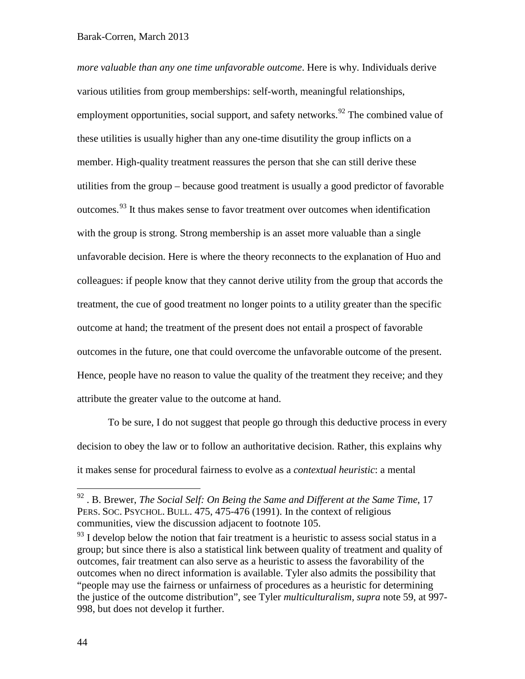<span id="page-43-0"></span>*more valuable than any one time unfavorable outcome*. Here is why. Individuals derive various utilities from group memberships: self-worth, meaningful relationships, employment opportunities, social support, and safety networks.<sup>[92](#page-43-1)</sup> The combined value of these utilities is usually higher than any one-time disutility the group inflicts on a member. High-quality treatment reassures the person that she can still derive these utilities from the group – because good treatment is usually a good predictor of favorable outcomes. [93](#page-43-2) It thus makes sense to favor treatment over outcomes when identification with the group is strong. Strong membership is an asset more valuable than a single unfavorable decision. Here is where the theory reconnects to the explanation of Huo and colleagues: if people know that they cannot derive utility from the group that accords the treatment, the cue of good treatment no longer points to a utility greater than the specific outcome at hand; the treatment of the present does not entail a prospect of favorable outcomes in the future, one that could overcome the unfavorable outcome of the present. Hence, people have no reason to value the quality of the treatment they receive; and they attribute the greater value to the outcome at hand.

To be sure, I do not suggest that people go through this deductive process in every decision to obey the law or to follow an authoritative decision. Rather, this explains why it makes sense for procedural fairness to evolve as a *contextual heuristic*: a mental

<span id="page-43-1"></span> <sup>92</sup> . B. Brewer, *The Social Self: On Being the Same and Different at the Same Time*, 17 PERS. SOC. PSYCHOL. BULL. 475, 475-476 (1991). In the context of religious communities, view the discussion adjacent to footnote [105.](#page-50-0)

<span id="page-43-2"></span> $93$  I develop below the notion that fair treatment is a heuristic to assess social status in a group; but since there is also a statistical link between quality of treatment and quality of outcomes, fair treatment can also serve as a heuristic to assess the favorability of the outcomes when no direct information is available. Tyler also admits the possibility that "people may use the fairness or unfairness of procedures as a heuristic for determining the justice of the outcome distribution", see Tyler *multiculturalism, supra* note [59,](#page-29-0) at 997- 998, but does not develop it further.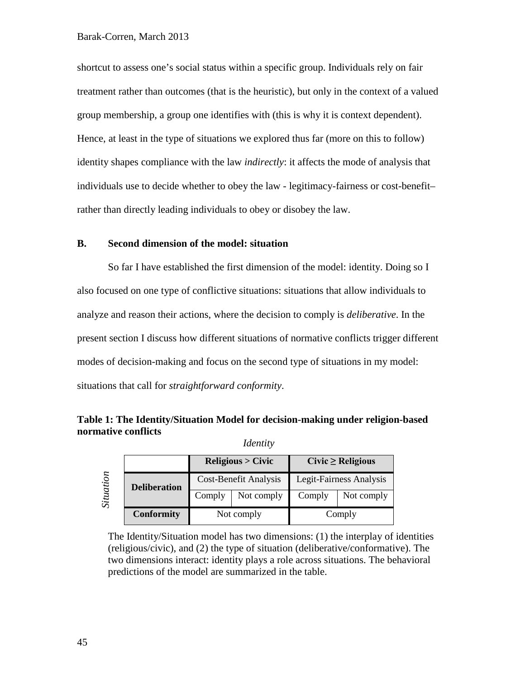shortcut to assess one's social status within a specific group. Individuals rely on fair treatment rather than outcomes (that is the heuristic), but only in the context of a valued group membership, a group one identifies with (this is why it is context dependent). Hence, at least in the type of situations we explored thus far (more on this to follow) identity shapes compliance with the law *indirectly*: it affects the mode of analysis that individuals use to decide whether to obey the law - legitimacy-fairness or cost-benefit– rather than directly leading individuals to obey or disobey the law.

# **B. Second dimension of the model: situation**

So far I have established the first dimension of the model: identity. Doing so I also focused on one type of conflictive situations: situations that allow individuals to analyze and reason their actions, where the decision to comply is *deliberative*. In the present section I discuss how different situations of normative conflicts trigger different modes of decision-making and focus on the second type of situations in my model: situations that call for *straightforward conformity*.

# **Table 1: The Identity/Situation Model for decision-making under religion-based normative conflicts**

*Identity*

| Situation |                     | <b>Religious &gt; Civic</b> |            | Civic $\geq$ Religious  |            |
|-----------|---------------------|-----------------------------|------------|-------------------------|------------|
|           | <b>Deliberation</b> | Cost-Benefit Analysis       |            | Legit-Fairness Analysis |            |
|           |                     | Comply                      | Not comply | Comply                  | Not comply |
|           | <b>Conformity</b>   | Not comply                  |            | Comply                  |            |

The Identity/Situation model has two dimensions: (1) the interplay of identities (religious/civic), and (2) the type of situation (deliberative/conformative). The two dimensions interact: identity plays a role across situations. The behavioral predictions of the model are summarized in the table.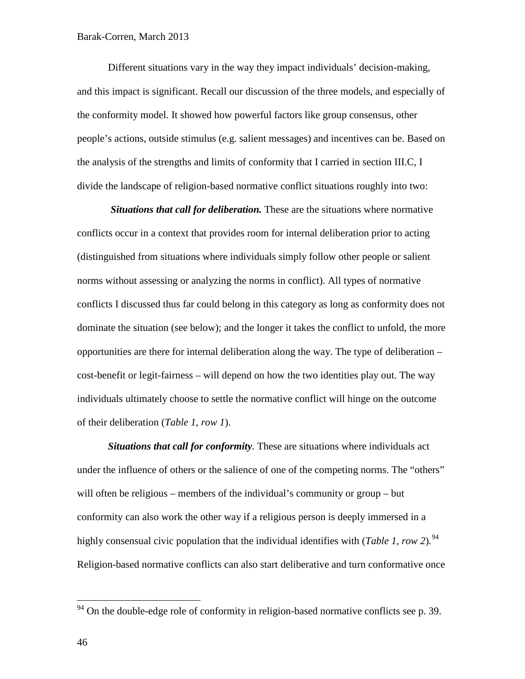Different situations vary in the way they impact individuals' decision-making, and this impact is significant. Recall our discussion of the three models, and especially of the conformity model. It showed how powerful factors like group consensus, other people's actions, outside stimulus (e.g. salient messages) and incentives can be. Based on the analysis of the strengths and limits of conformity that I carried in section III.C, I divide the landscape of religion-based normative conflict situations roughly into two:

*Situations that call for deliberation.* These are the situations where normative conflicts occur in a context that provides room for internal deliberation prior to acting (distinguished from situations where individuals simply follow other people or salient norms without assessing or analyzing the norms in conflict). All types of normative conflicts I discussed thus far could belong in this category as long as conformity does not dominate the situation (see below); and the longer it takes the conflict to unfold, the more opportunities are there for internal deliberation along the way. The type of deliberation – cost-benefit or legit-fairness – will depend on how the two identities play out. The way individuals ultimately choose to settle the normative conflict will hinge on the outcome of their deliberation (*Table 1, row 1*).

*Situations that call for conformity.* These are situations where individuals act under the influence of others or the salience of one of the competing norms. The "others" will often be religious – members of the individual's community or group – but conformity can also work the other way if a religious person is deeply immersed in a highly consensual civic population that the individual identifies with (*Table 1, row 2*)*.* [94](#page-45-0) Religion-based normative conflicts can also start deliberative and turn conformative once

<span id="page-45-0"></span> $94$  On the double-edge role of conformity in religion-based normative conflicts see p. 39.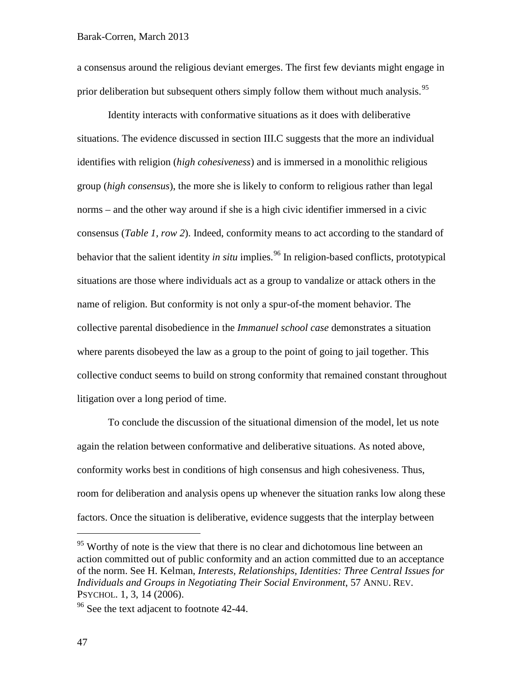a consensus around the religious deviant emerges. The first few deviants might engage in prior deliberation but subsequent others simply follow them without much analysis.<sup>[95](#page-46-0)</sup>

Identity interacts with conformative situations as it does with deliberative situations. The evidence discussed in section III.C suggests that the more an individual identifies with religion (*high cohesiveness*) and is immersed in a monolithic religious group (*high consensus*), the more she is likely to conform to religious rather than legal norms – and the other way around if she is a high civic identifier immersed in a civic consensus (*Table 1, row 2*). Indeed, conformity means to act according to the standard of behavior that the salient identity *in situ* implies.<sup>[96](#page-46-1)</sup> In religion-based conflicts, prototypical situations are those where individuals act as a group to vandalize or attack others in the name of religion. But conformity is not only a spur-of-the moment behavior. The collective parental disobedience in the *Immanuel school case* demonstrates a situation where parents disobeyed the law as a group to the point of going to jail together. This collective conduct seems to build on strong conformity that remained constant throughout litigation over a long period of time.

To conclude the discussion of the situational dimension of the model, let us note again the relation between conformative and deliberative situations. As noted above, conformity works best in conditions of high consensus and high cohesiveness. Thus, room for deliberation and analysis opens up whenever the situation ranks low along these factors. Once the situation is deliberative, evidence suggests that the interplay between

<span id="page-46-0"></span><sup>&</sup>lt;sup>95</sup> Worthy of note is the view that there is no clear and dichotomous line between an action committed out of public conformity and an action committed due to an acceptance of the norm. See H. Kelman, *Interests, Relationships, Identities: Three Central Issues for Individuals and Groups in Negotiating Their Social Environment*, 57 ANNU. REV. PSYCHOL. 1, 3, 14 (2006).

<span id="page-46-1"></span> $96$  See the text adjacent to footnote [42-](#page-25-0)[44.](#page-25-1)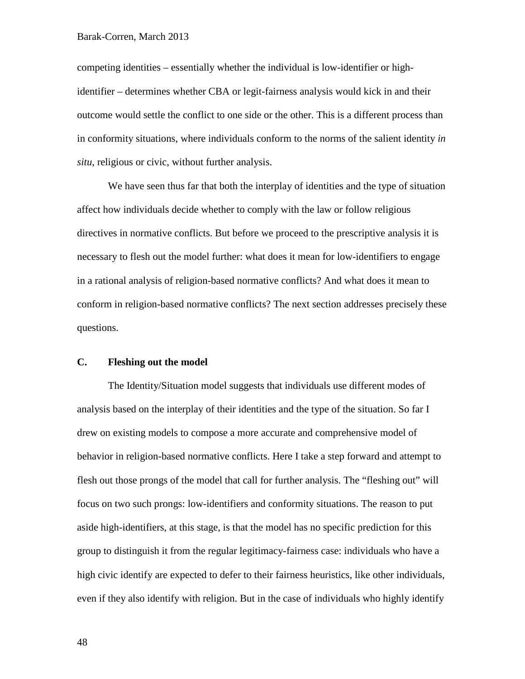competing identities – essentially whether the individual is low-identifier or highidentifier – determines whether CBA or legit-fairness analysis would kick in and their outcome would settle the conflict to one side or the other. This is a different process than in conformity situations, where individuals conform to the norms of the salient identity *in situ*, religious or civic, without further analysis.

We have seen thus far that both the interplay of identities and the type of situation affect how individuals decide whether to comply with the law or follow religious directives in normative conflicts. But before we proceed to the prescriptive analysis it is necessary to flesh out the model further: what does it mean for low-identifiers to engage in a rational analysis of religion-based normative conflicts? And what does it mean to conform in religion-based normative conflicts? The next section addresses precisely these questions.

# **C. Fleshing out the model**

The Identity/Situation model suggests that individuals use different modes of analysis based on the interplay of their identities and the type of the situation. So far I drew on existing models to compose a more accurate and comprehensive model of behavior in religion-based normative conflicts. Here I take a step forward and attempt to flesh out those prongs of the model that call for further analysis. The "fleshing out" will focus on two such prongs: low-identifiers and conformity situations. The reason to put aside high-identifiers, at this stage, is that the model has no specific prediction for this group to distinguish it from the regular legitimacy-fairness case: individuals who have a high civic identify are expected to defer to their fairness heuristics, like other individuals, even if they also identify with religion. But in the case of individuals who highly identify

48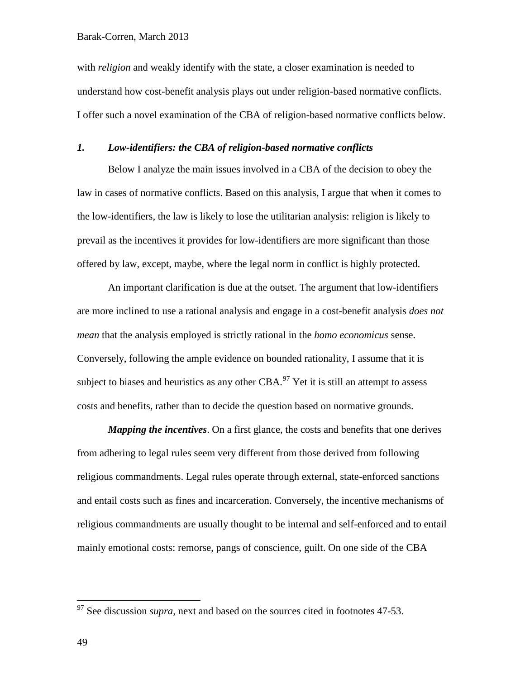with *religion* and weakly identify with the state, a closer examination is needed to understand how cost-benefit analysis plays out under religion-based normative conflicts. I offer such a novel examination of the CBA of religion-based normative conflicts below.

# *1. Low-identifiers: the CBA of religion-based normative conflicts*

Below I analyze the main issues involved in a CBA of the decision to obey the law in cases of normative conflicts. Based on this analysis, I argue that when it comes to the low-identifiers, the law is likely to lose the utilitarian analysis: religion is likely to prevail as the incentives it provides for low-identifiers are more significant than those offered by law, except, maybe, where the legal norm in conflict is highly protected.

An important clarification is due at the outset. The argument that low-identifiers are more inclined to use a rational analysis and engage in a cost-benefit analysis *does not mean* that the analysis employed is strictly rational in the *homo economicus* sense. Conversely, following the ample evidence on bounded rationality, I assume that it is subject to biases and heuristics as any other CBA. $97$  Yet it is still an attempt to assess costs and benefits, rather than to decide the question based on normative grounds.

*Mapping the incentives*. On a first glance, the costs and benefits that one derives from adhering to legal rules seem very different from those derived from following religious commandments. Legal rules operate through external, state-enforced sanctions and entail costs such as fines and incarceration. Conversely, the incentive mechanisms of religious commandments are usually thought to be internal and self-enforced and to entail mainly emotional costs: remorse, pangs of conscience, guilt. On one side of the CBA

<span id="page-48-0"></span><sup>&</sup>lt;sup>97</sup> See discussion *supra*, next and based on the sources cited in footnotes [47](#page-27-0)[-53.](#page-27-1)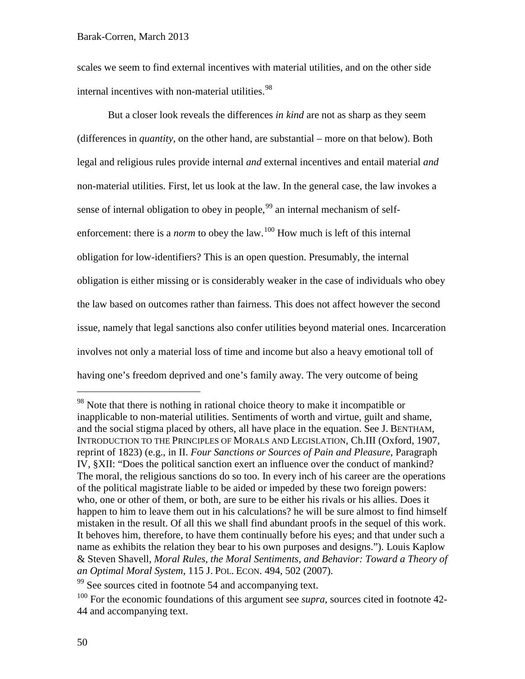scales we seem to find external incentives with material utilities, and on the other side internal incentives with non-material utilities.<sup>[98](#page-49-0)</sup>

But a closer look reveals the differences *in kind* are not as sharp as they seem (differences in *quantity*, on the other hand, are substantial – more on that below). Both legal and religious rules provide internal *and* external incentives and entail material *and* non-material utilities. First, let us look at the law. In the general case, the law invokes a sense of internal obligation to obey in people,<sup>[99](#page-49-1)</sup> an internal mechanism of selfenforcement: there is a *norm* to obey the law.<sup>[100](#page-49-2)</sup> How much is left of this internal obligation for low-identifiers? This is an open question. Presumably, the internal obligation is either missing or is considerably weaker in the case of individuals who obey the law based on outcomes rather than fairness. This does not affect however the second issue, namely that legal sanctions also confer utilities beyond material ones. Incarceration involves not only a material loss of time and income but also a heavy emotional toll of having one's freedom deprived and one's family away. The very outcome of being

<span id="page-49-0"></span><sup>&</sup>lt;sup>98</sup> Note that there is nothing in rational choice theory to make it incompatible or inapplicable to non-material utilities. Sentiments of worth and virtue, guilt and shame, and the social stigma placed by others, all have place in the equation. See J. BENTHAM, INTRODUCTION TO THE PRINCIPLES OF MORALS AND LEGISLATION, Ch.III (Oxford, 1907, reprint of 1823) (e.g., in II. *Four Sanctions or Sources of Pain and Pleasure*, Paragraph IV, §XII: "Does the political sanction exert an influence over the conduct of mankind? The moral, the religious sanctions do so too. In every inch of his career are the operations of the political magistrate liable to be aided or impeded by these two foreign powers: who, one or other of them, or both, are sure to be either his rivals or his allies. Does it happen to him to leave them out in his calculations? he will be sure almost to find himself mistaken in the result. Of all this we shall find abundant proofs in the sequel of this work. It behoves him, therefore, to have them continually before his eyes; and that under such a name as exhibits the relation they bear to his own purposes and designs."). Louis Kaplow & Steven Shavell, *Moral Rules, the Moral Sentiments, and Behavior: Toward a Theory of an Optimal Moral System*, 115 J. POL. ECON. 494, 502 (2007).

<span id="page-49-1"></span><sup>&</sup>lt;sup>99</sup> See sources cited in footnote [54](#page-28-0) and accompanying text.

<span id="page-49-2"></span><sup>100</sup> For the economic foundations of this argument see *supra*, sources cited in footnote [42-](#page-25-0) [44](#page-25-1) and accompanying text.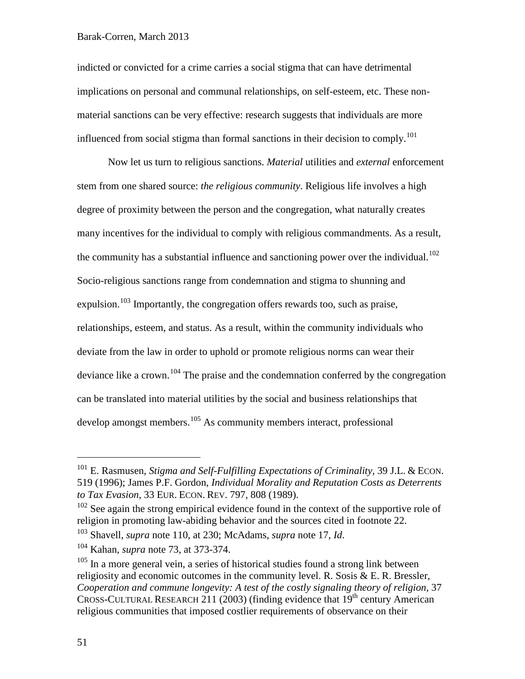### Barak-Corren, March 2013

indicted or convicted for a crime carries a social stigma that can have detrimental implications on personal and communal relationships, on self-esteem, etc. These nonmaterial sanctions can be very effective: research suggests that individuals are more influenced from social stigma than formal sanctions in their decision to comply.<sup>[101](#page-50-1)</sup>

Now let us turn to religious sanctions. *Material* utilities and *external* enforcement stem from one shared source: *the religious community*. Religious life involves a high degree of proximity between the person and the congregation, what naturally creates many incentives for the individual to comply with religious commandments. As a result, the community has a substantial influence and sanctioning power over the individual.<sup>[102](#page-50-2)</sup> Socio-religious sanctions range from condemnation and stigma to shunning and expulsion.<sup>[103](#page-50-3)</sup> Importantly, the congregation offers rewards too, such as praise, relationships, esteem, and status. As a result, within the community individuals who deviate from the law in order to uphold or promote religious norms can wear their deviance like a crown.<sup>[104](#page-50-4)</sup> The praise and the condemnation conferred by the congregation can be translated into material utilities by the social and business relationships that develop amongst members.<sup>[105](#page-50-5)</sup> As community members interact, professional

<span id="page-50-3"></span><sup>103</sup> Shavell, *supra* note [110,](#page-53-0) at 230; McAdams, *supra* note [17,](#page-10-0) *Id*.

<span id="page-50-1"></span><span id="page-50-0"></span> <sup>101</sup> E. Rasmusen, *Stigma and Self-Fulfilling Expectations of Criminality*, 39 J.L. & ECON. 519 (1996); James P.F. Gordon, *Individual Morality and Reputation Costs as Deterrents to Tax Evasion*, 33 EUR. ECON. REV. 797, 808 (1989).

<span id="page-50-2"></span> $102$  See again the strong empirical evidence found in the context of the supportive role of religion in promoting law-abiding behavior and the sources cited in footnote [22.](#page-13-0)

<span id="page-50-4"></span><sup>104</sup> Kahan, *supra* note [73,](#page-34-0) at 373-374.

<span id="page-50-5"></span> $105$  In a more general vein, a series of historical studies found a strong link between religiosity and economic outcomes in the community level. R. Sosis & E. R. Bressler, *Cooperation and commune longevity: A test of the costly signaling theory of religion*, 37 CROSS-CULTURAL RESEARCH 211 (2003) (finding evidence that  $19<sup>th</sup>$  century American religious communities that imposed costlier requirements of observance on their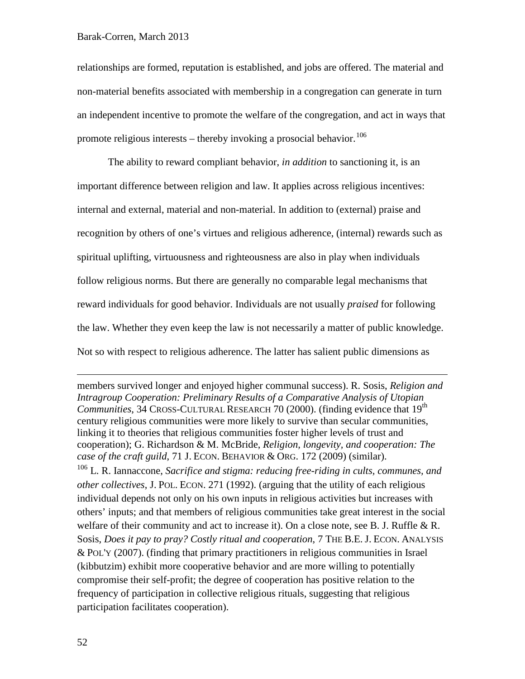relationships are formed, reputation is established, and jobs are offered. The material and non-material benefits associated with membership in a congregation can generate in turn an independent incentive to promote the welfare of the congregation, and act in ways that promote religious interests – thereby invoking a prosocial behavior.<sup>[106](#page-51-0)</sup>

The ability to reward compliant behavior, *in addition* to sanctioning it, is an important difference between religion and law. It applies across religious incentives: internal and external, material and non-material. In addition to (external) praise and recognition by others of one's virtues and religious adherence, (internal) rewards such as spiritual uplifting, virtuousness and righteousness are also in play when individuals follow religious norms. But there are generally no comparable legal mechanisms that reward individuals for good behavior. Individuals are not usually *praised* for following the law. Whether they even keep the law is not necessarily a matter of public knowledge. Not so with respect to religious adherence. The latter has salient public dimensions as

members survived longer and enjoyed higher communal success). R. Sosis, *Religion and Intragroup Cooperation: Preliminary Results of a Comparative Analysis of Utopian Communities*, 34 CROSS-CULTURAL RESEARCH 70 (2000). (finding evidence that 19<sup>th</sup> century religious communities were more likely to survive than secular communities, linking it to theories that religious communities foster higher levels of trust and cooperation); G. Richardson & M. McBride, *Religion, longevity, and cooperation: The case of the craft guild*, 71 J. ECON. BEHAVIOR & ORG. 172 (2009) (similar).

<span id="page-51-0"></span><sup>106</sup> L. R. Iannaccone, *Sacrifice and stigma: reducing free-riding in cults, communes, and other collectives*, J. POL. ECON. 271 (1992). (arguing that the utility of each religious individual depends not only on his own inputs in religious activities but increases with others' inputs; and that members of religious communities take great interest in the social welfare of their community and act to increase it). On a close note, see B. J. Ruffle & R. Sosis, *Does it pay to pray? Costly ritual and cooperation*, 7 THE B.E. J. ECON. ANALYSIS & POL'Y (2007). (finding that primary practitioners in religious communities in Israel (kibbutzim) exhibit more cooperative behavior and are more willing to potentially compromise their self-profit; the degree of cooperation has positive relation to the frequency of participation in collective religious rituals, suggesting that religious participation facilitates cooperation).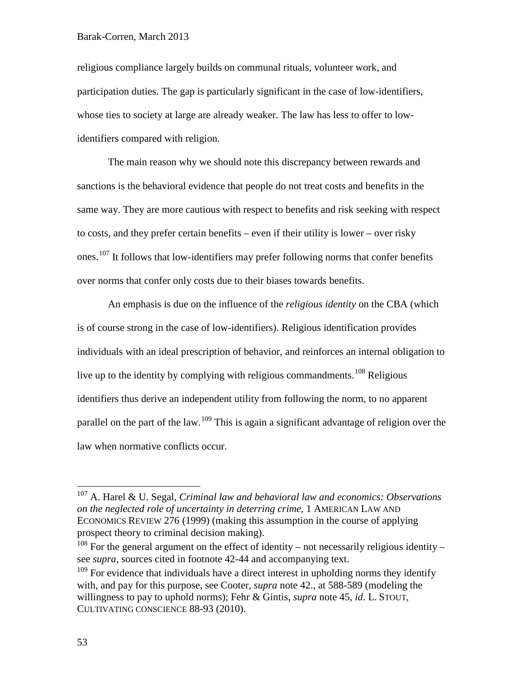religious compliance largely builds on communal rituals, volunteer work, and participation duties. The gap is particularly significant in the case of low-identifiers, whose ties to society at large are already weaker. The law has less to offer to lowidentifiers compared with religion.

The main reason why we should note this discrepancy between rewards and sanctions is the behavioral evidence that people do not treat costs and benefits in the same way. They are more cautious with respect to benefits and risk seeking with respect to costs, and they prefer certain benefits – even if their utility is lower – over risky ones.<sup>[107](#page-52-0)</sup> It follows that low-identifiers may prefer following norms that confer benefits over norms that confer only costs due to their biases towards benefits.

An emphasis is due on the influence of the *religious identity* on the CBA (which is of course strong in the case of low-identifiers). Religious identification provides individuals with an ideal prescription of behavior, and reinforces an internal obligation to live up to the identity by complying with religious commandments.<sup>[108](#page-52-1)</sup> Religious identifiers thus derive an independent utility from following the norm, to no apparent parallel on the part of the law.<sup>[109](#page-52-2)</sup> This is again a significant advantage of religion over the law when normative conflicts occur.

<span id="page-52-3"></span><span id="page-52-0"></span> <sup>107</sup> A. Harel & U. Segal, *Criminal law and behavioral law and economics: Observations on the neglected role of uncertainty in deterring crime*, 1 AMERICAN LAW AND ECONOMICS REVIEW 276 (1999) (making this assumption in the course of applying prospect theory to criminal decision making).

<span id="page-52-1"></span> $108$  For the general argument on the effect of identity – not necessarily religious identity – see *supra*, sources cited in footnote [42-](#page-25-0)[44](#page-25-1) and accompanying text.

<span id="page-52-2"></span> $109$  For evidence that individuals have a direct interest in upholding norms they identify with, and pay for this purpose, see Cooter, *supra* note [42.](#page-25-0), at 588-589 (modeling the willingness to pay to uphold norms); Fehr & Gintis, *supra* note [45,](#page-26-0) *id*. L. STOUT, CULTIVATING CONSCIENCE 88-93 (2010).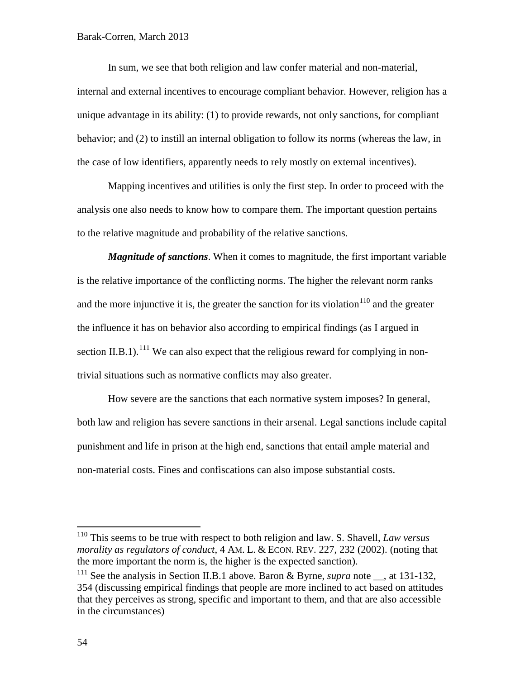In sum, we see that both religion and law confer material and non-material, internal and external incentives to encourage compliant behavior. However, religion has a unique advantage in its ability: (1) to provide rewards, not only sanctions, for compliant behavior; and (2) to instill an internal obligation to follow its norms (whereas the law, in the case of low identifiers, apparently needs to rely mostly on external incentives).

Mapping incentives and utilities is only the first step. In order to proceed with the analysis one also needs to know how to compare them. The important question pertains to the relative magnitude and probability of the relative sanctions.

<span id="page-53-0"></span>*Magnitude of sanctions*. When it comes to magnitude, the first important variable is the relative importance of the conflicting norms. The higher the relevant norm ranks and the more injunctive it is, the greater the sanction for its violation<sup>[110](#page-53-1)</sup> and the greater the influence it has on behavior also according to empirical findings (as I argued in section II.B.1).<sup>[111](#page-53-2)</sup> We can also expect that the religious reward for complying in nontrivial situations such as normative conflicts may also greater.

How severe are the sanctions that each normative system imposes? In general, both law and religion has severe sanctions in their arsenal. Legal sanctions include capital punishment and life in prison at the high end, sanctions that entail ample material and non-material costs. Fines and confiscations can also impose substantial costs.

<span id="page-53-1"></span> <sup>110</sup> This seems to be true with respect to both religion and law. S. Shavell, *Law versus morality as regulators of conduct*, 4 AM. L. & ECON. REV. 227, 232 (2002). (noting that the more important the norm is, the higher is the expected sanction).

<span id="page-53-2"></span><sup>&</sup>lt;sup>111</sup> See the analysis in Section II.B.1 above. Baron & Byrne, *supra* note  $\Box$ , at 131-132, 354 (discussing empirical findings that people are more inclined to act based on attitudes that they perceives as strong, specific and important to them, and that are also accessible in the circumstances)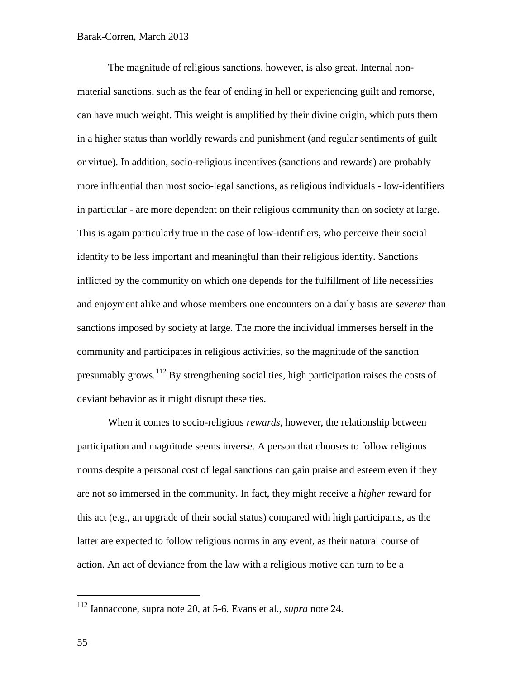The magnitude of religious sanctions, however, is also great. Internal nonmaterial sanctions, such as the fear of ending in hell or experiencing guilt and remorse, can have much weight. This weight is amplified by their divine origin, which puts them in a higher status than worldly rewards and punishment (and regular sentiments of guilt or virtue). In addition, socio-religious incentives (sanctions and rewards) are probably more influential than most socio-legal sanctions, as religious individuals - low-identifiers in particular - are more dependent on their religious community than on society at large. This is again particularly true in the case of low-identifiers, who perceive their social identity to be less important and meaningful than their religious identity. Sanctions inflicted by the community on which one depends for the fulfillment of life necessities and enjoyment alike and whose members one encounters on a daily basis are *severer* than sanctions imposed by society at large. The more the individual immerses herself in the community and participates in religious activities, so the magnitude of the sanction presumably grows.<sup>[112](#page-54-0)</sup> By strengthening social ties, high participation raises the costs of deviant behavior as it might disrupt these ties.

When it comes to socio-religious *rewards*, however, the relationship between participation and magnitude seems inverse. A person that chooses to follow religious norms despite a personal cost of legal sanctions can gain praise and esteem even if they are not so immersed in the community. In fact, they might receive a *higher* reward for this act (e.g., an upgrade of their social status) compared with high participants, as the latter are expected to follow religious norms in any event, as their natural course of action. An act of deviance from the law with a religious motive can turn to be a

<span id="page-54-0"></span> <sup>112</sup> Iannaccone, supra note [20,](#page-11-0) at 5-6. Evans et al., *supra* note [24.](#page-13-1)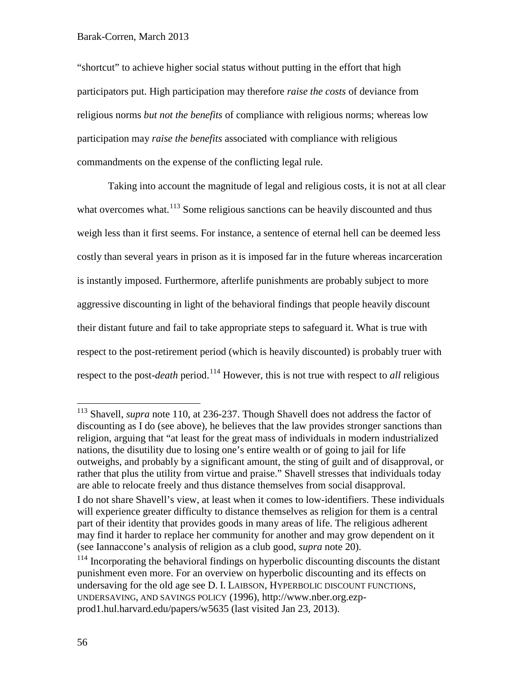"shortcut" to achieve higher social status without putting in the effort that high participators put. High participation may therefore *raise the costs* of deviance from religious norms *but not the benefits* of compliance with religious norms; whereas low participation may *raise the benefits* associated with compliance with religious commandments on the expense of the conflicting legal rule.

Taking into account the magnitude of legal and religious costs, it is not at all clear what overcomes what.<sup>[113](#page-55-0)</sup> Some religious sanctions can be heavily discounted and thus weigh less than it first seems. For instance, a sentence of eternal hell can be deemed less costly than several years in prison as it is imposed far in the future whereas incarceration is instantly imposed. Furthermore, afterlife punishments are probably subject to more aggressive discounting in light of the behavioral findings that people heavily discount their distant future and fail to take appropriate steps to safeguard it. What is true with respect to the post-retirement period (which is heavily discounted) is probably truer with respect to the post-*death* period. [114](#page-55-1) However, this is not true with respect to *all* religious

<span id="page-55-0"></span> <sup>113</sup> Shavell, *supra* note [110,](#page-53-0) at 236-237. Though Shavell does not address the factor of discounting as I do (see above), he believes that the law provides stronger sanctions than religion, arguing that "at least for the great mass of individuals in modern industrialized nations, the disutility due to losing one's entire wealth or of going to jail for life outweighs, and probably by a significant amount, the sting of guilt and of disapproval, or rather that plus the utility from virtue and praise." Shavell stresses that individuals today are able to relocate freely and thus distance themselves from social disapproval.

I do not share Shavell's view, at least when it comes to low-identifiers. These individuals will experience greater difficulty to distance themselves as religion for them is a central part of their identity that provides goods in many areas of life. The religious adherent may find it harder to replace her community for another and may grow dependent on it (see Iannaccone's analysis of religion as a club good, *supra* note [20\)](#page-11-0).

<span id="page-55-1"></span><sup>&</sup>lt;sup>114</sup> Incorporating the behavioral findings on hyperbolic discounting discounts the distant punishment even more. For an overview on hyperbolic discounting and its effects on undersaving for the old age see D. I. LAIBSON, HYPERBOLIC DISCOUNT FUNCTIONS, UNDERSAVING, AND SAVINGS POLICY (1996), http://www.nber.org.ezpprod1.hul.harvard.edu/papers/w5635 (last visited Jan 23, 2013).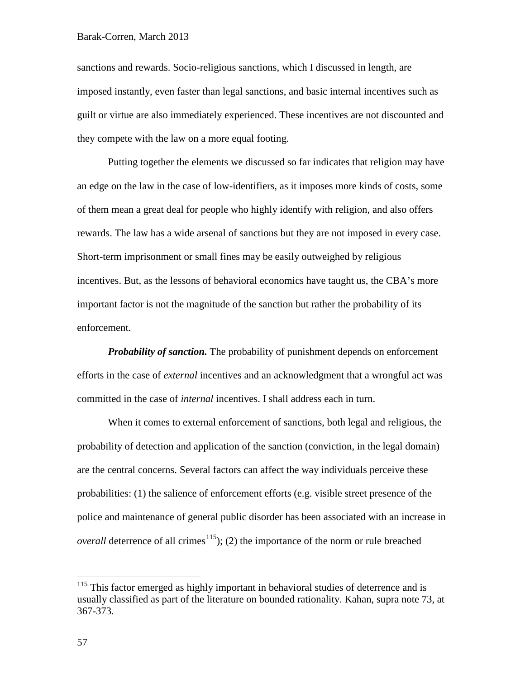sanctions and rewards. Socio-religious sanctions, which I discussed in length, are imposed instantly, even faster than legal sanctions, and basic internal incentives such as guilt or virtue are also immediately experienced. These incentives are not discounted and they compete with the law on a more equal footing.

Putting together the elements we discussed so far indicates that religion may have an edge on the law in the case of low-identifiers, as it imposes more kinds of costs, some of them mean a great deal for people who highly identify with religion, and also offers rewards. The law has a wide arsenal of sanctions but they are not imposed in every case. Short-term imprisonment or small fines may be easily outweighed by religious incentives. But, as the lessons of behavioral economics have taught us, the CBA's more important factor is not the magnitude of the sanction but rather the probability of its enforcement.

*Probability of sanction.* The probability of punishment depends on enforcement efforts in the case of *external* incentives and an acknowledgment that a wrongful act was committed in the case of *internal* incentives. I shall address each in turn.

When it comes to external enforcement of sanctions, both legal and religious, the probability of detection and application of the sanction (conviction, in the legal domain) are the central concerns. Several factors can affect the way individuals perceive these probabilities: (1) the salience of enforcement efforts (e.g. visible street presence of the police and maintenance of general public disorder has been associated with an increase in *overall* deterrence of all crimes<sup>115</sup>); (2) the importance of the norm or rule breached

<span id="page-56-0"></span><sup>&</sup>lt;sup>115</sup> This factor emerged as highly important in behavioral studies of deterrence and is usually classified as part of the literature on bounded rationality. Kahan, supra note [73,](#page-34-0) at 367-373.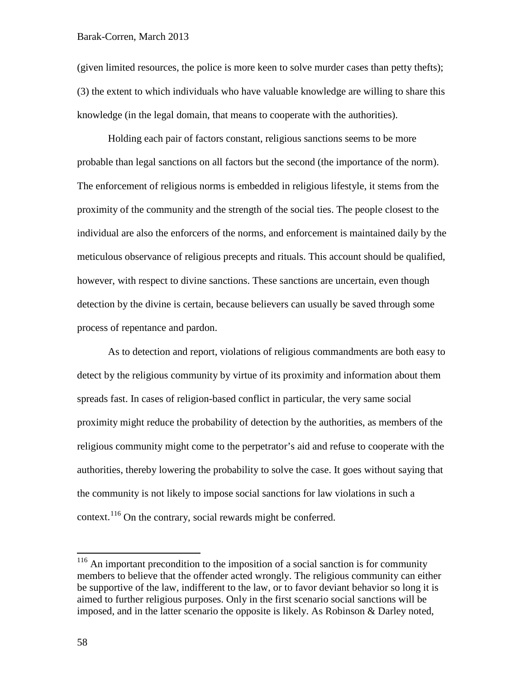(given limited resources, the police is more keen to solve murder cases than petty thefts); (3) the extent to which individuals who have valuable knowledge are willing to share this knowledge (in the legal domain, that means to cooperate with the authorities).

Holding each pair of factors constant, religious sanctions seems to be more probable than legal sanctions on all factors but the second (the importance of the norm). The enforcement of religious norms is embedded in religious lifestyle, it stems from the proximity of the community and the strength of the social ties. The people closest to the individual are also the enforcers of the norms, and enforcement is maintained daily by the meticulous observance of religious precepts and rituals. This account should be qualified, however, with respect to divine sanctions. These sanctions are uncertain, even though detection by the divine is certain, because believers can usually be saved through some process of repentance and pardon.

As to detection and report, violations of religious commandments are both easy to detect by the religious community by virtue of its proximity and information about them spreads fast. In cases of religion-based conflict in particular, the very same social proximity might reduce the probability of detection by the authorities, as members of the religious community might come to the perpetrator's aid and refuse to cooperate with the authorities, thereby lowering the probability to solve the case. It goes without saying that the community is not likely to impose social sanctions for law violations in such a context.<sup>[116](#page-57-0)</sup> On the contrary, social rewards might be conferred.

<span id="page-57-0"></span><sup>&</sup>lt;sup>116</sup> An important precondition to the imposition of a social sanction is for community members to believe that the offender acted wrongly. The religious community can either be supportive of the law, indifferent to the law, or to favor deviant behavior so long it is aimed to further religious purposes. Only in the first scenario social sanctions will be imposed, and in the latter scenario the opposite is likely. As Robinson & Darley noted,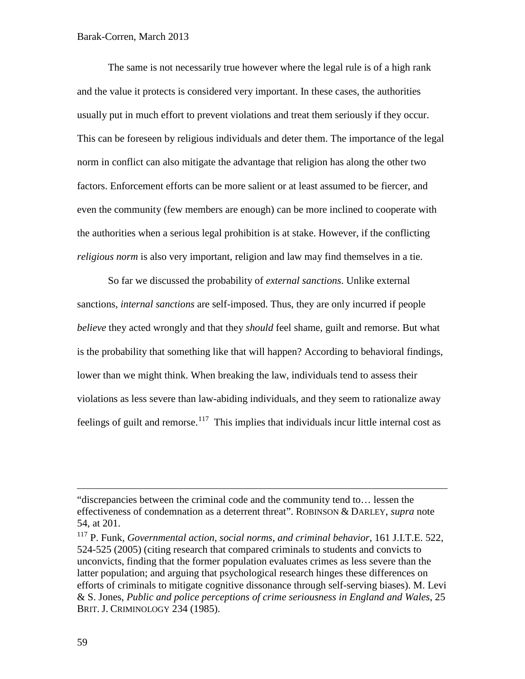The same is not necessarily true however where the legal rule is of a high rank and the value it protects is considered very important. In these cases, the authorities usually put in much effort to prevent violations and treat them seriously if they occur. This can be foreseen by religious individuals and deter them. The importance of the legal norm in conflict can also mitigate the advantage that religion has along the other two factors. Enforcement efforts can be more salient or at least assumed to be fiercer, and even the community (few members are enough) can be more inclined to cooperate with the authorities when a serious legal prohibition is at stake. However, if the conflicting *religious norm* is also very important, religion and law may find themselves in a tie.

So far we discussed the probability of *external sanctions*. Unlike external sanctions, *internal sanctions* are self-imposed. Thus, they are only incurred if people *believe* they acted wrongly and that they *should* feel shame, guilt and remorse. But what is the probability that something like that will happen? According to behavioral findings, lower than we might think. When breaking the law, individuals tend to assess their violations as less severe than law-abiding individuals, and they seem to rationalize away feelings of guilt and remorse.<sup>117</sup> This implies that individuals incur little internal cost as

<span id="page-58-1"></span><sup>&</sup>quot;discrepancies between the criminal code and the community tend to… lessen the effectiveness of condemnation as a deterrent threat". ROBINSON & DARLEY, *supra* note [54,](#page-28-0) at 201.

<span id="page-58-0"></span><sup>117</sup> P. Funk, *Governmental action, social norms, and criminal behavior*, 161 J.I.T.E. 522, 524-525 (2005) (citing research that compared criminals to students and convicts to unconvicts, finding that the former population evaluates crimes as less severe than the latter population; and arguing that psychological research hinges these differences on efforts of criminals to mitigate cognitive dissonance through self-serving biases). M. Levi & S. Jones, *Public and police perceptions of crime seriousness in England and Wales*, 25 BRIT. J. CRIMINOLOGY 234 (1985).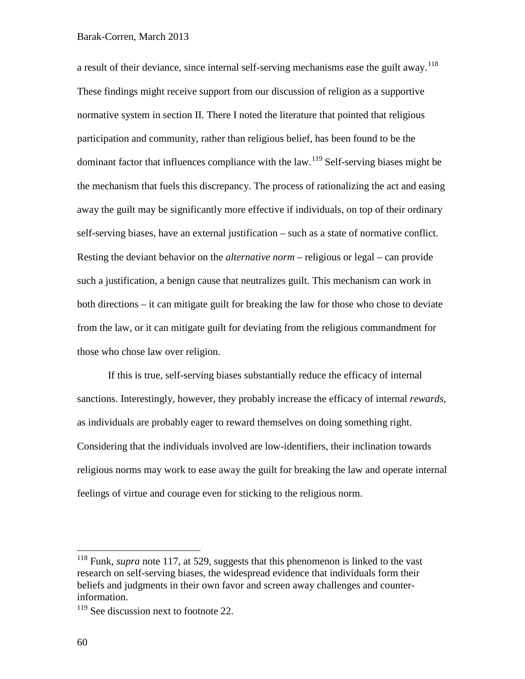a result of their deviance, since internal self-serving mechanisms ease the guilt away.<sup>[118](#page-59-0)</sup> These findings might receive support from our discussion of religion as a supportive normative system in section II. There I noted the literature that pointed that religious participation and community, rather than religious belief, has been found to be the dominant factor that influences compliance with the law.<sup>[119](#page-59-1)</sup> Self-serving biases might be the mechanism that fuels this discrepancy. The process of rationalizing the act and easing away the guilt may be significantly more effective if individuals, on top of their ordinary self-serving biases, have an external justification – such as a state of normative conflict. Resting the deviant behavior on the *alternative norm* – religious or legal – can provide such a justification, a benign cause that neutralizes guilt. This mechanism can work in both directions – it can mitigate guilt for breaking the law for those who chose to deviate from the law, or it can mitigate guilt for deviating from the religious commandment for those who chose law over religion.

If this is true, self-serving biases substantially reduce the efficacy of internal sanctions. Interestingly, however, they probably increase the efficacy of internal *rewards*, as individuals are probably eager to reward themselves on doing something right. Considering that the individuals involved are low-identifiers, their inclination towards religious norms may work to ease away the guilt for breaking the law and operate internal feelings of virtue and courage even for sticking to the religious norm.

<span id="page-59-0"></span><sup>&</sup>lt;sup>118</sup> Funk, *supra* note [117,](#page-58-1) at 529, suggests that this phenomenon is linked to the vast research on self-serving biases, the widespread evidence that individuals form their beliefs and judgments in their own favor and screen away challenges and counterinformation.

<span id="page-59-1"></span> $119$  See discussion next to footnote [22.](#page-13-0)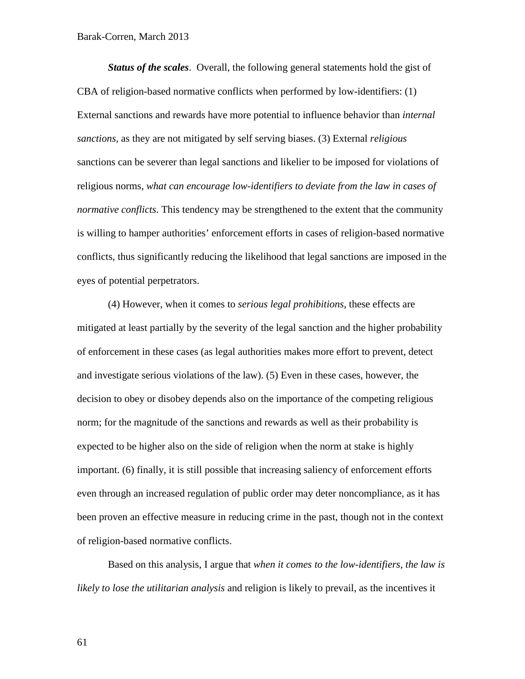*Status of the scales*. Overall, the following general statements hold the gist of CBA of religion-based normative conflicts when performed by low-identifiers: (1) External sanctions and rewards have more potential to influence behavior than *internal sanctions*, as they are not mitigated by self serving biases. (3) External *religious* sanctions can be severer than legal sanctions and likelier to be imposed for violations of religious norms, *what can encourage low-identifiers to deviate from the law in cases of normative conflicts*. This tendency may be strengthened to the extent that the community is willing to hamper authorities' enforcement efforts in cases of religion-based normative conflicts, thus significantly reducing the likelihood that legal sanctions are imposed in the eyes of potential perpetrators.

(4) However, when it comes to *serious legal prohibitions*, these effects are mitigated at least partially by the severity of the legal sanction and the higher probability of enforcement in these cases (as legal authorities makes more effort to prevent, detect and investigate serious violations of the law). (5) Even in these cases, however, the decision to obey or disobey depends also on the importance of the competing religious norm; for the magnitude of the sanctions and rewards as well as their probability is expected to be higher also on the side of religion when the norm at stake is highly important. (6) finally, it is still possible that increasing saliency of enforcement efforts even through an increased regulation of public order may deter noncompliance, as it has been proven an effective measure in reducing crime in the past, though not in the context of religion-based normative conflicts.

Based on this analysis, I argue that *when it comes to the low-identifiers, the law is likely to lose the utilitarian analysis* and religion is likely to prevail, as the incentives it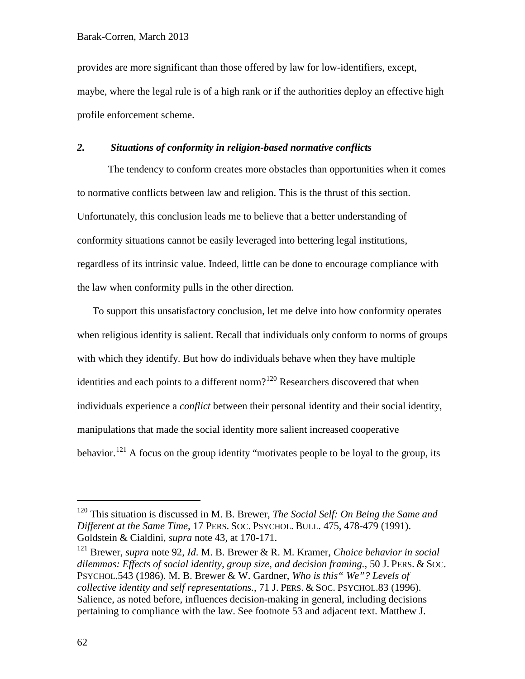provides are more significant than those offered by law for low-identifiers, except, maybe, where the legal rule is of a high rank or if the authorities deploy an effective high profile enforcement scheme.

# *2. Situations of conformity in religion-based normative conflicts*

The tendency to conform creates more obstacles than opportunities when it comes to normative conflicts between law and religion. This is the thrust of this section. Unfortunately, this conclusion leads me to believe that a better understanding of conformity situations cannot be easily leveraged into bettering legal institutions, regardless of its intrinsic value. Indeed, little can be done to encourage compliance with the law when conformity pulls in the other direction.

To support this unsatisfactory conclusion, let me delve into how conformity operates when religious identity is salient. Recall that individuals only conform to norms of groups with which they identify. But how do individuals behave when they have multiple identities and each points to a different norm?<sup>[120](#page-61-0)</sup> Researchers discovered that when individuals experience a *conflict* between their personal identity and their social identity, manipulations that made the social identity more salient increased cooperative behavior.<sup>[121](#page-61-1)</sup> A focus on the group identity "motivates people to be loyal to the group, its

<span id="page-61-0"></span> <sup>120</sup> This situation is discussed in M. B. Brewer, *The Social Self: On Being the Same and Different at the Same Time*, 17 PERS. SOC. PSYCHOL. BULL. 475, 478-479 (1991). Goldstein & Cialdini, *supra* note [43,](#page-25-2) at 170-171.

<span id="page-61-1"></span><sup>121</sup> Brewer, *supra* note [92,](#page-43-0) *Id*. M. B. Brewer & R. M. Kramer, *Choice behavior in social dilemmas: Effects of social identity, group size, and decision framing.*, 50 J. PERS. & SOC. PSYCHOL.543 (1986). M. B. Brewer & W. Gardner, *Who is this" We"? Levels of collective identity and self representations.*, 71 J. PERS. & SOC. PSYCHOL.83 (1996). Salience, as noted before, influences decision-making in general, including decisions pertaining to compliance with the law. See footnote [53](#page-27-1) and adjacent text. Matthew J.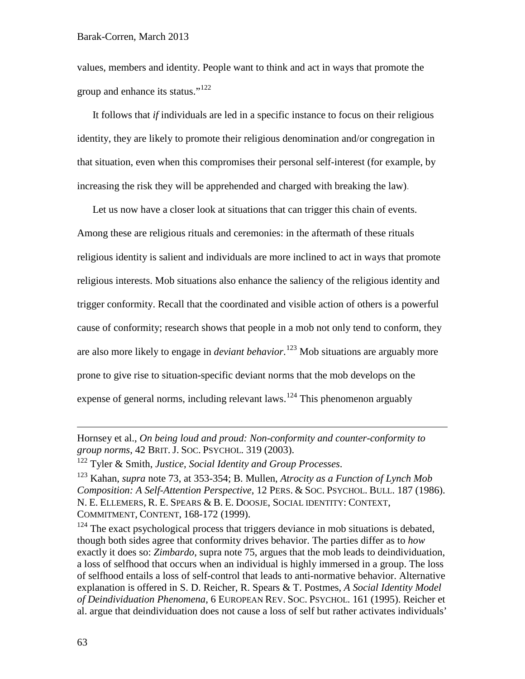values, members and identity. People want to think and act in ways that promote the group and enhance its status."[122](#page-62-0)

It follows that *if* individuals are led in a specific instance to focus on their religious identity, they are likely to promote their religious denomination and/or congregation in that situation, even when this compromises their personal self-interest (for example, by increasing the risk they will be apprehended and charged with breaking the law).

Let us now have a closer look at situations that can trigger this chain of events. Among these are religious rituals and ceremonies: in the aftermath of these rituals religious identity is salient and individuals are more inclined to act in ways that promote religious interests. Mob situations also enhance the saliency of the religious identity and trigger conformity. Recall that the coordinated and visible action of others is a powerful cause of conformity; research shows that people in a mob not only tend to conform, they are also more likely to engage in *deviant behavior*. [123](#page-62-1) Mob situations are arguably more prone to give rise to situation-specific deviant norms that the mob develops on the expense of general norms, including relevant laws.<sup>[124](#page-62-2)</sup> This phenomenon arguably

Hornsey et al., *On being loud and proud: Non-conformity and counter-conformity to group norms*, 42 BRIT. J. SOC. PSYCHOL. 319 (2003).

<span id="page-62-0"></span><sup>122</sup> Tyler & Smith, *Justice, Social Identity and Group Processes*.

<span id="page-62-1"></span><sup>123</sup> Kahan, *supra* note [73,](#page-34-0) at 353-354; B. Mullen, *Atrocity as a Function of Lynch Mob Composition: A Self-Attention Perspective*, 12 PERS. & SOC. PSYCHOL. BULL. 187 (1986). N. E. ELLEMERS, R. E. SPEARS & B. E. DOOSJE, SOCIAL IDENTITY: CONTEXT, COMMITMENT, CONTENT, 168-172 (1999).

<span id="page-62-2"></span><sup>124</sup> The exact psychological process that triggers deviance in mob situations is debated, though both sides agree that conformity drives behavior. The parties differ as to *how*  exactly it does so: *Zimbardo*, supra note [75,](#page-35-1) argues that the mob leads to deindividuation, a loss of selfhood that occurs when an individual is highly immersed in a group. The loss of selfhood entails a loss of self-control that leads to anti-normative behavior. Alternative explanation is offered in S. D. Reicher, R. Spears & T. Postmes, *A Social Identity Model of Deindividuation Phenomena*, 6 EUROPEAN REV. SOC. PSYCHOL. 161 (1995). Reicher et al. argue that deindividuation does not cause a loss of self but rather activates individuals'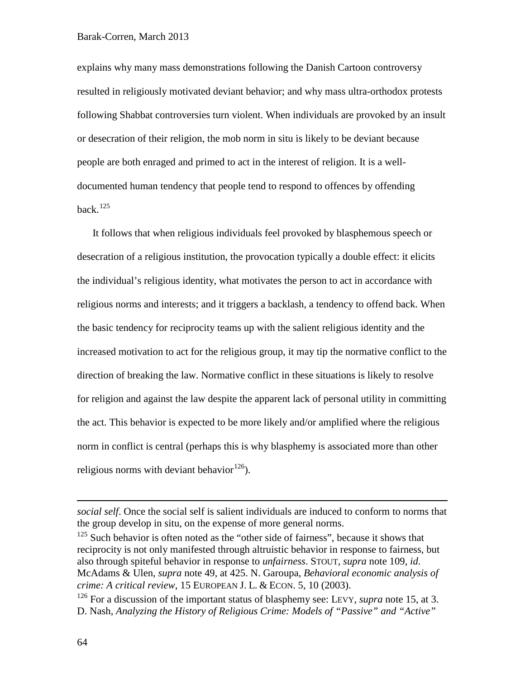explains why many mass demonstrations following the Danish Cartoon controversy resulted in religiously motivated deviant behavior; and why mass ultra-orthodox protests following Shabbat controversies turn violent. When individuals are provoked by an insult or desecration of their religion, the mob norm in situ is likely to be deviant because people are both enraged and primed to act in the interest of religion. It is a welldocumented human tendency that people tend to respond to offences by offending back. $125$ 

It follows that when religious individuals feel provoked by blasphemous speech or desecration of a religious institution, the provocation typically a double effect: it elicits the individual's religious identity, what motivates the person to act in accordance with religious norms and interests; and it triggers a backlash, a tendency to offend back. When the basic tendency for reciprocity teams up with the salient religious identity and the increased motivation to act for the religious group, it may tip the normative conflict to the direction of breaking the law. Normative conflict in these situations is likely to resolve for religion and against the law despite the apparent lack of personal utility in committing the act. This behavior is expected to be more likely and/or amplified where the religious norm in conflict is central (perhaps this is why blasphemy is associated more than other religious norms with deviant behavior<sup>[126](#page-63-1)</sup>).

*social self*. Once the social self is salient individuals are induced to conform to norms that the group develop in situ, on the expense of more general norms.

<span id="page-63-0"></span> $125$  Such behavior is often noted as the "other side of fairness", because it shows that reciprocity is not only manifested through altruistic behavior in response to fairness, but also through spiteful behavior in response to *unfairness*. STOUT, *supra* note [109,](#page-52-3) *id*. McAdams & Ulen, *supra* note [49,](#page-27-2) at 425. N. Garoupa, *Behavioral economic analysis of crime: A critical review*, 15 EUROPEAN J. L. & ECON. 5, 10 (2003).

<span id="page-63-1"></span><sup>126</sup> For a discussion of the important status of blasphemy see: LEVY, *supra* note [15,](#page-6-0) at 3. D. Nash, *Analyzing the History of Religious Crime: Models of "Passive" and "Active"*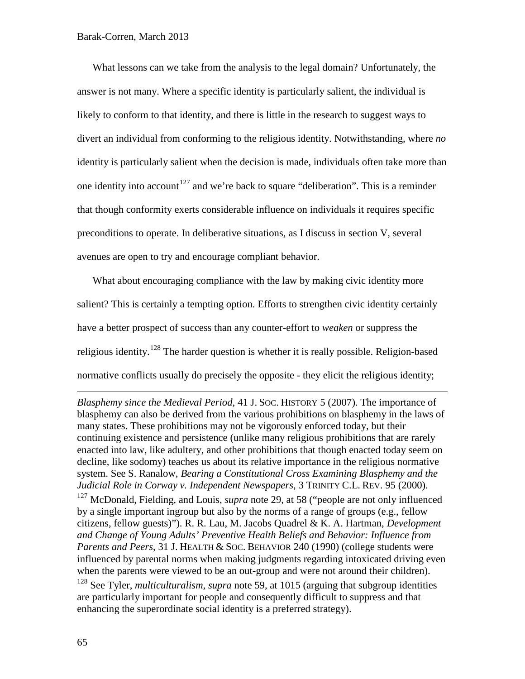What lessons can we take from the analysis to the legal domain? Unfortunately, the answer is not many. Where a specific identity is particularly salient, the individual is likely to conform to that identity, and there is little in the research to suggest ways to divert an individual from conforming to the religious identity. Notwithstanding, where *no* identity is particularly salient when the decision is made, individuals often take more than one identity into account<sup>[127](#page-64-0)</sup> and we're back to square "deliberation". This is a reminder that though conformity exerts considerable influence on individuals it requires specific preconditions to operate. In deliberative situations, as I discuss in section V, several avenues are open to try and encourage compliant behavior.

What about encouraging compliance with the law by making civic identity more salient? This is certainly a tempting option. Efforts to strengthen civic identity certainly have a better prospect of success than any counter-effort to *weaken* or suppress the religious identity.<sup>[128](#page-64-1)</sup> The harder question is whether it is really possible. Religion-based normative conflicts usually do precisely the opposite - they elicit the religious identity;

*Blasphemy since the Medieval Period*, 41 J. SOC. HISTORY 5 (2007). The importance of blasphemy can also be derived from the various prohibitions on blasphemy in the laws of many states. These prohibitions may not be vigorously enforced today, but their continuing existence and persistence (unlike many religious prohibitions that are rarely enacted into law, like adultery, and other prohibitions that though enacted today seem on decline, like sodomy) teaches us about its relative importance in the religious normative system. See S. Ranalow, *Bearing a Constitutional Cross Examining Blasphemy and the Judicial Role in Corway v. Independent Newspapers*, 3 TRINITY C.L. REV. 95 (2000).

<span id="page-64-0"></span><sup>127</sup> McDonald, Fielding, and Louis, *supra* note [29,](#page-16-0) at 58 ("people are not only influenced by a single important ingroup but also by the norms of a range of groups (e.g., fellow citizens, fellow guests)"). R. R. Lau, M. Jacobs Quadrel & K. A. Hartman, *Development and Change of Young Adults' Preventive Health Beliefs and Behavior: Influence from Parents and Peers*, 31 J. HEALTH & SOC. BEHAVIOR 240 (1990) (college students were influenced by parental norms when making judgments regarding intoxicated driving even when the parents were viewed to be an out-group and were not around their children). <sup>128</sup> See Tyler, *multiculturalism*, *supra* note [59,](#page-29-0) at 1015 (arguing that subgroup identities

<span id="page-64-1"></span>are particularly important for people and consequently difficult to suppress and that enhancing the superordinate social identity is a preferred strategy).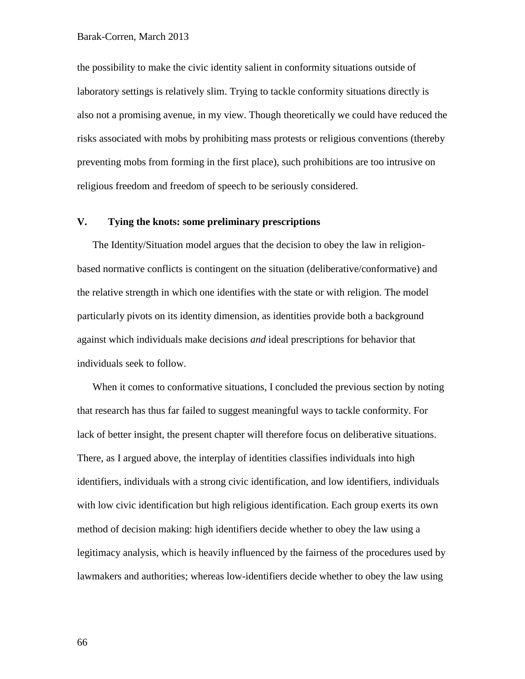the possibility to make the civic identity salient in conformity situations outside of laboratory settings is relatively slim. Trying to tackle conformity situations directly is also not a promising avenue, in my view. Though theoretically we could have reduced the risks associated with mobs by prohibiting mass protests or religious conventions (thereby preventing mobs from forming in the first place), such prohibitions are too intrusive on religious freedom and freedom of speech to be seriously considered.

# **V. Tying the knots: some preliminary prescriptions**

The Identity/Situation model argues that the decision to obey the law in religionbased normative conflicts is contingent on the situation (deliberative/conformative) and the relative strength in which one identifies with the state or with religion. The model particularly pivots on its identity dimension, as identities provide both a background against which individuals make decisions *and* ideal prescriptions for behavior that individuals seek to follow.

When it comes to conformative situations, I concluded the previous section by noting that research has thus far failed to suggest meaningful ways to tackle conformity. For lack of better insight, the present chapter will therefore focus on deliberative situations. There, as I argued above, the interplay of identities classifies individuals into high identifiers, individuals with a strong civic identification, and low identifiers, individuals with low civic identification but high religious identification. Each group exerts its own method of decision making: high identifiers decide whether to obey the law using a legitimacy analysis, which is heavily influenced by the fairness of the procedures used by lawmakers and authorities; whereas low-identifiers decide whether to obey the law using

66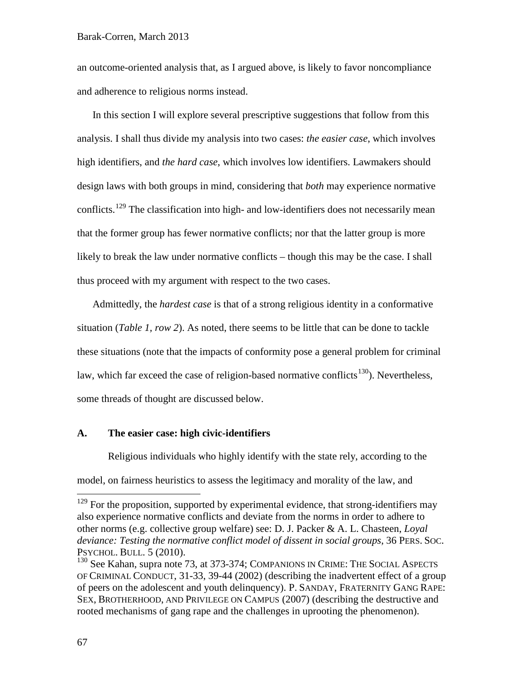an outcome-oriented analysis that, as I argued above, is likely to favor noncompliance and adherence to religious norms instead.

In this section I will explore several prescriptive suggestions that follow from this analysis. I shall thus divide my analysis into two cases: *the easier case*, which involves high identifiers, and *the hard case*, which involves low identifiers. Lawmakers should design laws with both groups in mind, considering that *both* may experience normative conflicts.<sup>[129](#page-66-0)</sup> The classification into high- and low-identifiers does not necessarily mean that the former group has fewer normative conflicts; nor that the latter group is more likely to break the law under normative conflicts – though this may be the case. I shall thus proceed with my argument with respect to the two cases.

Admittedly, the *hardest case* is that of a strong religious identity in a conformative situation (*Table 1, row 2*). As noted, there seems to be little that can be done to tackle these situations (note that the impacts of conformity pose a general problem for criminal law, which far exceed the case of religion-based normative conflicts<sup>130</sup>). Nevertheless, some threads of thought are discussed below.

### **A. The easier case: high civic-identifiers**

Religious individuals who highly identify with the state rely, according to the model, on fairness heuristics to assess the legitimacy and morality of the law, and

<span id="page-66-0"></span> $129$  For the proposition, supported by experimental evidence, that strong-identifiers may also experience normative conflicts and deviate from the norms in order to adhere to other norms (e.g. collective group welfare) see: D. J. Packer & A. L. Chasteen, *Loyal deviance: Testing the normative conflict model of dissent in social groups*, 36 PERS. SOC. PSYCHOL. BULL. 5 (2010).

<span id="page-66-1"></span> $130$  See Kahan, supra note [73,](#page-34-0) at 373-374; COMPANIONS IN CRIME: THE SOCIAL ASPECTS OF CRIMINAL CONDUCT, 31-33, 39-44 (2002) (describing the inadvertent effect of a group of peers on the adolescent and youth delinquency). P. SANDAY, FRATERNITY GANG RAPE: SEX, BROTHERHOOD, AND PRIVILEGE ON CAMPUS (2007) (describing the destructive and rooted mechanisms of gang rape and the challenges in uprooting the phenomenon).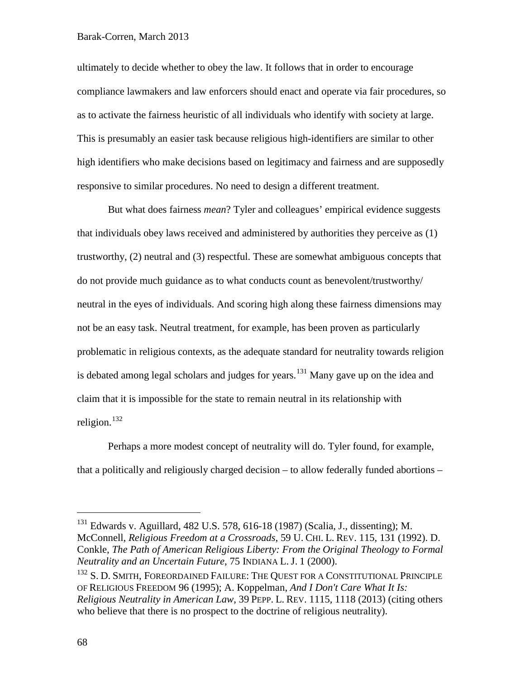### Barak-Corren, March 2013

ultimately to decide whether to obey the law. It follows that in order to encourage compliance lawmakers and law enforcers should enact and operate via fair procedures, so as to activate the fairness heuristic of all individuals who identify with society at large. This is presumably an easier task because religious high-identifiers are similar to other high identifiers who make decisions based on legitimacy and fairness and are supposedly responsive to similar procedures. No need to design a different treatment.

But what does fairness *mean*? Tyler and colleagues' empirical evidence suggests that individuals obey laws received and administered by authorities they perceive as (1) trustworthy, (2) neutral and (3) respectful. These are somewhat ambiguous concepts that do not provide much guidance as to what conducts count as benevolent/trustworthy/ neutral in the eyes of individuals. And scoring high along these fairness dimensions may not be an easy task. Neutral treatment, for example, has been proven as particularly problematic in religious contexts, as the adequate standard for neutrality towards religion is debated among legal scholars and judges for years.<sup>[131](#page-67-0)</sup> Many gave up on the idea and claim that it is impossible for the state to remain neutral in its relationship with religion. [132](#page-67-1)

Perhaps a more modest concept of neutrality will do. Tyler found, for example, that a politically and religiously charged decision – to allow federally funded abortions –

<span id="page-67-0"></span> <sup>131</sup> Edwards v. Aguillard, 482 U.S. 578, 616-18 (1987) (Scalia, J., dissenting); M. McConnell, *Religious Freedom at a Crossroads*, 59 U. CHI. L. REV. 115, 131 (1992). D. Conkle, *The Path of American Religious Liberty: From the Original Theology to Formal Neutrality and an Uncertain Future*, 75 INDIANA L. J. 1 (2000).

<span id="page-67-1"></span><sup>&</sup>lt;sup>132</sup> S. D. SMITH, FOREORDAINED FAILURE: THE QUEST FOR A CONSTITUTIONAL PRINCIPLE OF RELIGIOUS FREEDOM 96 (1995); A. Koppelman, *And I Don't Care What It Is: Religious Neutrality in American Law*, 39 PEPP. L. REV. 1115, 1118 (2013) (citing others who believe that there is no prospect to the doctrine of religious neutrality).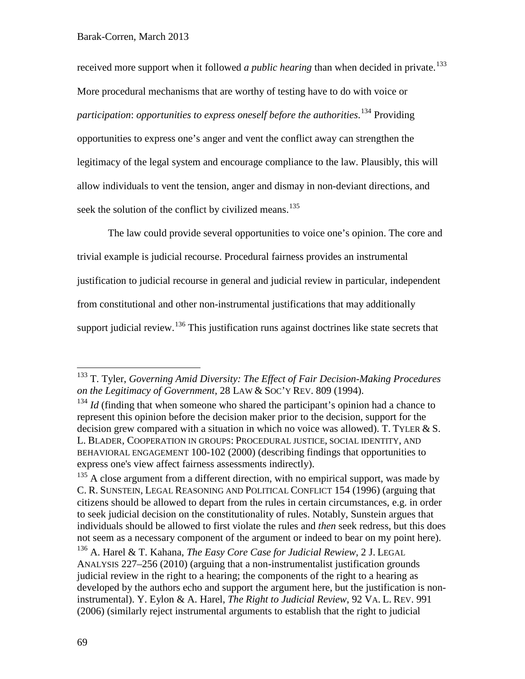received more support when it followed *a public hearing* than when decided in private.<sup>[133](#page-68-0)</sup> More procedural mechanisms that are worthy of testing have to do with voice or *participation*: *opportunities to express oneself before the authorities*. [134](#page-68-1) Providing opportunities to express one's anger and vent the conflict away can strengthen the legitimacy of the legal system and encourage compliance to the law. Plausibly, this will allow individuals to vent the tension, anger and dismay in non-deviant directions, and seek the solution of the conflict by civilized means.<sup>[135](#page-68-2)</sup>

The law could provide several opportunities to voice one's opinion. The core and trivial example is judicial recourse. Procedural fairness provides an instrumental justification to judicial recourse in general and judicial review in particular, independent from constitutional and other non-instrumental justifications that may additionally support judicial review.<sup>[136](#page-68-3)</sup> This justification runs against doctrines like state secrets that

<span id="page-68-0"></span> <sup>133</sup> T. Tyler, *Governing Amid Diversity: The Effect of Fair Decision-Making Procedures on the Legitimacy of Government*, 28 LAW & SOC'Y REV. 809 (1994).

<span id="page-68-1"></span><sup>&</sup>lt;sup>134</sup> *Id* (finding that when someone who shared the participant's opinion had a chance to represent this opinion before the decision maker prior to the decision, support for the decision grew compared with a situation in which no voice was allowed). T. TYLER  $& S$ . L. BLADER, COOPERATION IN GROUPS: PROCEDURAL JUSTICE, SOCIAL IDENTITY, AND BEHAVIORAL ENGAGEMENT 100-102 (2000) (describing findings that opportunities to express one's view affect fairness assessments indirectly).

<span id="page-68-2"></span> $135$  A close argument from a different direction, with no empirical support, was made by C. R. SUNSTEIN, LEGAL REASONING AND POLITICAL CONFLICT 154 (1996) (arguing that citizens should be allowed to depart from the rules in certain circumstances, e.g. in order to seek judicial decision on the constitutionality of rules. Notably, Sunstein argues that individuals should be allowed to first violate the rules and *then* seek redress, but this does not seem as a necessary component of the argument or indeed to bear on my point here).

<span id="page-68-3"></span><sup>136</sup> A. Harel & T. Kahana, *The Easy Core Case for Judicial Rewiew*, 2 J. LEGAL ANALYSIS 227–256 (2010) (arguing that a non-instrumentalist justification grounds judicial review in the right to a hearing; the components of the right to a hearing as developed by the authors echo and support the argument here, but the justification is noninstrumental). Y. Eylon & A. Harel, *The Right to Judicial Review*, 92 VA. L. REV. 991 (2006) (similarly reject instrumental arguments to establish that the right to judicial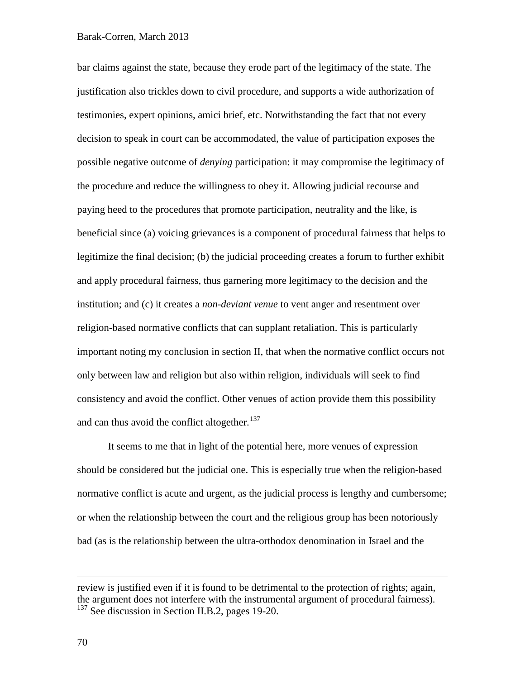### Barak-Corren, March 2013

bar claims against the state, because they erode part of the legitimacy of the state. The justification also trickles down to civil procedure, and supports a wide authorization of testimonies, expert opinions, amici brief, etc. Notwithstanding the fact that not every decision to speak in court can be accommodated, the value of participation exposes the possible negative outcome of *denying* participation: it may compromise the legitimacy of the procedure and reduce the willingness to obey it. Allowing judicial recourse and paying heed to the procedures that promote participation, neutrality and the like, is beneficial since (a) voicing grievances is a component of procedural fairness that helps to legitimize the final decision; (b) the judicial proceeding creates a forum to further exhibit and apply procedural fairness, thus garnering more legitimacy to the decision and the institution; and (c) it creates a *non-deviant venue* to vent anger and resentment over religion-based normative conflicts that can supplant retaliation. This is particularly important noting my conclusion in section II, that when the normative conflict occurs not only between law and religion but also within religion, individuals will seek to find consistency and avoid the conflict. Other venues of action provide them this possibility and can thus avoid the conflict altogether.<sup>[137](#page-69-0)</sup>

It seems to me that in light of the potential here, more venues of expression should be considered but the judicial one. This is especially true when the religion-based normative conflict is acute and urgent, as the judicial process is lengthy and cumbersome; or when the relationship between the court and the religious group has been notoriously bad (as is the relationship between the ultra-orthodox denomination in Israel and the

<span id="page-69-0"></span>review is justified even if it is found to be detrimental to the protection of rights; again, the argument does not interfere with the instrumental argument of procedural fairness). <sup>137</sup> See discussion in Section II.B.2, pages 19-20.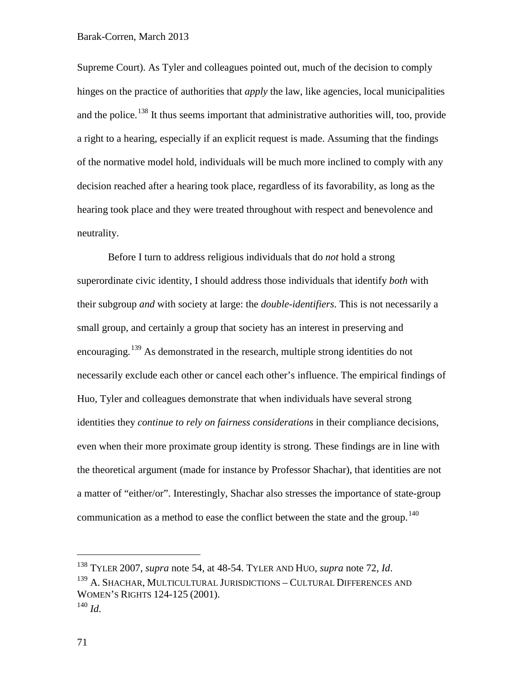Supreme Court). As Tyler and colleagues pointed out, much of the decision to comply hinges on the practice of authorities that *apply* the law, like agencies, local municipalities and the police.<sup>[138](#page-70-0)</sup> It thus seems important that administrative authorities will, too, provide a right to a hearing, especially if an explicit request is made. Assuming that the findings of the normative model hold, individuals will be much more inclined to comply with any decision reached after a hearing took place, regardless of its favorability, as long as the hearing took place and they were treated throughout with respect and benevolence and neutrality.

Before I turn to address religious individuals that do *not* hold a strong superordinate civic identity, I should address those individuals that identify *both* with their subgroup *and* with society at large: the *double-identifiers*. This is not necessarily a small group, and certainly a group that society has an interest in preserving and encouraging.<sup>[139](#page-70-1)</sup> As demonstrated in the research, multiple strong identities do not necessarily exclude each other or cancel each other's influence. The empirical findings of Huo, Tyler and colleagues demonstrate that when individuals have several strong identities they *continue to rely on fairness considerations* in their compliance decisions, even when their more proximate group identity is strong. These findings are in line with the theoretical argument (made for instance by Professor Shachar), that identities are not a matter of "either/or". Interestingly, Shachar also stresses the importance of state-group communication as a method to ease the conflict between the state and the group.<sup>[140](#page-70-2)</sup>

<span id="page-70-1"></span><span id="page-70-0"></span><sup>&</sup>lt;sup>138</sup> TYLER 2007, *supra* note 54, at 48-54. TYLER AND HUO, *supra* note 72, *Id*. <sup>139</sup> A. SHACHAR, MULTICULTURAL JURISDICTIONS – CULTURAL DIFFERENCES AND WOMEN'S RIGHTS 124-125 (2001).  $^{140}$  *Id.* 

<span id="page-70-2"></span><sup>71</sup>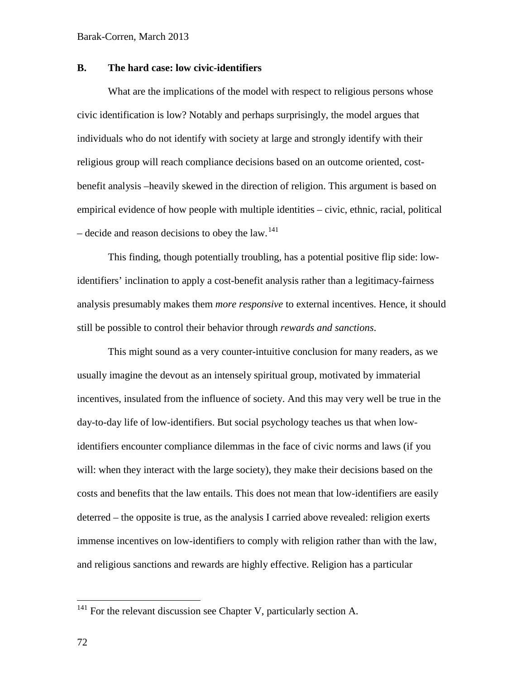# **B. The hard case: low civic-identifiers**

What are the implications of the model with respect to religious persons whose civic identification is low? Notably and perhaps surprisingly, the model argues that individuals who do not identify with society at large and strongly identify with their religious group will reach compliance decisions based on an outcome oriented, costbenefit analysis –heavily skewed in the direction of religion. This argument is based on empirical evidence of how people with multiple identities – civic, ethnic, racial, political – decide and reason decisions to obey the law.<sup>[141](#page-71-0)</sup>

This finding, though potentially troubling, has a potential positive flip side: lowidentifiers' inclination to apply a cost-benefit analysis rather than a legitimacy-fairness analysis presumably makes them *more responsive* to external incentives. Hence, it should still be possible to control their behavior through *rewards and sanctions*.

This might sound as a very counter-intuitive conclusion for many readers, as we usually imagine the devout as an intensely spiritual group, motivated by immaterial incentives, insulated from the influence of society. And this may very well be true in the day-to-day life of low-identifiers. But social psychology teaches us that when lowidentifiers encounter compliance dilemmas in the face of civic norms and laws (if you will: when they interact with the large society), they make their decisions based on the costs and benefits that the law entails. This does not mean that low-identifiers are easily deterred – the opposite is true, as the analysis I carried above revealed: religion exerts immense incentives on low-identifiers to comply with religion rather than with the law, and religious sanctions and rewards are highly effective. Religion has a particular

<span id="page-71-0"></span> $141$  For the relevant discussion see Chapter V, particularly section A.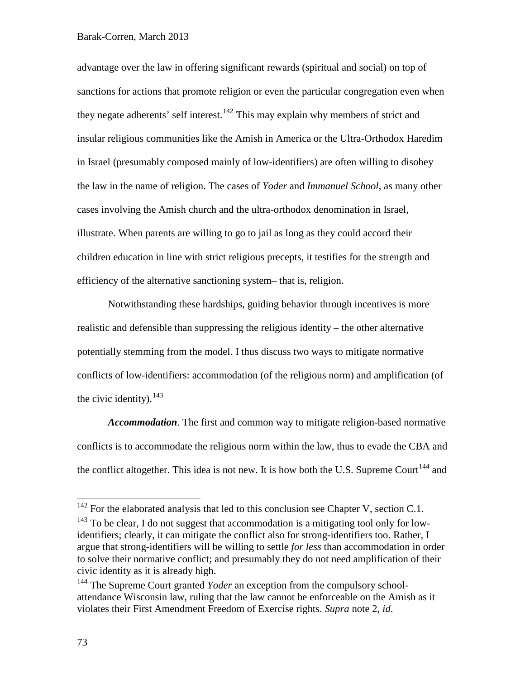## Barak-Corren, March 2013

advantage over the law in offering significant rewards (spiritual and social) on top of sanctions for actions that promote religion or even the particular congregation even when they negate adherents' self interest.<sup>[142](#page-72-0)</sup> This may explain why members of strict and insular religious communities like the Amish in America or the Ultra-Orthodox Haredim in Israel (presumably composed mainly of low-identifiers) are often willing to disobey the law in the name of religion. The cases of *Yoder* and *Immanuel School*, as many other cases involving the Amish church and the ultra-orthodox denomination in Israel, illustrate. When parents are willing to go to jail as long as they could accord their children education in line with strict religious precepts, it testifies for the strength and efficiency of the alternative sanctioning system– that is, religion.

Notwithstanding these hardships, guiding behavior through incentives is more realistic and defensible than suppressing the religious identity – the other alternative potentially stemming from the model. I thus discuss two ways to mitigate normative conflicts of low-identifiers: accommodation (of the religious norm) and amplification (of the civic identity).  $143$ 

*Accommodation*. The first and common way to mitigate religion-based normative conflicts is to accommodate the religious norm within the law, thus to evade the CBA and the conflict altogether. This idea is not new. It is how both the U.S. Supreme Court<sup>[144](#page-72-2)</sup> and

<span id="page-72-0"></span> $142$  For the elaborated analysis that led to this conclusion see Chapter V, section C.1.

<span id="page-72-1"></span> $143$  To be clear, I do not suggest that accommodation is a mitigating tool only for lowidentifiers; clearly, it can mitigate the conflict also for strong-identifiers too. Rather, I argue that strong-identifiers will be willing to settle *for less* than accommodation in order to solve their normative conflict; and presumably they do not need amplification of their civic identity as it is already high.

<span id="page-72-2"></span><sup>&</sup>lt;sup>144</sup> The Supreme Court granted *Yoder* an exception from the compulsory schoolattendance Wisconsin law, ruling that the law cannot be enforceable on the Amish as it violates their First Amendment Freedom of Exercise rights. *Supra* note [2,](#page-1-0) *id*.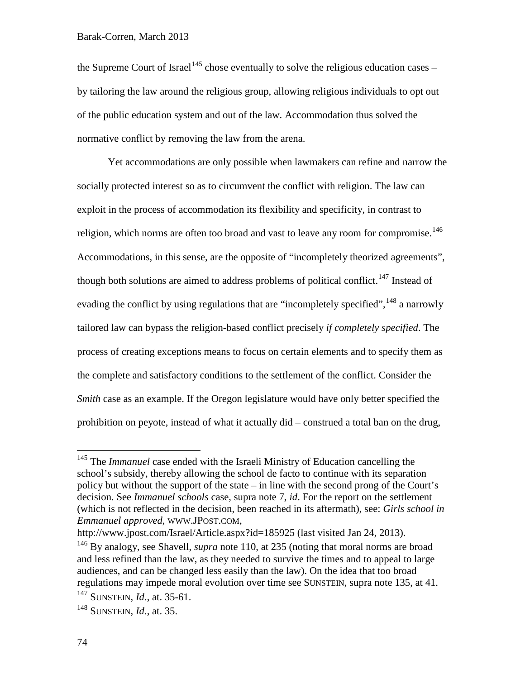the Supreme Court of Israel<sup>[145](#page-73-0)</sup> chose eventually to solve the religious education cases – by tailoring the law around the religious group, allowing religious individuals to opt out of the public education system and out of the law. Accommodation thus solved the normative conflict by removing the law from the arena.

Yet accommodations are only possible when lawmakers can refine and narrow the socially protected interest so as to circumvent the conflict with religion. The law can exploit in the process of accommodation its flexibility and specificity, in contrast to religion, which norms are often too broad and vast to leave any room for compromise.<sup>[146](#page-73-1)</sup> Accommodations, in this sense, are the opposite of "incompletely theorized agreements", though both solutions are aimed to address problems of political conflict.<sup>[147](#page-73-2)</sup> Instead of evading the conflict by using regulations that are "incompletely specified", <sup>[148](#page-73-3)</sup> a narrowly tailored law can bypass the religion-based conflict precisely *if completely specified*. The process of creating exceptions means to focus on certain elements and to specify them as the complete and satisfactory conditions to the settlement of the conflict. Consider the *Smith* case as an example. If the Oregon legislature would have only better specified the prohibition on peyote, instead of what it actually did – construed a total ban on the drug,

http://www.jpost.com/Israel/Article.aspx?id=185925 (last visited Jan 24, 2013).

<span id="page-73-0"></span><sup>&</sup>lt;sup>145</sup> The *Immanuel* case ended with the Israeli Ministry of Education cancelling the school's subsidy, thereby allowing the school de facto to continue with its separation policy but without the support of the state – in line with the second prong of the Court's decision. See *Immanuel schools* case, supra note [7,](#page-3-0) *id*. For the report on the settlement (which is not reflected in the decision, been reached in its aftermath), see: *Girls school in Emmanuel approved*, WWW.JPOST.COM,

<span id="page-73-1"></span><sup>146</sup> By analogy, see Shavell, *supra* note [110,](#page-53-0) at 235 (noting that moral norms are broad and less refined than the law, as they needed to survive the times and to appeal to large audiences, and can be changed less easily than the law). On the idea that too broad regulations may impede moral evolution over time see SUNSTEIN, supra note [135,](#page-68-0) at 41.

<span id="page-73-2"></span><sup>147</sup> SUNSTEIN, *Id*., at. 35-61.

<span id="page-73-3"></span><sup>148</sup> SUNSTEIN, *Id*., at. 35.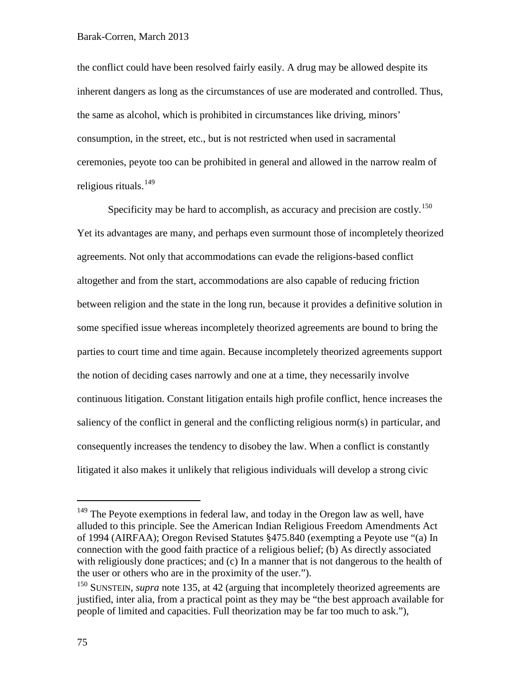the conflict could have been resolved fairly easily. A drug may be allowed despite its inherent dangers as long as the circumstances of use are moderated and controlled. Thus, the same as alcohol, which is prohibited in circumstances like driving, minors' consumption, in the street, etc., but is not restricted when used in sacramental ceremonies, peyote too can be prohibited in general and allowed in the narrow realm of religious rituals.<sup>[149](#page-74-0)</sup>

Specificity may be hard to accomplish, as accuracy and precision are costly.<sup>[150](#page-74-1)</sup> Yet its advantages are many, and perhaps even surmount those of incompletely theorized agreements. Not only that accommodations can evade the religions-based conflict altogether and from the start, accommodations are also capable of reducing friction between religion and the state in the long run, because it provides a definitive solution in some specified issue whereas incompletely theorized agreements are bound to bring the parties to court time and time again. Because incompletely theorized agreements support the notion of deciding cases narrowly and one at a time, they necessarily involve continuous litigation. Constant litigation entails high profile conflict, hence increases the saliency of the conflict in general and the conflicting religious norm(s) in particular, and consequently increases the tendency to disobey the law. When a conflict is constantly litigated it also makes it unlikely that religious individuals will develop a strong civic

<span id="page-74-0"></span><sup>&</sup>lt;sup>149</sup> The Peyote exemptions in federal law, and today in the Oregon law as well, have alluded to this principle. See the American Indian Religious Freedom Amendments Act of 1994 (AIRFAA); Oregon Revised Statutes §475.840 (exempting a Peyote use "(a) In connection with the good faith practice of a religious belief; (b) As directly associated with religiously done practices; and (c) In a manner that is not dangerous to the health of the user or others who are in the proximity of the user.").

<span id="page-74-1"></span><sup>&</sup>lt;sup>150</sup> SUNSTEIN, *supra* note [135,](#page-68-0) at 42 (arguing that incompletely theorized agreements are justified, inter alia, from a practical point as they may be "the best approach available for people of limited and capacities. Full theorization may be far too much to ask."),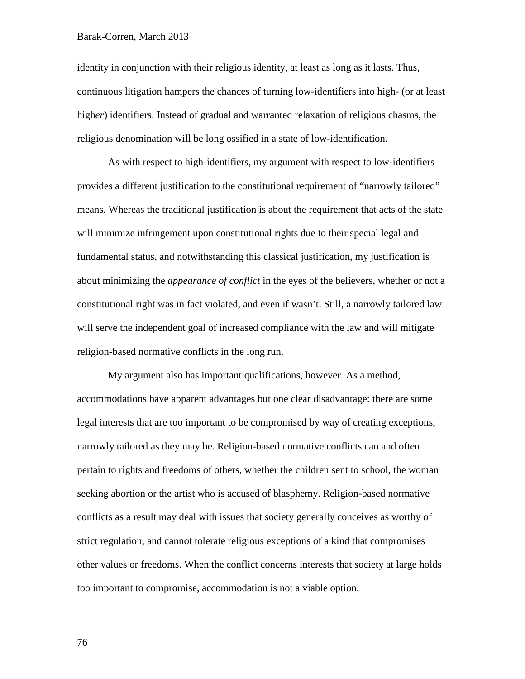## Barak-Corren, March 2013

identity in conjunction with their religious identity, at least as long as it lasts. Thus, continuous litigation hampers the chances of turning low-identifiers into high- (or at least high*er*) identifiers. Instead of gradual and warranted relaxation of religious chasms, the religious denomination will be long ossified in a state of low-identification.

As with respect to high-identifiers, my argument with respect to low-identifiers provides a different justification to the constitutional requirement of "narrowly tailored" means. Whereas the traditional justification is about the requirement that acts of the state will minimize infringement upon constitutional rights due to their special legal and fundamental status, and notwithstanding this classical justification, my justification is about minimizing the *appearance of conflict* in the eyes of the believers, whether or not a constitutional right was in fact violated, and even if wasn't. Still, a narrowly tailored law will serve the independent goal of increased compliance with the law and will mitigate religion-based normative conflicts in the long run.

My argument also has important qualifications, however. As a method, accommodations have apparent advantages but one clear disadvantage: there are some legal interests that are too important to be compromised by way of creating exceptions, narrowly tailored as they may be. Religion-based normative conflicts can and often pertain to rights and freedoms of others, whether the children sent to school, the woman seeking abortion or the artist who is accused of blasphemy. Religion-based normative conflicts as a result may deal with issues that society generally conceives as worthy of strict regulation, and cannot tolerate religious exceptions of a kind that compromises other values or freedoms. When the conflict concerns interests that society at large holds too important to compromise, accommodation is not a viable option.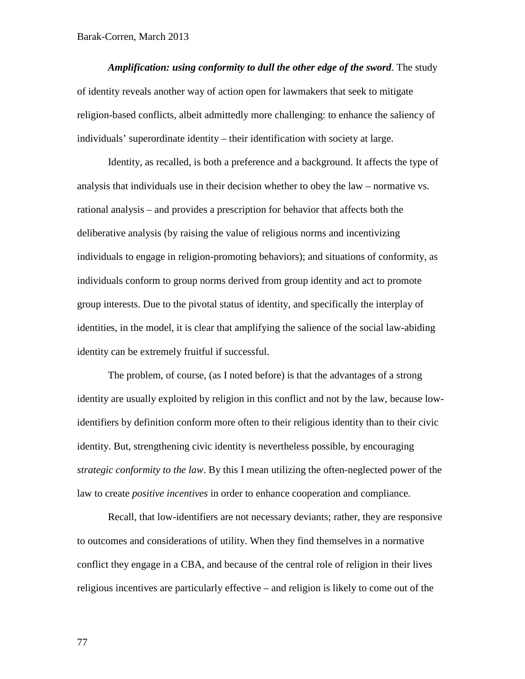*Amplification: using conformity to dull the other edge of the sword*. The study of identity reveals another way of action open for lawmakers that seek to mitigate religion-based conflicts, albeit admittedly more challenging: to enhance the saliency of individuals' superordinate identity – their identification with society at large.

Identity, as recalled, is both a preference and a background. It affects the type of analysis that individuals use in their decision whether to obey the law – normative vs. rational analysis – and provides a prescription for behavior that affects both the deliberative analysis (by raising the value of religious norms and incentivizing individuals to engage in religion-promoting behaviors); and situations of conformity, as individuals conform to group norms derived from group identity and act to promote group interests. Due to the pivotal status of identity, and specifically the interplay of identities, in the model, it is clear that amplifying the salience of the social law-abiding identity can be extremely fruitful if successful.

The problem, of course, (as I noted before) is that the advantages of a strong identity are usually exploited by religion in this conflict and not by the law, because lowidentifiers by definition conform more often to their religious identity than to their civic identity. But, strengthening civic identity is nevertheless possible, by encouraging *strategic conformity to the law*. By this I mean utilizing the often-neglected power of the law to create *positive incentives* in order to enhance cooperation and compliance.

Recall, that low-identifiers are not necessary deviants; rather, they are responsive to outcomes and considerations of utility. When they find themselves in a normative conflict they engage in a CBA, and because of the central role of religion in their lives religious incentives are particularly effective – and religion is likely to come out of the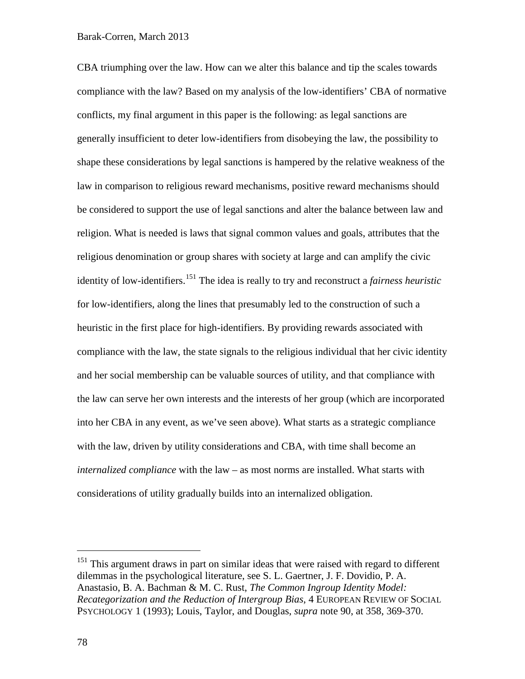## Barak-Corren, March 2013

CBA triumphing over the law. How can we alter this balance and tip the scales towards compliance with the law? Based on my analysis of the low-identifiers' CBA of normative conflicts, my final argument in this paper is the following: as legal sanctions are generally insufficient to deter low-identifiers from disobeying the law, the possibility to shape these considerations by legal sanctions is hampered by the relative weakness of the law in comparison to religious reward mechanisms, positive reward mechanisms should be considered to support the use of legal sanctions and alter the balance between law and religion. What is needed is laws that signal common values and goals, attributes that the religious denomination or group shares with society at large and can amplify the civic identity of low-identifiers. [151](#page-77-0) The idea is really to try and reconstruct a *fairness heuristic* for low-identifiers, along the lines that presumably led to the construction of such a heuristic in the first place for high-identifiers. By providing rewards associated with compliance with the law, the state signals to the religious individual that her civic identity and her social membership can be valuable sources of utility, and that compliance with the law can serve her own interests and the interests of her group (which are incorporated into her CBA in any event, as we've seen above). What starts as a strategic compliance with the law, driven by utility considerations and CBA, with time shall become an *internalized compliance* with the law – as most norms are installed. What starts with considerations of utility gradually builds into an internalized obligation.

<span id="page-77-0"></span><sup>&</sup>lt;sup>151</sup> This argument draws in part on similar ideas that were raised with regard to different dilemmas in the psychological literature, see S. L. Gaertner, J. F. Dovidio, P. A. Anastasio, B. A. Bachman & M. C. Rust, *The Common Ingroup Identity Model: Recategorization and the Reduction of Intergroup Bias*, 4 EUROPEAN REVIEW OF SOCIAL PSYCHOLOGY 1 (1993); Louis, Taylor, and Douglas, *supra* note [90,](#page-41-0) at 358, 369-370.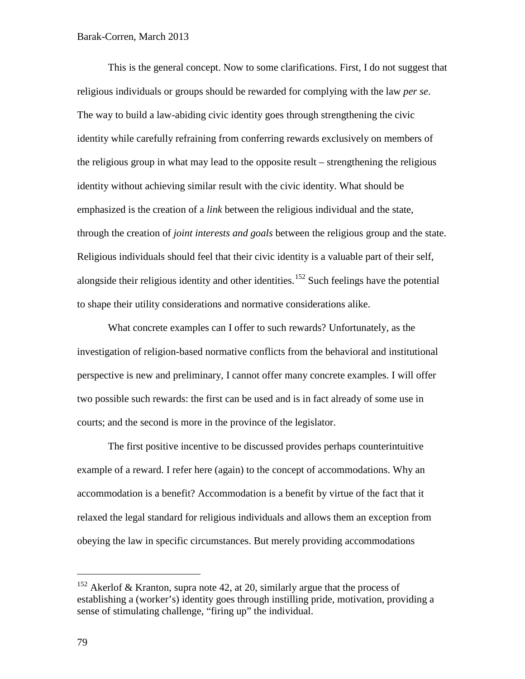This is the general concept. Now to some clarifications. First, I do not suggest that religious individuals or groups should be rewarded for complying with the law *per se*. The way to build a law-abiding civic identity goes through strengthening the civic identity while carefully refraining from conferring rewards exclusively on members of the religious group in what may lead to the opposite result – strengthening the religious identity without achieving similar result with the civic identity. What should be emphasized is the creation of a *link* between the religious individual and the state, through the creation of *joint interests and goals* between the religious group and the state. Religious individuals should feel that their civic identity is a valuable part of their self, alongside their religious identity and other identities.<sup>[152](#page-78-0)</sup> Such feelings have the potential to shape their utility considerations and normative considerations alike.

What concrete examples can I offer to such rewards? Unfortunately, as the investigation of religion-based normative conflicts from the behavioral and institutional perspective is new and preliminary, I cannot offer many concrete examples. I will offer two possible such rewards: the first can be used and is in fact already of some use in courts; and the second is more in the province of the legislator.

The first positive incentive to be discussed provides perhaps counterintuitive example of a reward. I refer here (again) to the concept of accommodations. Why an accommodation is a benefit? Accommodation is a benefit by virtue of the fact that it relaxed the legal standard for religious individuals and allows them an exception from obeying the law in specific circumstances. But merely providing accommodations

<span id="page-78-0"></span><sup>&</sup>lt;sup>152</sup> Akerlof & Kranton, supra note [42,](#page-25-0) at 20, similarly argue that the process of establishing a (worker's) identity goes through instilling pride, motivation, providing a sense of stimulating challenge, "firing up" the individual.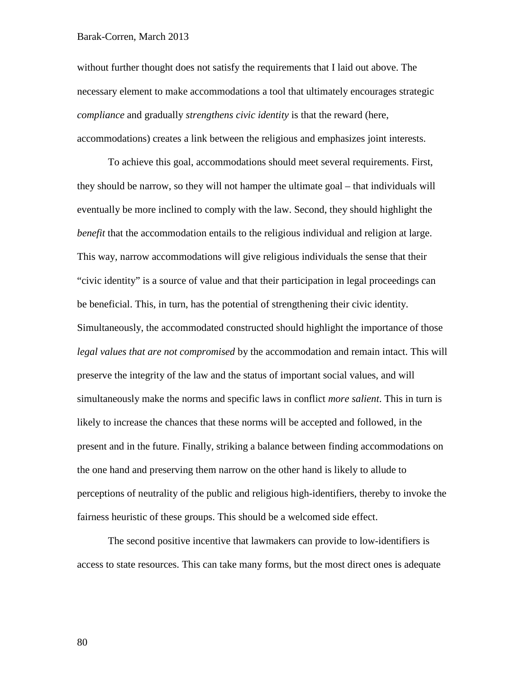without further thought does not satisfy the requirements that I laid out above. The necessary element to make accommodations a tool that ultimately encourages strategic *compliance* and gradually *strengthens civic identity* is that the reward (here, accommodations) creates a link between the religious and emphasizes joint interests.

To achieve this goal, accommodations should meet several requirements. First, they should be narrow, so they will not hamper the ultimate goal – that individuals will eventually be more inclined to comply with the law. Second, they should highlight the *benefit* that the accommodation entails to the religious individual and religion at large. This way, narrow accommodations will give religious individuals the sense that their "civic identity" is a source of value and that their participation in legal proceedings can be beneficial. This, in turn, has the potential of strengthening their civic identity. Simultaneously, the accommodated constructed should highlight the importance of those *legal values that are not compromised* by the accommodation and remain intact. This will preserve the integrity of the law and the status of important social values, and will simultaneously make the norms and specific laws in conflict *more salient*. This in turn is likely to increase the chances that these norms will be accepted and followed, in the present and in the future. Finally, striking a balance between finding accommodations on the one hand and preserving them narrow on the other hand is likely to allude to perceptions of neutrality of the public and religious high-identifiers, thereby to invoke the fairness heuristic of these groups. This should be a welcomed side effect.

The second positive incentive that lawmakers can provide to low-identifiers is access to state resources. This can take many forms, but the most direct ones is adequate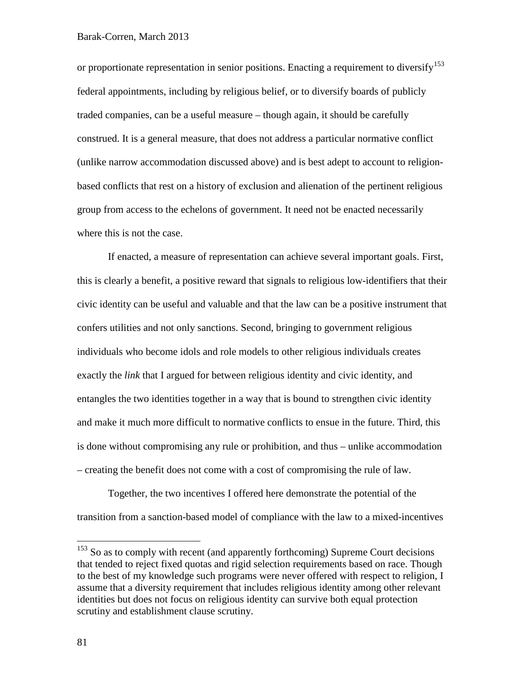or proportionate representation in senior positions. Enacting a requirement to diversify <sup>[153](#page-80-0)</sup> federal appointments, including by religious belief, or to diversify boards of publicly traded companies, can be a useful measure – though again, it should be carefully construed. It is a general measure, that does not address a particular normative conflict (unlike narrow accommodation discussed above) and is best adept to account to religionbased conflicts that rest on a history of exclusion and alienation of the pertinent religious group from access to the echelons of government. It need not be enacted necessarily where this is not the case.

If enacted, a measure of representation can achieve several important goals. First, this is clearly a benefit, a positive reward that signals to religious low-identifiers that their civic identity can be useful and valuable and that the law can be a positive instrument that confers utilities and not only sanctions. Second, bringing to government religious individuals who become idols and role models to other religious individuals creates exactly the *link* that I argued for between religious identity and civic identity, and entangles the two identities together in a way that is bound to strengthen civic identity and make it much more difficult to normative conflicts to ensue in the future. Third, this is done without compromising any rule or prohibition, and thus – unlike accommodation – creating the benefit does not come with a cost of compromising the rule of law.

Together, the two incentives I offered here demonstrate the potential of the transition from a sanction-based model of compliance with the law to a mixed-incentives

<span id="page-80-0"></span> $153$  So as to comply with recent (and apparently forthcoming) Supreme Court decisions that tended to reject fixed quotas and rigid selection requirements based on race. Though to the best of my knowledge such programs were never offered with respect to religion, I assume that a diversity requirement that includes religious identity among other relevant identities but does not focus on religious identity can survive both equal protection scrutiny and establishment clause scrutiny.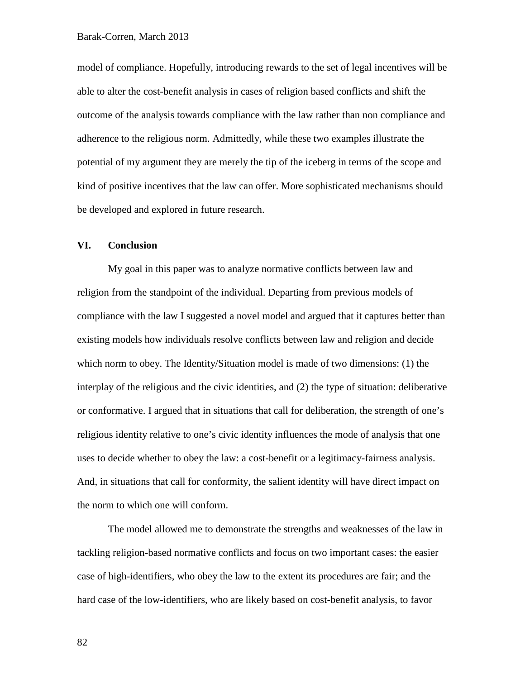model of compliance. Hopefully, introducing rewards to the set of legal incentives will be able to alter the cost-benefit analysis in cases of religion based conflicts and shift the outcome of the analysis towards compliance with the law rather than non compliance and adherence to the religious norm. Admittedly, while these two examples illustrate the potential of my argument they are merely the tip of the iceberg in terms of the scope and kind of positive incentives that the law can offer. More sophisticated mechanisms should be developed and explored in future research.

## **VI. Conclusion**

My goal in this paper was to analyze normative conflicts between law and religion from the standpoint of the individual. Departing from previous models of compliance with the law I suggested a novel model and argued that it captures better than existing models how individuals resolve conflicts between law and religion and decide which norm to obey. The Identity/Situation model is made of two dimensions: (1) the interplay of the religious and the civic identities, and (2) the type of situation: deliberative or conformative. I argued that in situations that call for deliberation, the strength of one's religious identity relative to one's civic identity influences the mode of analysis that one uses to decide whether to obey the law: a cost-benefit or a legitimacy-fairness analysis. And, in situations that call for conformity, the salient identity will have direct impact on the norm to which one will conform.

The model allowed me to demonstrate the strengths and weaknesses of the law in tackling religion-based normative conflicts and focus on two important cases: the easier case of high-identifiers, who obey the law to the extent its procedures are fair; and the hard case of the low-identifiers, who are likely based on cost-benefit analysis, to favor